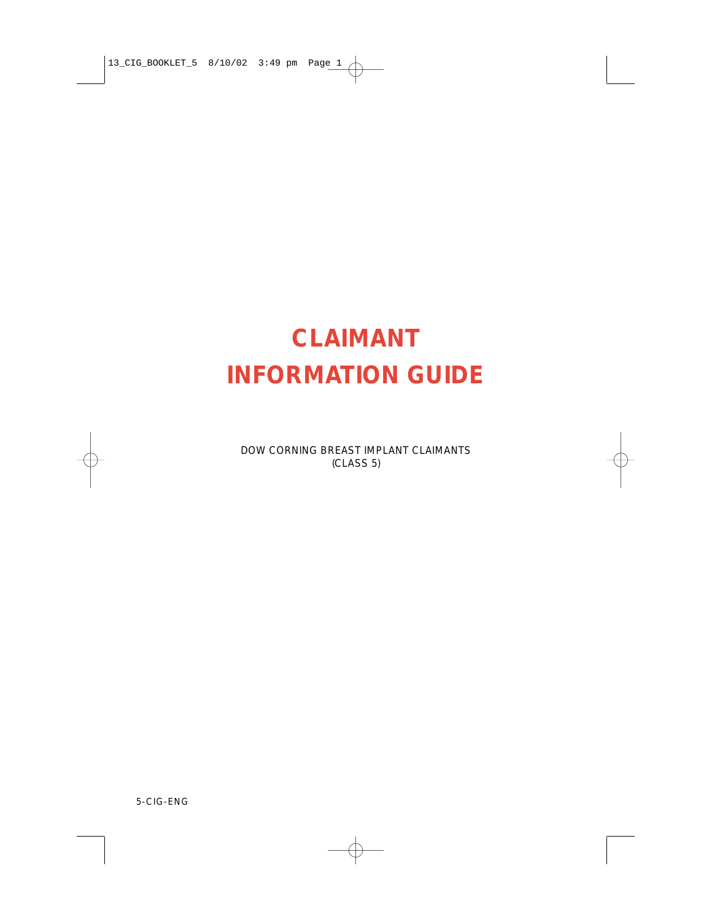# **CLAIMANT INFORMATION GUIDE**

DOW CORNING BREAST IMPLANT CLAIMANTS (CLASS 5)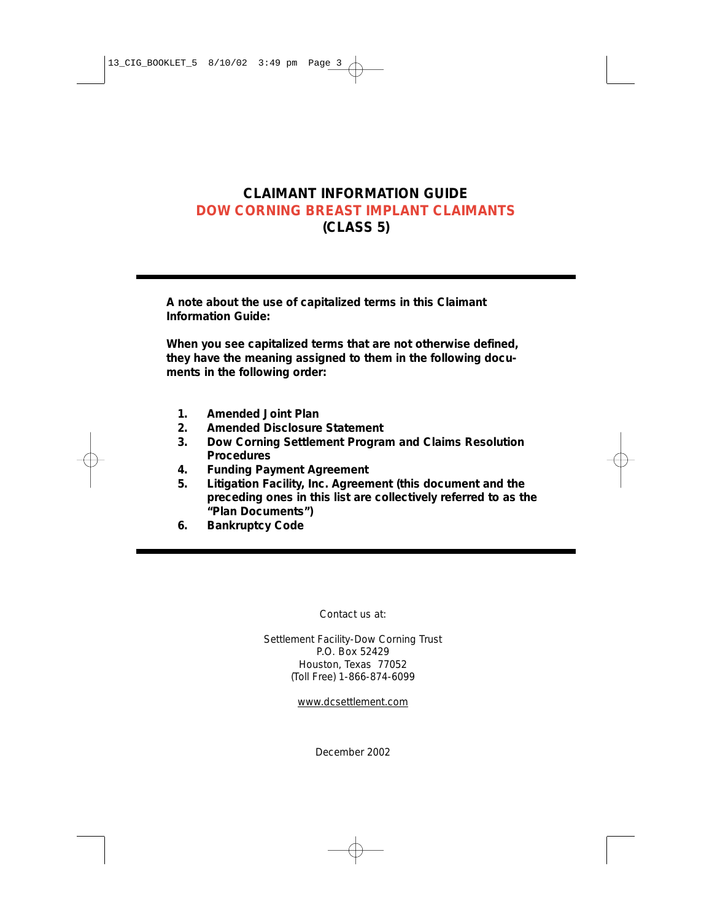# **CLAIMANT INFORMATION GUIDE DOW CORNING BREAST IMPLANT CLAIMANTS (CLASS 5)**

**A note about the use of capitalized terms in this Claimant Information Guide:**

**When you see capitalized terms that are not otherwise defined, they have the meaning assigned to them in the following documents in the following order:**

- **1. Amended Joint Plan**
- **2. Amended Disclosure Statement**
- **3. Dow Corning Settlement Program and Claims Resolution Procedures**
- **4. Funding Payment Agreement**
- **5. Litigation Facility, Inc. Agreement (this document and the preceding ones in this list are collectively referred to as the "Plan Documents")**
- **6. Bankruptcy Code**

Contact us at:

Settlement Facility-Dow Corning Trust P.O. Box 52429 Houston, Texas 77052 (Toll Free) 1-866-874-6099

www.dcsettlement.com

December 2002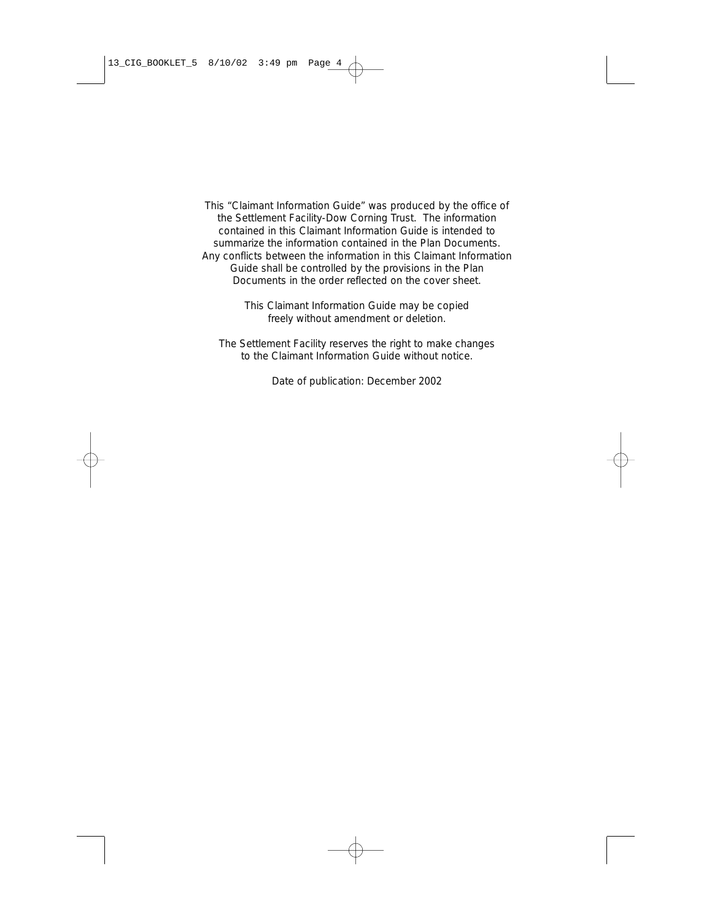This "Claimant Information Guide" was produced by the office of the Settlement Facility-Dow Corning Trust. The information contained in this Claimant Information Guide is intended to summarize the information contained in the Plan Documents. Any conflicts between the information in this Claimant Information Guide shall be controlled by the provisions in the Plan Documents in the order reflected on the cover sheet.

> This Claimant Information Guide may be copied freely without amendment or deletion.

The Settlement Facility reserves the right to make changes to the Claimant Information Guide without notice.

Date of publication: December 2002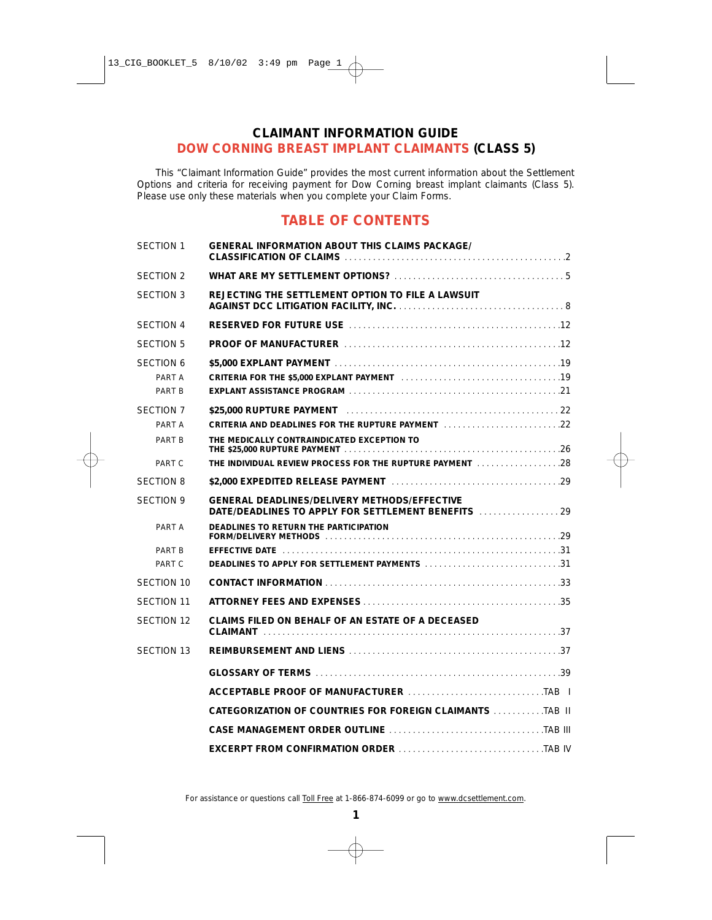# **CLAIMANT INFORMATION GUIDE DOW CORNING BREAST IMPLANT CLAIMANTS (CLASS 5)**

This "Claimant Information Guide" provides the most current information about the Settlement Options and criteria for receiving payment for Dow Corning breast implant claimants (Class 5). Please use only these materials when you complete your Claim Forms.

# **TABLE OF CONTENTS**

| <b>SECTION 1</b>  | <b>GENERAL INFORMATION ABOUT THIS CLAIMS PACKAGE/</b>                                                                      |  |
|-------------------|----------------------------------------------------------------------------------------------------------------------------|--|
| <b>SECTION 2</b>  |                                                                                                                            |  |
| <b>SECTION 3</b>  | REJECTING THE SETTLEMENT OPTION TO FILE A LAWSUIT                                                                          |  |
| <b>SECTION 4</b>  |                                                                                                                            |  |
| <b>SECTION 5</b>  |                                                                                                                            |  |
| <b>SECTION 6</b>  |                                                                                                                            |  |
| PART A            | CRITERIA FOR THE \$5,000 EXPLANT PAYMENT ACCOMODATIONS AND THE 35,000 EXPLANT PAYMENT                                      |  |
| PART B            |                                                                                                                            |  |
| <b>SECTION 7</b>  |                                                                                                                            |  |
| PART A            | CRITERIA AND DEADLINES FOR THE RUPTURE PAYMENT [11] [11] [11] [11] [11] [22]                                               |  |
| PART B            | THE MEDICALLY CONTRAINDICATED EXCEPTION TO                                                                                 |  |
| PART C            | THE INDIVIDUAL REVIEW PROCESS FOR THE RUPTURE PAYMENT [1] [1] [1] 1] THE INDIVIDUAL REVIEW PROCESS FOR THE RUPTURE PAYMENT |  |
| <b>SECTION 8</b>  |                                                                                                                            |  |
| <b>SECTION 9</b>  | <b>GENERAL DEADLINES/DELIVERY METHODS/EFFECTIVE</b><br>DATE/DEADLINES TO APPLY FOR SETTLEMENT BENEFITS  29                 |  |
| PART A            | DEADLINES TO RETURN THE PARTICIPATION<br>FORM/DELIVERY METHODS                                                             |  |
| PART B            |                                                                                                                            |  |
| PART C            | DEADLINES TO APPLY FOR SETTLEMENT PAYMENTS 31                                                                              |  |
| <b>SECTION 10</b> |                                                                                                                            |  |
| <b>SECTION 11</b> |                                                                                                                            |  |
| <b>SECTION 12</b> | CLAIMS FILED ON BEHALF OF AN ESTATE OF A DECEASED                                                                          |  |
| <b>SECTION 13</b> |                                                                                                                            |  |
|                   |                                                                                                                            |  |
|                   |                                                                                                                            |  |
|                   |                                                                                                                            |  |
|                   |                                                                                                                            |  |
|                   |                                                                                                                            |  |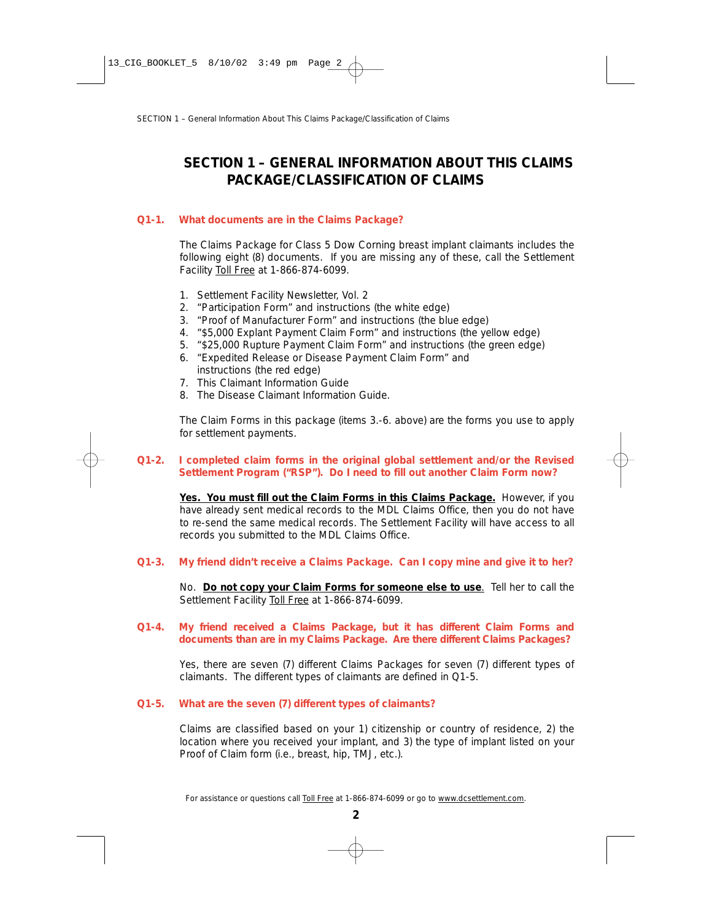# **SECTION 1 – GENERAL INFORMATION ABOUT THIS CLAIMS PACKAGE/CLASSIFICATION OF CLAIMS**

# **Q1-1. What documents are in the Claims Package?**

The Claims Package for Class 5 Dow Corning breast implant claimants includes the following eight (8) documents. If you are missing any of these, call the Settlement Facility Toll Free at 1-866-874-6099.

- 1. Settlement Facility Newsletter, Vol. 2
- 2. "Participation Form" and instructions (the white edge)
- 3. "Proof of Manufacturer Form" and instructions (the blue edge)
- 4. "\$5,000 Explant Payment Claim Form" and instructions (the yellow edge)
- 5. "\$25,000 Rupture Payment Claim Form" and instructions (the green edge)
- 6. "Expedited Release or Disease Payment Claim Form" and instructions (the red edge)
- 7. This Claimant Information Guide
- 8. The Disease Claimant Information Guide.

The Claim Forms in this package (items 3.-6. above) are the forms you use to apply for settlement payments.

# **Q1-2. I completed claim forms in the original global settlement and/or the Revised Settlement Program ("RSP"). Do I need to fill out another Claim Form now?**

**Yes. You must fill out the Claim Forms in this Claims Package.** However, if you have already sent medical records to the MDL Claims Office, then you do not have to re-send the same medical records. The Settlement Facility will have access to all records you submitted to the MDL Claims Office.

**Q1-3. My friend didn't receive a Claims Package. Can I copy mine and give it to her?** 

No. **Do not copy your Claim Forms for someone else to use**. Tell her to call the Settlement Facility Toll Free at 1-866-874-6099.

# **Q1-4. My friend received a Claims Package, but it has different Claim Forms and documents than are in my Claims Package. Are there different Claims Packages?**

Yes, there are seven (7) different Claims Packages for seven (7) different types of claimants. The different types of claimants are defined in Q1-5.

# **Q1-5. What are the seven (7) different types of claimants?**

Claims are classified based on your 1) citizenship or country of residence, 2) the location where you received your implant, and 3) the type of implant listed on your Proof of Claim form (i.e., breast, hip, TMJ, etc.).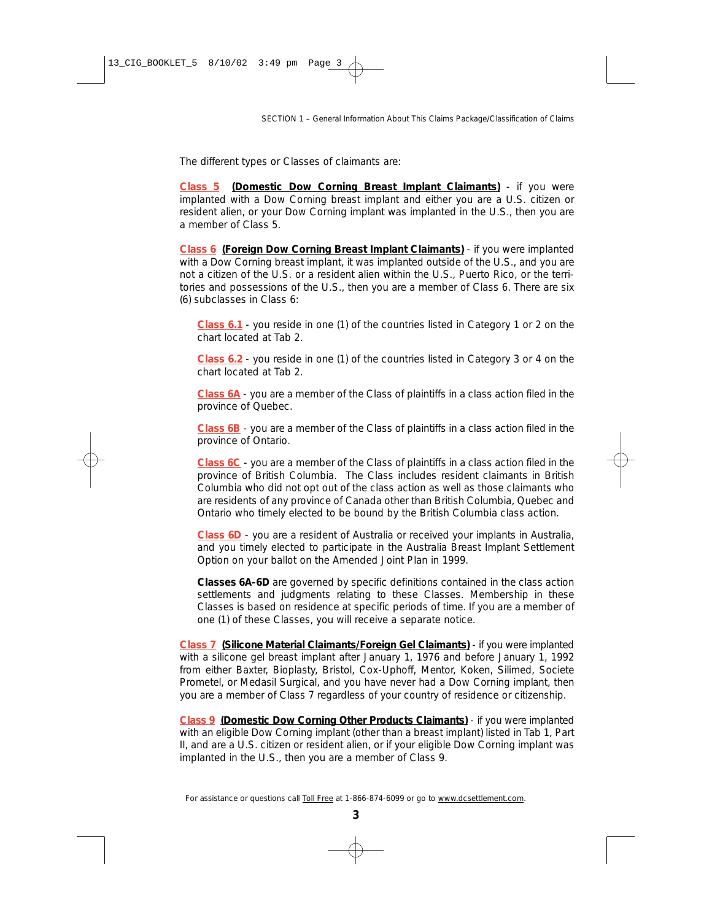The different types or Classes of claimants are:

*Class 5* **(Domestic Dow Corning Breast Implant Claimants)** - if you were implanted with a Dow Corning breast implant and either you are a U.S. citizen or resident alien, or your Dow Corning implant was implanted in the U.S., then you are a member of Class 5.

*Class 6* **(Foreign Dow Corning Breast Implant Claimants)** - if you were implanted with a Dow Corning breast implant, it was implanted outside of the U.S., and you are not a citizen of the U.S. or a resident alien within the U.S., Puerto Rico, or the territories and possessions of the U.S., then you are a member of Class 6. There are six (6) subclasses in Class 6:

*Class 6.1* - you reside in one (1) of the countries listed in Category 1 or 2 on the chart located at Tab 2.

*Class 6.2* - you reside in one (1) of the countries listed in Category 3 or 4 on the chart located at Tab 2.

*Class 6A* - you are a member of the Class of plaintiffs in a class action filed in the province of Quebec.

*Class 6B* - you are a member of the Class of plaintiffs in a class action filed in the province of Ontario.

*Class 6C* - you are a member of the Class of plaintiffs in a class action filed in the province of British Columbia. The Class includes resident claimants in British Columbia who did not opt out of the class action as well as those claimants who are residents of any province of Canada other than British Columbia, Quebec and Ontario who timely elected to be bound by the British Columbia class action.

*Class 6D* - you are a resident of Australia or received your implants in Australia, and you timely elected to participate in the Australia Breast Implant Settlement Option on your ballot on the Amended Joint Plan in 1999.

*Classes 6A-6D* are governed by specific definitions contained in the class action settlements and judgments relating to these Classes. Membership in these Classes is based on residence at specific periods of time. If you are a member of one (1) of these Classes, you will receive a separate notice.

*Class 7* **(Silicone Material Claimants/Foreign Gel Claimants)** - if you were implanted with a silicone gel breast implant after January 1, 1976 and before January 1, 1992 from either Baxter, Bioplasty, Bristol, Cox-Uphoff, Mentor, Koken, Silimed, Societe Prometel, or Medasil Surgical, and you have never had a Dow Corning implant, then you are a member of Class 7 regardless of your country of residence or citizenship.

*Class 9* **(Domestic Dow Corning Other Products Claimants)** - if you were implanted with an eligible Dow Corning implant (other than a breast implant) listed in Tab 1, Part II, and are a U.S. citizen or resident alien, or if your eligible Dow Corning implant was implanted in the U.S., then you are a member of Class 9.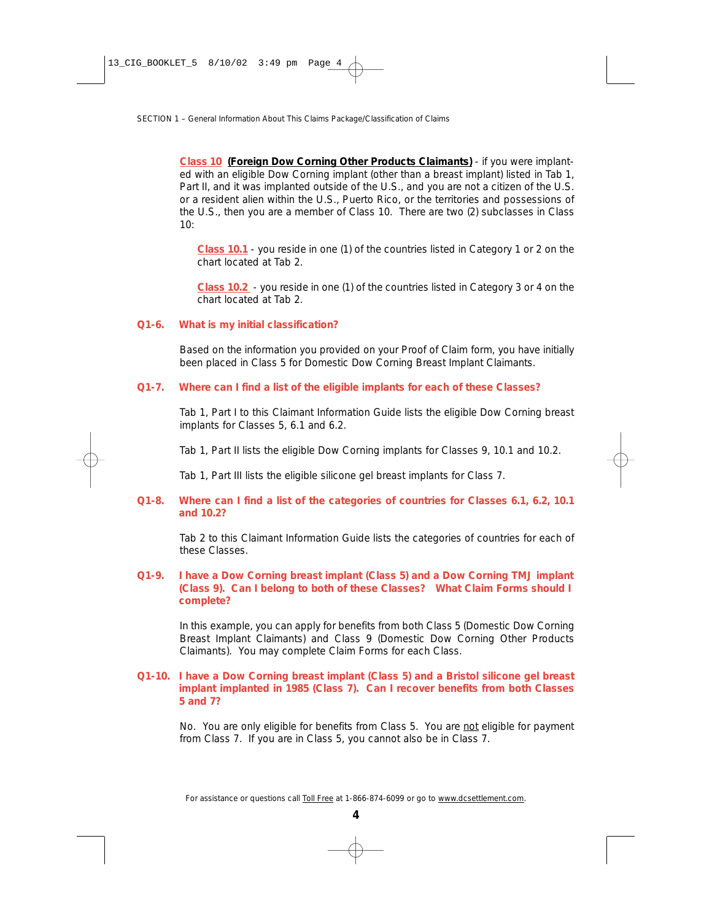*Class 10* **(Foreign Dow Corning Other Products Claimants)** - if you were implanted with an eligible Dow Corning implant (other than a breast implant) listed in Tab 1, Part II, and it was implanted outside of the U.S., and you are not a citizen of the U.S. or a resident alien within the U.S., Puerto Rico, or the territories and possessions of the U.S., then you are a member of Class 10. There are two (2) subclasses in Class  $10<sup>°</sup>$ 

*Class 10.1* - you reside in one (1) of the countries listed in Category 1 or 2 on the chart located at Tab 2.

*Class 10.2* - you reside in one (1) of the countries listed in Category 3 or 4 on the chart located at Tab 2.

# **Q1-6. What is my initial classification?**

Based on the information you provided on your Proof of Claim form, you have initially been placed in Class 5 for Domestic Dow Corning Breast Implant Claimants.

# **Q1-7. Where can I find a list of the eligible implants for each of these Classes?**

Tab 1, Part I to this Claimant Information Guide lists the eligible Dow Corning breast implants for Classes 5, 6.1 and 6.2.

Tab 1, Part II lists the eligible Dow Corning implants for Classes 9, 10.1 and 10.2.

Tab 1, Part III lists the eligible silicone gel breast implants for Class 7.

# **Q1-8. Where can I find a list of the categories of countries for Classes 6.1, 6.2, 10.1 and 10.2?**

Tab 2 to this Claimant Information Guide lists the categories of countries for each of these Classes.

# **Q1-9. I have a Dow Corning breast implant (Class 5) and a Dow Corning TMJ implant (Class 9). Can I belong to both of these Classes? What Claim Forms should I complete?**

In this example, you can apply for benefits from both Class 5 (Domestic Dow Corning Breast Implant Claimants) and Class 9 (Domestic Dow Corning Other Products Claimants). You may complete Claim Forms for each Class.

#### **Q1-10. I have a Dow Corning breast implant (Class 5) and a Bristol silicone gel breast implant implanted in 1985 (Class 7). Can I recover benefits from both Classes 5 and 7?**

No. You are only eligible for benefits from Class 5. You are not eligible for payment from Class 7. If you are in Class 5, you cannot also be in Class 7.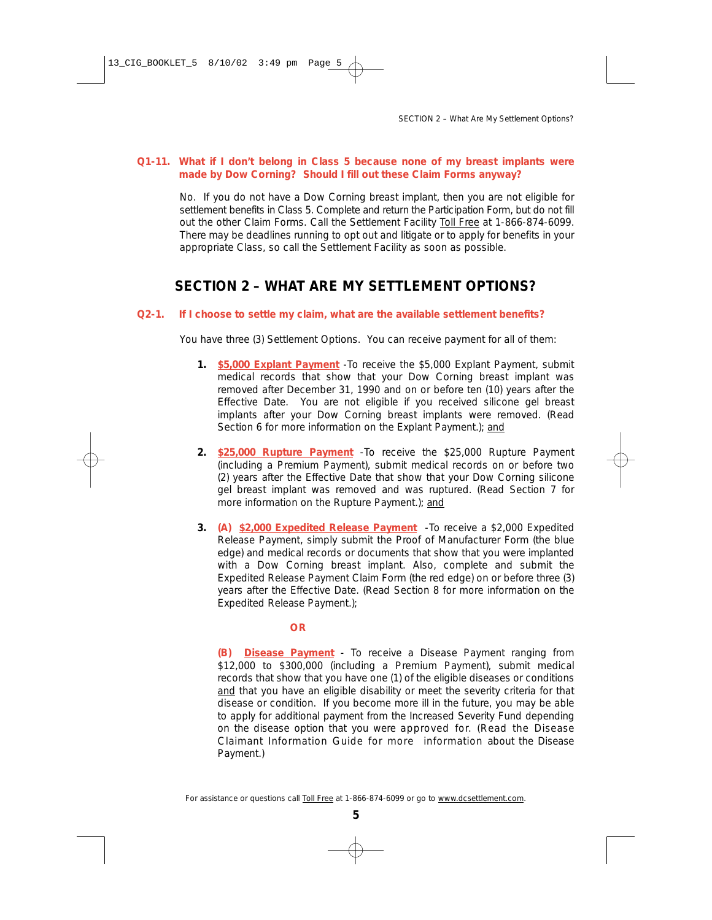# **Q1-11. What if I don't belong in Class 5 because none of my breast implants were made by Dow Corning? Should I fill out these Claim Forms anyway?**

No. If you do not have a Dow Corning breast implant, then you are not eligible for settlement benefits in Class 5. Complete and return the Participation Form, but do not fill out the other Claim Forms. Call the Settlement Facility Toll Free at 1-866-874-6099. There may be deadlines running to opt out and litigate or to apply for benefits in your appropriate Class, so call the Settlement Facility as soon as possible.

# **SECTION 2 – WHAT ARE MY SETTLEMENT OPTIONS?**

# **Q2-1. If I choose to settle my claim, what are the available settlement benefits?**

You have three (3) Settlement Options. You can receive payment for all of them:

- **1. \$5,000 Explant Payment** -To receive the \$5,000 Explant Payment, submit medical records that show that your Dow Corning breast implant was removed after December 31, 1990 and on or before ten (10) years after the Effective Date. You are not eligible if you received silicone gel breast implants after your Dow Corning breast implants were removed. *(Read Section 6 for more information on the Explant Payment.)*; *and*
- **2. \$25,000 Rupture Payment** -To receive the \$25,000 Rupture Payment (including a Premium Payment), submit medical records on or before two (2) years after the Effective Date that show that your Dow Corning silicone gel breast implant was removed and was ruptured. *(Read Section 7 for more information on the Rupture Payment.)*; *and*
- **3. (A) \$2,000 Expedited Release Payment** -To receive a \$2,000 Expedited Release Payment, simply submit the Proof of Manufacturer Form (the blue edge) and medical records or documents that show that you were implanted with a Dow Corning breast implant. Also, complete and submit the Expedited Release Payment Claim Form (the red edge) on or before three (3) years after the Effective Date. *(Read Section 8 for more information on the Expedited Release Payment.)*;

# **OR**

**(B) Disease Payment** - To receive a Disease Payment ranging from \$12,000 to \$300,000 (including a Premium Payment), submit medical records that show that you have one (1) of the eligible diseases or conditions and that you have an eligible disability or meet the severity criteria for that disease or condition. If you become more ill in the future, you may be able to apply for additional payment from the Increased Severity Fund depending on the disease option that you were approved for. *(Read the Disease Claimant Information Guide for more information about the Disease Payment.)*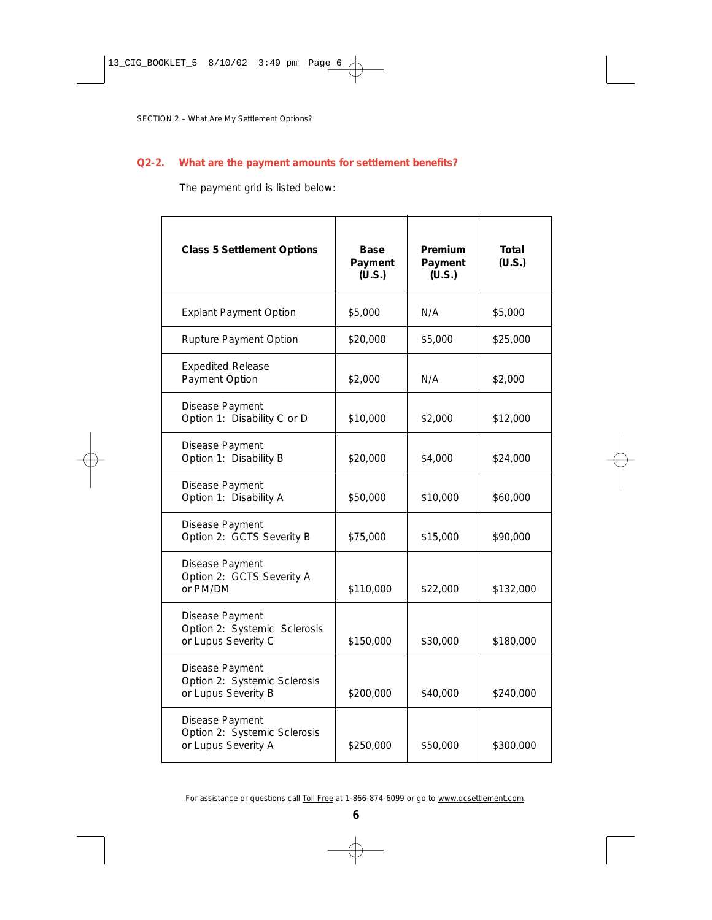# **Q2-2. What are the payment amounts for settlement benefits?**

The payment grid is listed below:

| <b>Class 5 Settlement Options</b>                                      | Base<br>Payment<br>(U.S.) | Premium<br>Payment<br>(U.S.) | Total<br>(U.S.) |
|------------------------------------------------------------------------|---------------------------|------------------------------|-----------------|
| <b>Explant Payment Option</b>                                          | \$5,000                   | N/A                          | \$5,000         |
| Rupture Payment Option                                                 | \$20,000                  | \$5,000                      | \$25,000        |
| <b>Expedited Release</b><br>Payment Option                             | \$2,000                   | N/A                          | \$2,000         |
| Disease Payment<br>Option 1: Disability C or D                         | \$10,000                  | \$2,000                      | \$12,000        |
| Disease Payment<br>Option 1: Disability B                              | \$20,000                  | \$4,000                      | \$24,000        |
| Disease Payment<br>Option 1: Disability A                              | \$50,000                  | \$10,000                     | \$60,000        |
| Disease Payment<br>Option 2: GCTS Severity B                           | \$75,000                  | \$15,000                     | \$90,000        |
| Disease Payment<br>Option 2: GCTS Severity A<br>or PM/DM               | \$110,000                 | \$22,000                     | \$132,000       |
| Disease Payment<br>Option 2: Systemic Sclerosis<br>or Lupus Severity C | \$150,000                 | \$30,000                     | \$180,000       |
| Disease Payment<br>Option 2: Systemic Sclerosis<br>or Lupus Severity B | \$200,000                 | \$40,000                     | \$240,000       |
| Disease Payment<br>Option 2: Systemic Sclerosis<br>or Lupus Severity A | \$250,000                 | \$50,000                     | \$300,000       |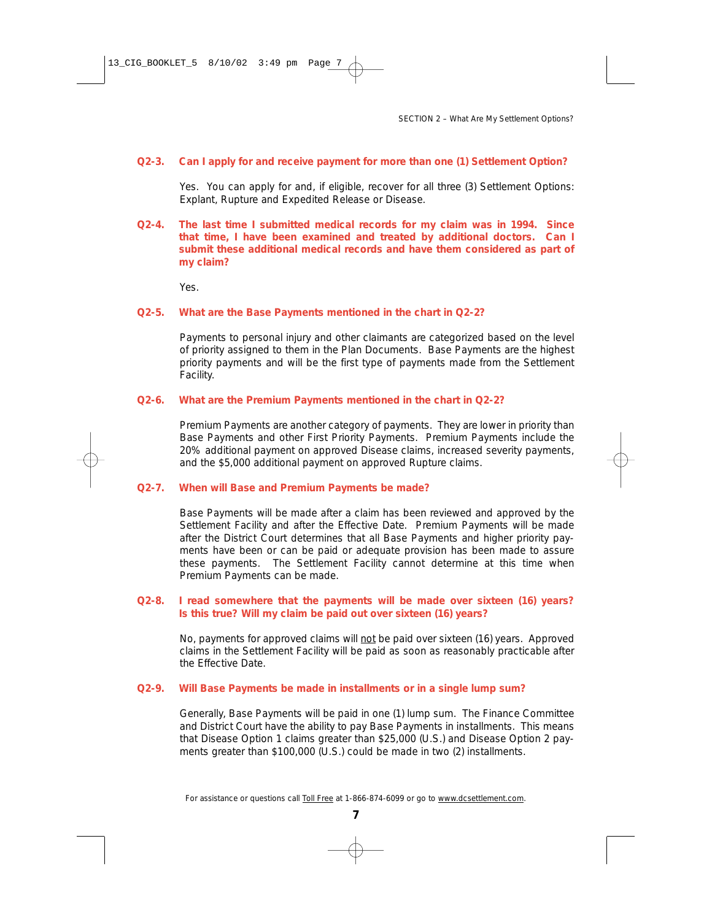#### **Q2-3. Can I apply for and receive payment for more than one (1) Settlement Option?**

Yes. You can apply for and, if eligible, recover for all three (3) Settlement Options: Explant, Rupture and Expedited Release or Disease.

**Q2-4. The last time I submitted medical records for my claim was in 1994. Since that time, I have been examined and treated by additional doctors. Can I submit these additional medical records and have them considered as part of my claim?**

Yes.

#### **Q2-5. What are the Base Payments mentioned in the chart in Q2-2?**

Payments to personal injury and other claimants are categorized based on the level of priority assigned to them in the Plan Documents. Base Payments are the highest priority payments and will be the first type of payments made from the Settlement Facility.

#### **Q2-6. What are the Premium Payments mentioned in the chart in Q2-2?**

Premium Payments are another category of payments. They are lower in priority than Base Payments and other First Priority Payments. Premium Payments include the 20% additional payment on approved Disease claims, increased severity payments, and the \$5,000 additional payment on approved Rupture claims.

#### **Q2-7. When will Base and Premium Payments be made?**

Base Payments will be made after a claim has been reviewed and approved by the Settlement Facility and after the Effective Date. Premium Payments will be made after the District Court determines that all Base Payments and higher priority payments have been or can be paid or adequate provision has been made to assure these payments. The Settlement Facility cannot determine at this time when Premium Payments can be made.

#### **Q2-8. I read somewhere that the payments will be made over sixteen (16) years? Is this true? Will my claim be paid out over sixteen (16) years?**

No, payments for approved claims will not be paid over sixteen (16) years. Approved claims in the Settlement Facility will be paid as soon as reasonably practicable after the Effective Date.

#### **Q2-9. Will Base Payments be made in installments or in a single lump sum?**

Generally, Base Payments will be paid in one (1) lump sum. The Finance Committee and District Court have the ability to pay Base Payments in installments. This means that Disease Option 1 claims greater than \$25,000 (U.S.) and Disease Option 2 payments greater than \$100,000 (U.S.) could be made in two (2) installments.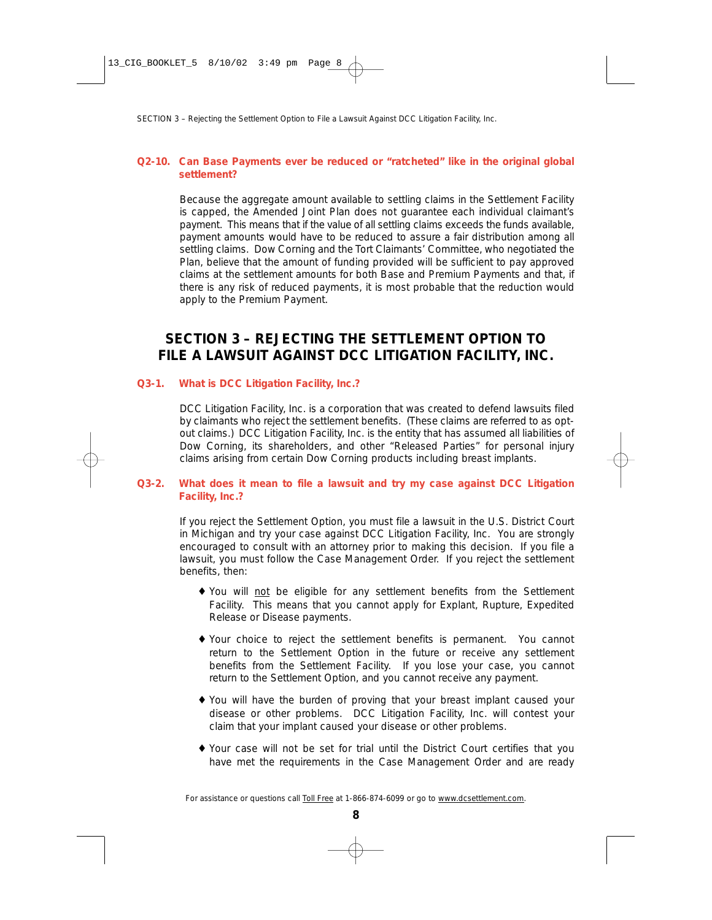# **Q2-10. Can Base Payments ever be reduced or "ratcheted" like in the original global settlement?**

Because the aggregate amount available to settling claims in the Settlement Facility is capped, the Amended Joint Plan does not guarantee each individual claimant's payment. This means that if the value of all settling claims exceeds the funds available, payment amounts would have to be reduced to assure a fair distribution among all settling claims. Dow Corning and the Tort Claimants' Committee, who negotiated the Plan, believe that the amount of funding provided will be sufficient to pay approved claims at the settlement amounts for both Base and Premium Payments and that, if there is any risk of reduced payments, it is most probable that the reduction would apply to the Premium Payment.

# **SECTION 3 – REJECTING THE SETTLEMENT OPTION TO FILE A LAWSUIT AGAINST DCC LITIGATION FACILITY, INC.**

# **Q3-1. What is DCC Litigation Facility, Inc.?**

DCC Litigation Facility, Inc. is a corporation that was created to defend lawsuits filed by claimants who reject the settlement benefits. (These claims are referred to as optout claims.) DCC Litigation Facility, Inc. is the entity that has assumed all liabilities of Dow Corning, its shareholders, and other "Released Parties" for personal injury claims arising from certain Dow Corning products including breast implants.

# **Q3-2. What does it mean to file a lawsuit and try my case against DCC Litigation Facility, Inc.?**

If you reject the Settlement Option, you must file a lawsuit in the U.S. District Court in Michigan and try your case against DCC Litigation Facility, Inc. You are strongly encouraged to consult with an attorney prior to making this decision. If you file a lawsuit, you must follow the Case Management Order. If you reject the settlement benefits, then:

- ♦ You will not be eligible for any settlement benefits from the Settlement Facility. This means that you cannot apply for Explant, Rupture, Expedited Release or Disease payments.
- ♦ Your choice to reject the settlement benefits is permanent. You cannot return to the Settlement Option in the future or receive any settlement benefits from the Settlement Facility. If you lose your case, you cannot return to the Settlement Option, and you cannot receive any payment.
- ♦ You will have the burden of proving that your breast implant caused your disease or other problems. DCC Litigation Facility, Inc. will contest your claim that your implant caused your disease or other problems.
- ♦ Your case will not be set for trial until the District Court certifies that you have met the requirements in the Case Management Order and are ready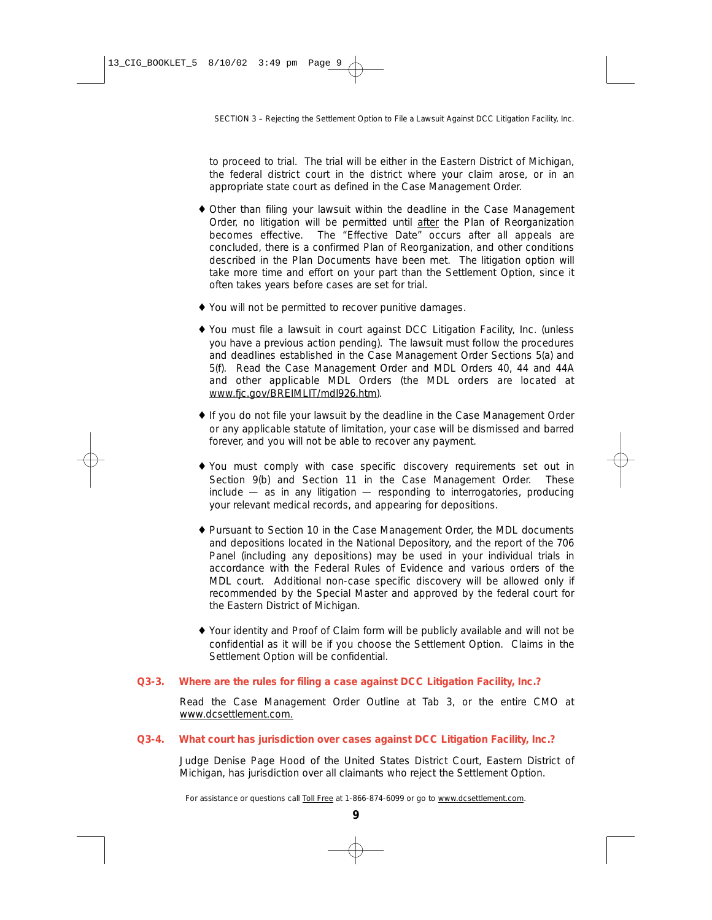to proceed to trial. The trial will be either in the Eastern District of Michigan, the federal district court in the district where your claim arose, or in an appropriate state court as defined in the Case Management Order.

- ♦ Other than filing your lawsuit within the deadline in the Case Management Order, no litigation will be permitted until after the Plan of Reorganization becomes effective. The "Effective Date" occurs after all appeals are concluded, there is a confirmed Plan of Reorganization, and other conditions described in the Plan Documents have been met. The litigation option will take more time and effort on your part than the Settlement Option, since it often takes years before cases are set for trial.
- ♦ You will not be permitted to recover punitive damages.
- ♦ You must file a lawsuit in court against DCC Litigation Facility, Inc. (unless you have a previous action pending). The lawsuit must follow the procedures and deadlines established in the Case Management Order Sections 5(a) and 5(f). Read the Case Management Order and MDL Orders 40, 44 and 44A and other applicable MDL Orders (the MDL orders are located at www.fjc.gov/BREIMLIT/mdl926.htm).
- ♦ If you do not file your lawsuit by the deadline in the Case Management Order or any applicable statute of limitation, your case will be dismissed and barred forever, and you will not be able to recover any payment.
- ♦ You must comply with case specific discovery requirements set out in Section 9(b) and Section 11 in the Case Management Order. These include — as in any litigation — responding to interrogatories, producing your relevant medical records, and appearing for depositions.
- ♦ Pursuant to Section 10 in the Case Management Order, the MDL documents and depositions located in the National Depository, and the report of the 706 Panel (including any depositions) may be used in your individual trials in accordance with the Federal Rules of Evidence and various orders of the MDL court. Additional non-case specific discovery will be allowed only if recommended by the Special Master and approved by the federal court for the Eastern District of Michigan.
- ♦ Your identity and Proof of Claim form will be publicly available and will not be confidential as it will be if you choose the Settlement Option. Claims in the Settlement Option will be confidential.

# **Q3-3. Where are the rules for filing a case against DCC Litigation Facility, Inc.?**

Read the Case Management Order Outline at Tab 3, or the entire CMO at www.dcsettlement.com.

# **Q3-4. What court has jurisdiction over cases against DCC Litigation Facility, Inc.?**

Judge Denise Page Hood of the United States District Court, Eastern District of Michigan, has jurisdiction over all claimants who reject the Settlement Option.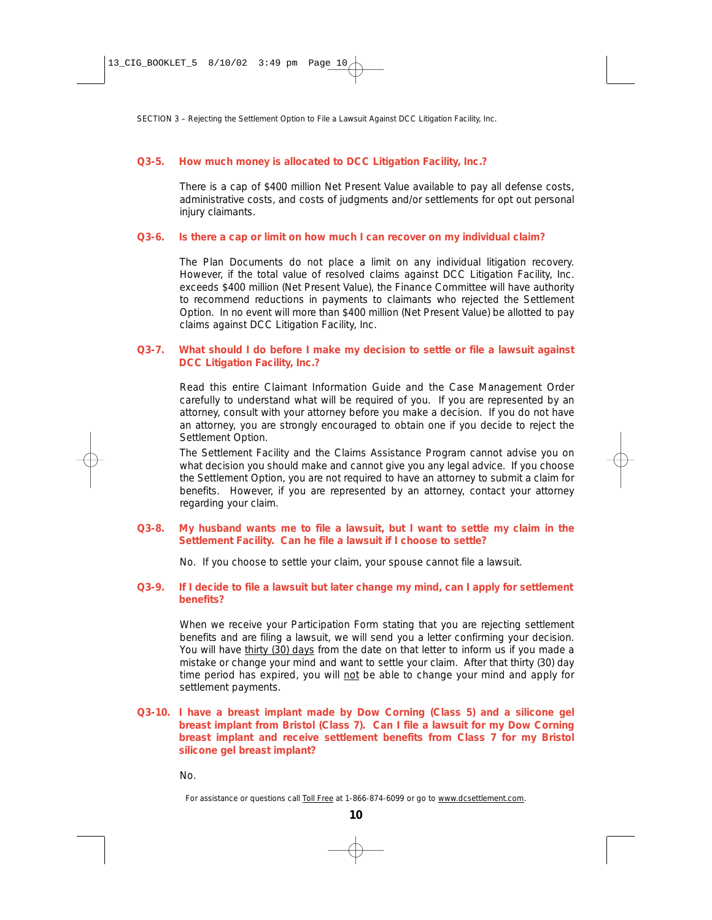# **Q3-5. How much money is allocated to DCC Litigation Facility, Inc.?**

There is a cap of \$400 million Net Present Value available to pay all defense costs, administrative costs, and costs of judgments and/or settlements for opt out personal injury claimants.

#### **Q3-6. Is there a cap or limit on how much I can recover on my individual claim?**

The Plan Documents do not place a limit on any individual litigation recovery. However, if the total value of resolved claims against DCC Litigation Facility, Inc. exceeds \$400 million (Net Present Value), the Finance Committee will have authority to recommend reductions in payments to claimants who rejected the Settlement Option. In no event will more than \$400 million (Net Present Value) be allotted to pay claims against DCC Litigation Facility, Inc.

## **Q3-7. What should I do before I make my decision to settle or file a lawsuit against DCC Litigation Facility, Inc.?**

Read this entire Claimant Information Guide and the Case Management Order carefully to understand what will be required of you. If you are represented by an attorney, consult with your attorney before you make a decision. If you do not have an attorney, you are strongly encouraged to obtain one if you decide to reject the Settlement Option.

The Settlement Facility and the Claims Assistance Program cannot advise you on what decision you should make and cannot give you any legal advice. If you choose the Settlement Option, you are not required to have an attorney to submit a claim for benefits. However, if you are represented by an attorney, contact your attorney regarding your claim.

# **Q3-8. My husband wants me to file a lawsuit, but I want to settle my claim in the Settlement Facility. Can he file a lawsuit if I choose to settle?**

No. If you choose to settle your claim, your spouse cannot file a lawsuit.

#### **Q3-9. If I decide to file a lawsuit but later change my mind, can I apply for settlement benefits?**

When we receive your Participation Form stating that you are rejecting settlement benefits and are filing a lawsuit, we will send you a letter confirming your decision. You will have thirty (30) days from the date on that letter to inform us if you made a mistake or change your mind and want to settle your claim. After that thirty (30) day time period has expired, you will not be able to change your mind and apply for settlement payments.

# **Q3-10. I have a breast implant made by Dow Corning (Class 5) and a silicone gel breast implant from Bristol (Class 7). Can I file a lawsuit for my Dow Corning breast implant and receive settlement benefits from Class 7 for my Bristol silicone gel breast implant?**

No.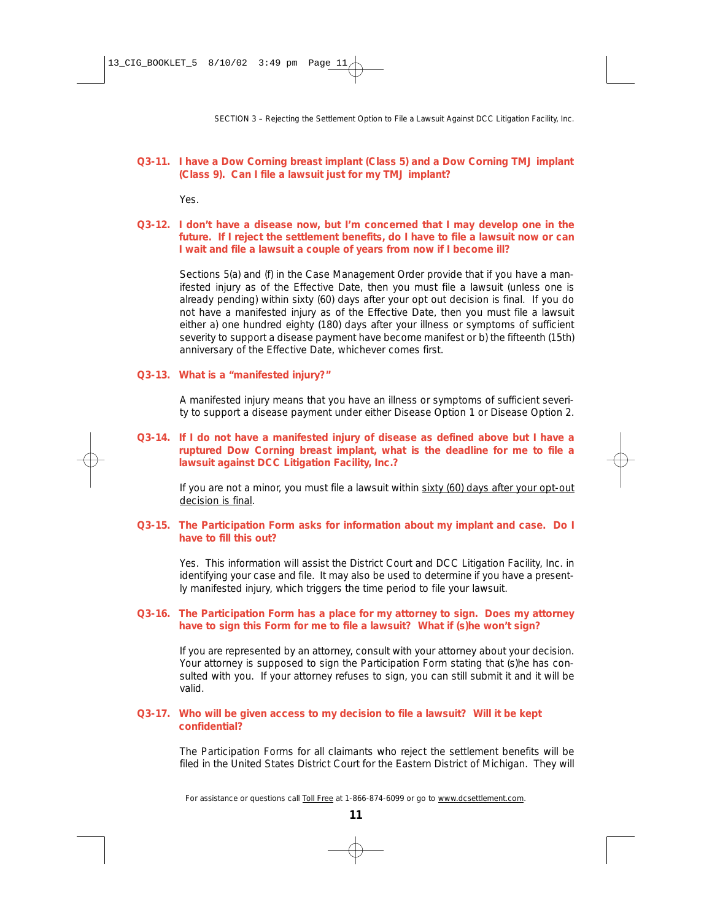# **Q3-11. I have a Dow Corning breast implant (Class 5) and a Dow Corning TMJ implant (Class 9). Can I file a lawsuit just for my TMJ implant?**

Yes.

# **Q3-12. I don't have a disease now, but I'm concerned that I may develop one in the future. If I reject the settlement benefits, do I have to file a lawsuit now or can I wait and file a lawsuit a couple of years from now if I become ill?**

Sections 5(a) and (f) in the Case Management Order provide that if you have a manifested injury as of the Effective Date, then you must file a lawsuit (unless one is already pending) within sixty (60) days after your opt out decision is final. If you do not have a manifested injury as of the Effective Date, then you must file a lawsuit either a) one hundred eighty (180) days after your illness or symptoms of sufficient severity to support a disease payment have become manifest or b) the fifteenth (15th) anniversary of the Effective Date, whichever comes first.

# **Q3-13. What is a "manifested injury?"**

A manifested injury means that you have an illness or symptoms of sufficient severity to support a disease payment under either Disease Option 1 or Disease Option 2.

# **Q3-14. If I do not have a manifested injury of disease as defined above but I have a ruptured Dow Corning breast implant, what is the deadline for me to file a lawsuit against DCC Litigation Facility, Inc.?**

If you are not a minor, you must file a lawsuit within sixty (60) days after your opt-out decision is final.

#### **Q3-15. The Participation Form asks for information about my implant and case. Do I have to fill this out?**

Yes. This information will assist the District Court and DCC Litigation Facility, Inc. in identifying your case and file. It may also be used to determine if you have a presently manifested injury, which triggers the time period to file your lawsuit.

# **Q3-16. The Participation Form has a place for my attorney to sign. Does my attorney have to sign this Form for me to file a lawsuit? What if (s)he won't sign?**

If you are represented by an attorney, consult with your attorney about your decision. Your attorney is supposed to sign the Participation Form stating that (s)he has consulted with you. If your attorney refuses to sign, you can still submit it and it will be valid.

#### **Q3-17. Who will be given access to my decision to file a lawsuit? Will it be kept confidential?**

The Participation Forms for all claimants who reject the settlement benefits will be filed in the United States District Court for the Eastern District of Michigan. They will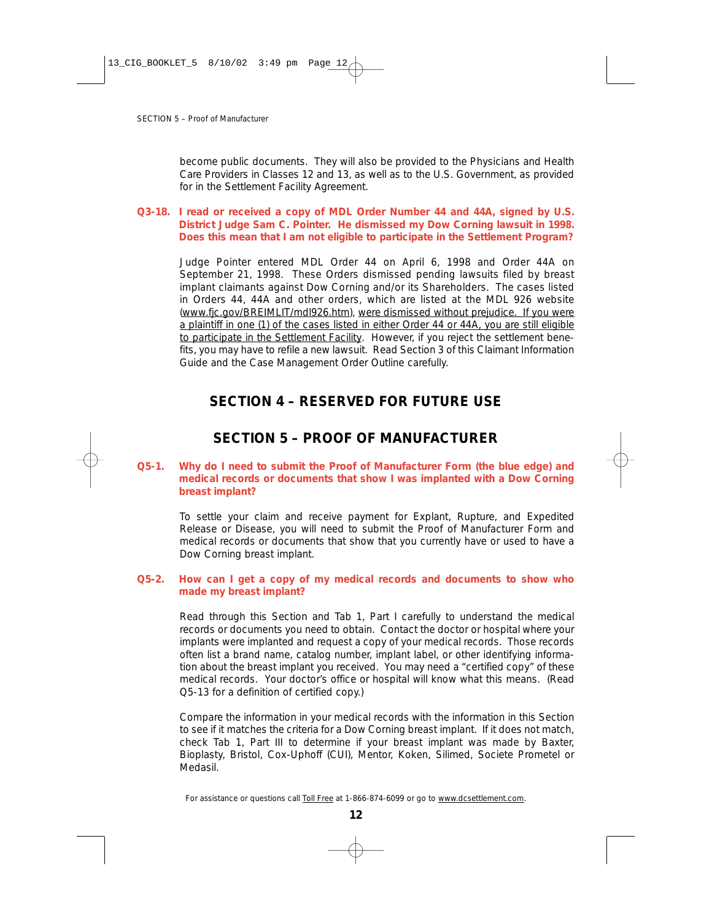become public documents. They will also be provided to the Physicians and Health Care Providers in Classes 12 and 13, as well as to the U.S. Government, as provided for in the Settlement Facility Agreement.

# **Q3-18. I read or received a copy of MDL Order Number 44 and 44A, signed by U.S. District Judge Sam C. Pointer. He dismissed my Dow Corning lawsuit in 1998. Does this mean that I am not eligible to participate in the Settlement Program?**

Judge Pointer entered MDL Order 44 on April 6, 1998 and Order 44A on September 21, 1998. These Orders dismissed pending lawsuits filed by breast implant claimants against Dow Corning and/or its Shareholders. The cases listed in Orders 44, 44A and other orders, which are listed at the MDL 926 website (www.fjc.gov/BREIMLIT/mdl926.htm), were dismissed without prejudice. If you were a plaintiff in one (1) of the cases listed in either Order 44 or 44A, you are still eligible to participate in the Settlement Facility. However, if you reject the settlement benefits, you may have to refile a new lawsuit. Read Section 3 of this Claimant Information Guide and the Case Management Order Outline carefully.

# **SECTION 4 – RESERVED FOR FUTURE USE**

# **SECTION 5 – PROOF OF MANUFACTURER**

# **Q5-1. Why do I need to submit the Proof of Manufacturer Form (the blue edge) and medical records or documents that show I was implanted with a Dow Corning breast implant?**

To settle your claim and receive payment for Explant, Rupture, and Expedited Release or Disease, you will need to submit the Proof of Manufacturer Form and medical records or documents that show that you currently have or used to have a Dow Corning breast implant.

#### **Q5-2. How can I get a copy of my medical records and documents to show who made my breast implant?**

Read through this Section and Tab 1, Part I carefully to understand the medical records or documents you need to obtain. Contact the doctor or hospital where your implants were implanted and request a copy of your medical records. Those records often list a brand name, catalog number, implant label, or other identifying information about the breast implant you received. You may need a "certified copy" of these medical records. Your doctor's office or hospital will know what this means. *(Read Q5-13 for a definition of certified copy.)*

Compare the information in your medical records with the information in this Section to see if it matches the criteria for a Dow Corning breast implant. If it does not match, check Tab 1, Part III to determine if your breast implant was made by Baxter, Bioplasty, Bristol, Cox-Uphoff (CUI), Mentor, Koken, Silimed, Societe Prometel or Medasil.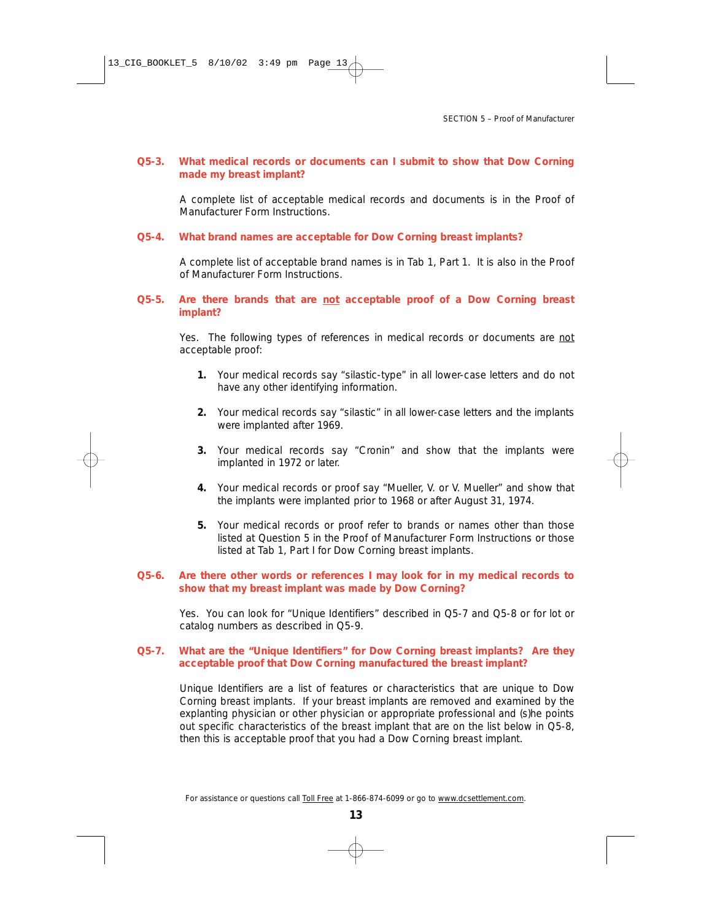#### **Q5-3. What medical records or documents can I submit to show that Dow Corning made my breast implant?**

A complete list of acceptable medical records and documents is in the Proof of Manufacturer Form Instructions.

#### **Q5-4. What brand names are acceptable for Dow Corning breast implants?**

A complete list of acceptable brand names is in Tab 1, Part 1. It is also in the Proof of Manufacturer Form Instructions.

#### **Q5-5. Are there brands that are not acceptable proof of a Dow Corning breast implant?**

Yes. The following types of references in medical records or documents are not acceptable proof:

- **1.** Your medical records say "silastic-type" in all lower-case letters and do not have any other identifying information.
- **2.** Your medical records say "silastic" in all lower-case letters and the implants were implanted after 1969.
- **3.** Your medical records say "Cronin" and show that the implants were implanted in 1972 or later.
- **4.** Your medical records or proof say "Mueller, V. or V. Mueller" and show that the implants were implanted prior to 1968 or after August 31, 1974.
- **5.** Your medical records or proof refer to brands or names other than those listed at Question 5 in the Proof of Manufacturer Form Instructions or those listed at Tab 1, Part I for Dow Corning breast implants.

#### **Q5-6. Are there other words or references I may look for in my medical records to show that my breast implant was made by Dow Corning?**

Yes. You can look for "Unique Identifiers" described in Q5-7 and Q5-8 or for lot or catalog numbers as described in Q5-9.

#### **Q5-7. What are the "Unique Identifiers" for Dow Corning breast implants? Are they acceptable proof that Dow Corning manufactured the breast implant?**

Unique Identifiers are a list of features or characteristics that are unique to Dow Corning breast implants. If your breast implants are removed and examined by the explanting physician or other physician or appropriate professional and (s)he points out specific characteristics of the breast implant that are on the list below in Q5-8, then this is acceptable proof that you had a Dow Corning breast implant.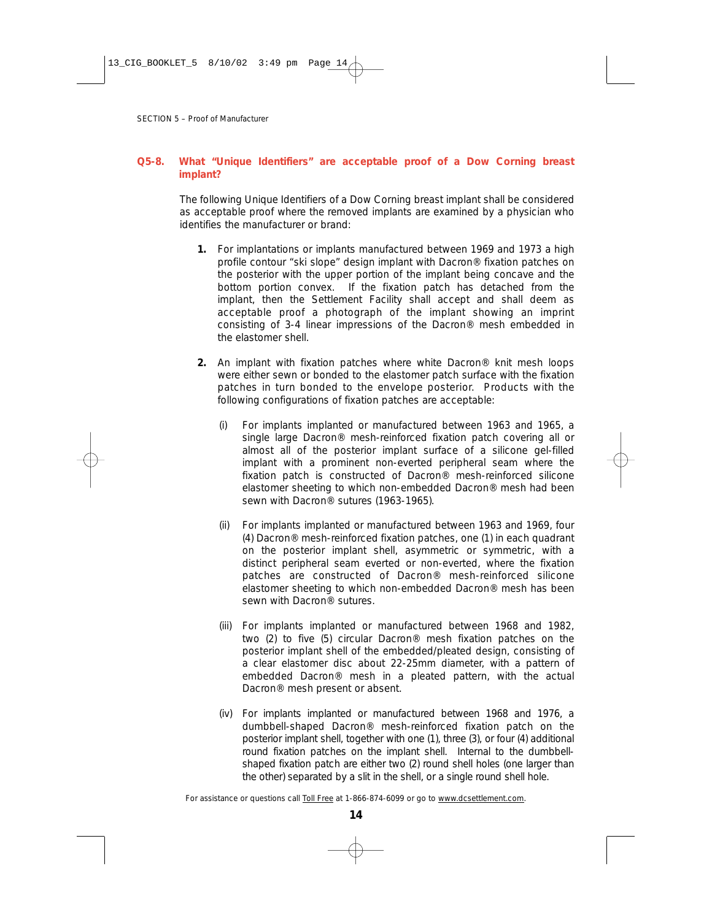# **Q5-8. What "Unique Identifiers" are acceptable proof of a Dow Corning breast implant?**

The following Unique Identifiers of a Dow Corning breast implant shall be considered as acceptable proof where the removed implants are examined by a physician who identifies the manufacturer or brand:

- **1.** For implantations or implants manufactured between 1969 and 1973 a high profile contour "ski slope" design implant with Dacron® fixation patches on the posterior with the upper portion of the implant being concave and the bottom portion convex. If the fixation patch has detached from the implant, then the Settlement Facility shall accept and shall deem as acceptable proof a photograph of the implant showing an imprint consisting of 3-4 linear impressions of the Dacron® mesh embedded in the elastomer shell.
- **2.** An implant with fixation patches where white Dacron® knit mesh loops were either sewn or bonded to the elastomer patch surface with the fixation patches in turn bonded to the envelope posterior. Products with the following configurations of fixation patches are acceptable:
	- (i) For implants implanted or manufactured between 1963 and 1965, a single large Dacron® mesh-reinforced fixation patch covering all or almost all of the posterior implant surface of a silicone gel-filled implant with a prominent non-everted peripheral seam where the fixation patch is constructed of Dacron® mesh-reinforced silicone elastomer sheeting to which non-embedded Dacron® mesh had been sewn with Dacron® sutures (1963-1965).
	- (ii) For implants implanted or manufactured between 1963 and 1969, four (4) Dacron® mesh-reinforced fixation patches, one (1) in each quadrant on the posterior implant shell, asymmetric or symmetric, with a distinct peripheral seam everted or non-everted, where the fixation patches are constructed of Dacron® mesh-reinforced silicone elastomer sheeting to which non-embedded Dacron® mesh has been sewn with Dacron® sutures.
	- (iii) For implants implanted or manufactured between 1968 and 1982, two (2) to five (5) circular Dacron® mesh fixation patches on the posterior implant shell of the embedded/pleated design, consisting of a clear elastomer disc about 22-25mm diameter, with a pattern of embedded Dacron® mesh in a pleated pattern, with the actual Dacron® mesh present or absent.
	- (iv) For implants implanted or manufactured between 1968 and 1976, a dumbbell-shaped Dacron® mesh-reinforced fixation patch on the posterior implant shell, together with one (1), three (3), or four (4) additional round fixation patches on the implant shell. Internal to the dumbbellshaped fixation patch are either two (2) round shell holes (one larger than the other) separated by a slit in the shell, or a single round shell hole.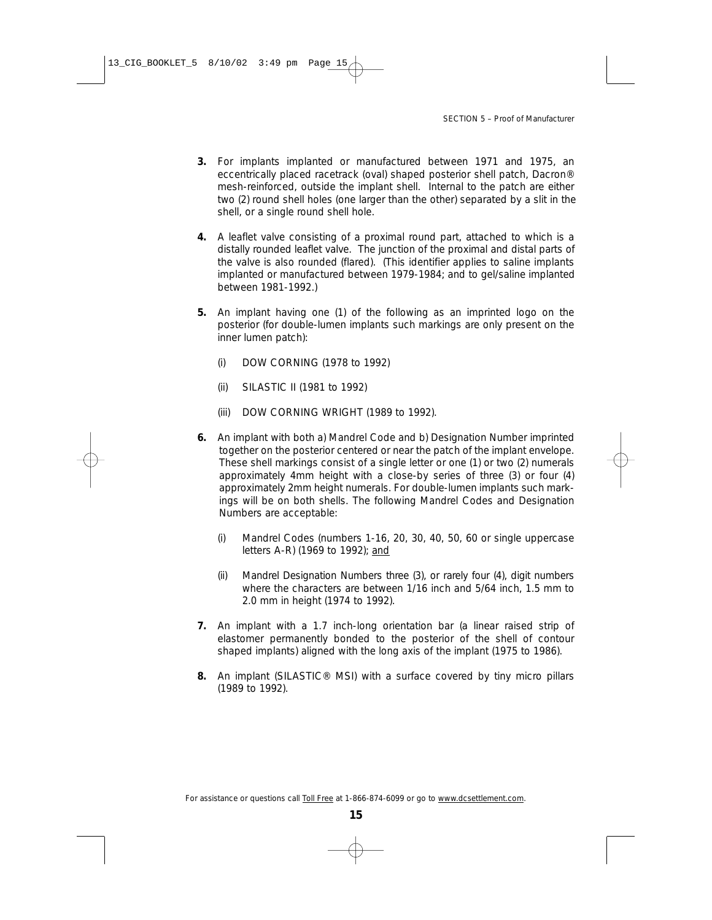- **3.** For implants implanted or manufactured between 1971 and 1975, an eccentrically placed racetrack (oval) shaped posterior shell patch, Dacron® mesh-reinforced, outside the implant shell. Internal to the patch are either two (2) round shell holes (one larger than the other) separated by a slit in the shell, or a single round shell hole.
- **4.** A leaflet valve consisting of a proximal round part, attached to which is a distally rounded leaflet valve. The junction of the proximal and distal parts of the valve is also rounded (flared). (This identifier applies to saline implants implanted or manufactured between 1979-1984; and to gel/saline implanted between 1981-1992.)
- **5.** An implant having one (1) of the following as an imprinted logo on the posterior (for double-lumen implants such markings are only present on the inner lumen patch):
	- (i) DOW CORNING (1978 to 1992)
	- (ii) SILASTIC II (1981 to 1992)
	- (iii) DOW CORNING WRIGHT (1989 to 1992).
- **6.** An implant with both a) Mandrel Code and b) Designation Number imprinted together on the posterior centered or near the patch of the implant envelope. These shell markings consist of a single letter or one (1) or two (2) numerals approximately 4mm height with a close-by series of three (3) or four (4) approximately 2mm height numerals. For double-lumen implants such markings will be on both shells. The following Mandrel Codes and Designation Numbers are acceptable:
	- (i) Mandrel Codes (numbers 1-16, 20, 30, 40, 50, 60 or single uppercase letters A-R) (1969 to 1992); *and*
	- (ii) Mandrel Designation Numbers three (3), or rarely four (4), digit numbers where the characters are between 1/16 inch and 5/64 inch, 1.5 mm to 2.0 mm in height (1974 to 1992).
- **7.** An implant with a 1.7 inch-long orientation bar (a linear raised strip of elastomer permanently bonded to the posterior of the shell of contour shaped implants) aligned with the long axis of the implant (1975 to 1986).
- **8.** An implant (SILASTIC® MSI) with a surface covered by tiny micro pillars (1989 to 1992).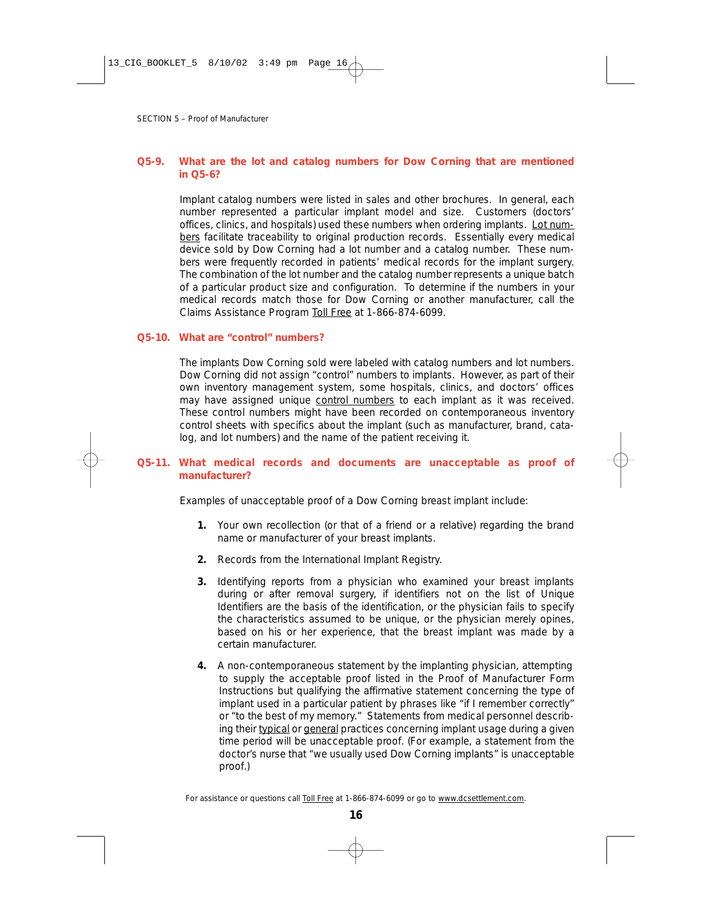# **Q5-9. What are the lot and catalog numbers for Dow Corning that are mentioned in Q5-6?**

Implant catalog numbers were listed in sales and other brochures. In general, each number represented a particular implant model and size. Customers (doctors' offices, clinics, and hospitals) used these numbers when ordering implants. Lot numbers facilitate traceability to original production records. Essentially every medical device sold by Dow Corning had a lot number and a catalog number. These numbers were frequently recorded in patients' medical records for the implant surgery. The combination of the lot number and the catalog number represents a unique batch of a particular product size and configuration. To determine if the numbers in your medical records match those for Dow Corning or another manufacturer, call the Claims Assistance Program Toll Free at 1-866-874-6099.

#### **Q5-10. What are "control" numbers?**

The implants Dow Corning sold were labeled with catalog numbers and lot numbers. Dow Corning did not assign "control" numbers to implants. However, as part of their own inventory management system, some hospitals, clinics, and doctors' offices may have assigned unique control numbers to each implant as it was received. These control numbers might have been recorded on contemporaneous inventory control sheets with specifics about the implant (such as manufacturer, brand, catalog, and lot numbers) and the name of the patient receiving it.

# **Q5-11. What medical records and documents are unacceptable as proof of manufacturer?**

Examples of unacceptable proof of a Dow Corning breast implant include:

- **1.** Your own recollection (or that of a friend or a relative) regarding the brand name or manufacturer of your breast implants.
- **2.** Records from the International Implant Registry.
- **3.** Identifying reports from a physician who examined your breast implants during or after removal surgery, if identifiers not on the list of Unique Identifiers are the basis of the identification, or the physician fails to specify the characteristics assumed to be unique, or the physician merely opines, based on his or her experience, that the breast implant was made by a certain manufacturer.
- **4.** A non-contemporaneous statement by the implanting physician, attempting to supply the acceptable proof listed in the Proof of Manufacturer Form Instructions but qualifying the affirmative statement concerning the type of implant used in a particular patient by phrases like "if I remember correctly" or "to the best of my memory." Statements from medical personnel describing their typical or general practices concerning implant usage during a given time period will be unacceptable proof. (For example, a statement from the doctor's nurse that "we usually used Dow Corning implants" is *unacceptable proof*.)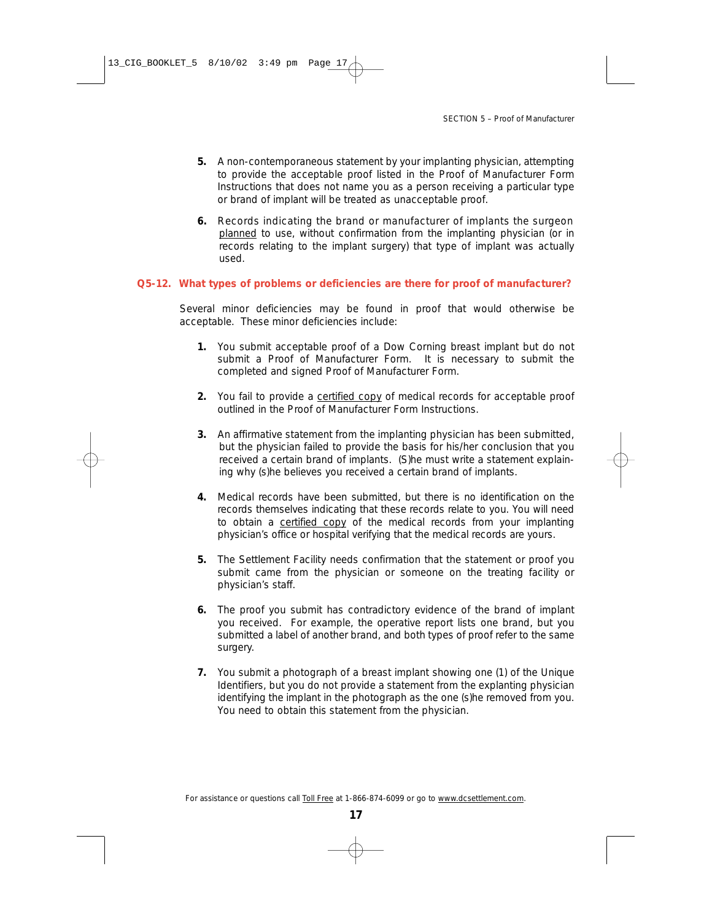- **5.** A non-contemporaneous statement by your implanting physician, attempting to provide the acceptable proof listed in the Proof of Manufacturer Form Instructions that does not name you as a person receiving a particular type or brand of implant will be treated as unacceptable proof.
- **6.** Records indicating the brand or manufacturer of implants the surgeon planned to use, without confirmation from the implanting physician (or in records relating to the implant surgery) that type of implant was actually used.

#### **Q5-12. What types of problems or deficiencies are there for proof of manufacturer?**

Several minor deficiencies may be found in proof that would otherwise be acceptable. These minor deficiencies include:

- **1.** You submit acceptable proof of a Dow Corning breast implant but do not submit a Proof of Manufacturer Form. It is necessary to submit the completed and signed Proof of Manufacturer Form.
- **2.** You fail to provide a certified copy of medical records for acceptable proof outlined in the Proof of Manufacturer Form Instructions.
- **3.** An affirmative statement from the implanting physician has been submitted, but the physician failed to provide the basis for his/her conclusion that you received a certain brand of implants. (S)he must write a statement explaining why (s)he believes you received a certain brand of implants.
- **4.** Medical records have been submitted, but there is no identification on the records themselves indicating that these records relate to you. You will need to obtain a certified copy of the medical records from your implanting physician's office or hospital verifying that the medical records are yours.
- **5.** The Settlement Facility needs confirmation that the statement or proof you submit came from the physician or someone on the treating facility or physician's staff.
- **6.** The proof you submit has contradictory evidence of the brand of implant you received. For example, the operative report lists one brand, but you submitted a label of another brand, and both types of proof refer to the same surgery.
- **7.** You submit a photograph of a breast implant showing one (1) of the Unique Identifiers, but you do not provide a statement from the explanting physician identifying the implant in the photograph as the one (s)he removed from you. You need to obtain this statement from the physician.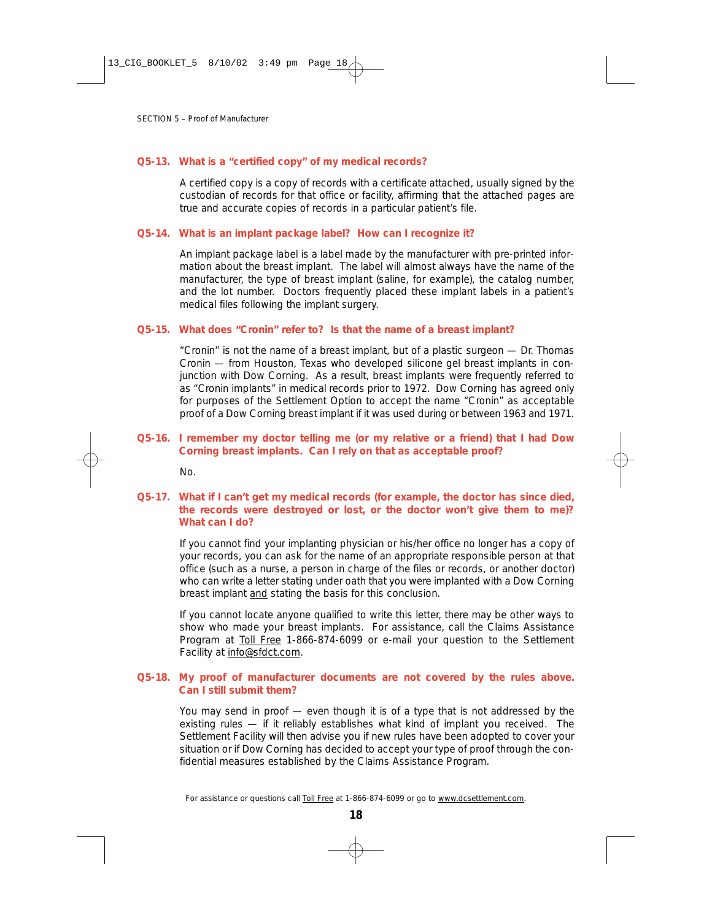#### **Q5-13. What is a "certified copy" of my medical records?**

A certified copy is a copy of records with a certificate attached, usually signed by the custodian of records for that office or facility, affirming that the attached pages are true and accurate copies of records in a particular patient's file.

#### **Q5-14. What is an implant package label? How can I recognize it?**

An implant package label is a label made by the manufacturer with pre-printed information about the breast implant. The label will almost always have the name of the manufacturer, the type of breast implant (saline, for example), the catalog number, and the lot number. Doctors frequently placed these implant labels in a patient's medical files following the implant surgery.

#### **Q5-15. What does "Cronin" refer to? Is that the name of a breast implant?**

"Cronin" is not the name of a breast implant, but of a plastic surgeon — Dr. Thomas Cronin — from Houston, Texas who developed silicone gel breast implants in conjunction with Dow Corning. As a result, breast implants were frequently referred to as "Cronin implants" in medical records prior to 1972. Dow Corning has agreed only for purposes of the Settlement Option to accept the name "Cronin" as acceptable proof of a Dow Corning breast implant if it was used during or between 1963 and 1971.

#### **Q5-16. I remember my doctor telling me (or my relative or a friend) that I had Dow Corning breast implants. Can I rely on that as acceptable proof?**

No.

#### **Q5-17. What if I can't get my medical records (for example, the doctor has since died, the records were destroyed or lost, or the doctor won't give them to me)? What can I do?**

If you cannot find your implanting physician or his/her office no longer has a copy of your records, you can ask for the name of an appropriate responsible person at that office (such as a nurse, a person in charge of the files or records, or another doctor) who can write a letter stating under oath that you were implanted with a Dow Corning breast implant and stating the basis for this conclusion.

If you cannot locate anyone qualified to write this letter, there may be other ways to show who made your breast implants. For assistance, call the Claims Assistance Program at Toll Free 1-866-874-6099 or e-mail your question to the Settlement Facility at info@sfdct.com.

#### **Q5-18. My proof of manufacturer documents are not covered by the rules above. Can I still submit them?**

You may send in proof — even though it is of a type that is not addressed by the existing rules — if it reliably establishes what kind of implant you received. The Settlement Facility will then advise you if new rules have been adopted to cover your situation or if Dow Corning has decided to accept your type of proof through the confidential measures established by the Claims Assistance Program.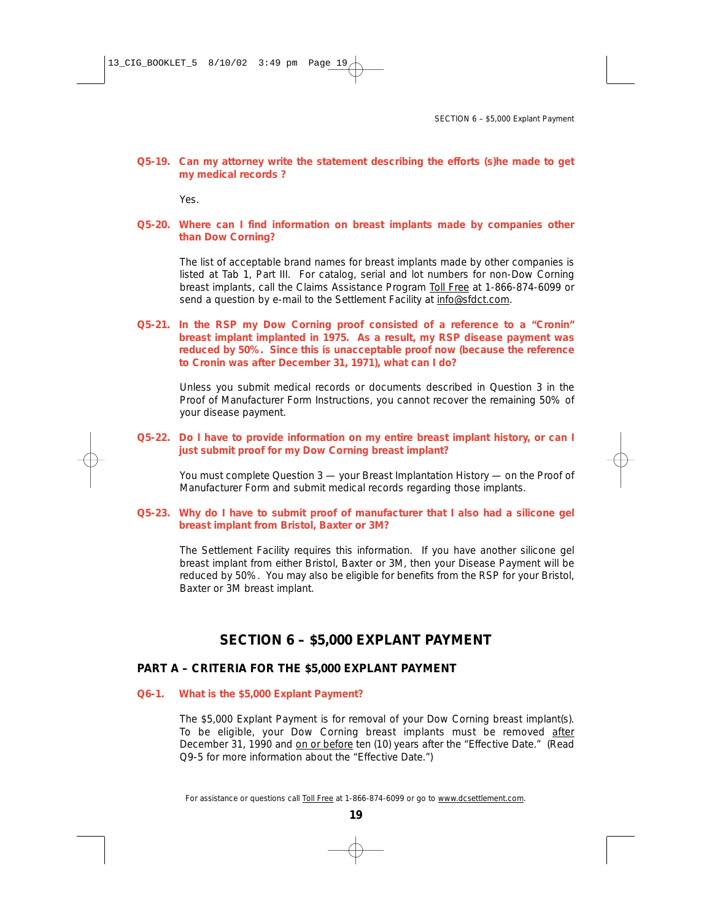## **Q5-19. Can my attorney write the statement describing the efforts (s)he made to get my medical records ?**

Yes.

# **Q5-20. Where can I find information on breast implants made by companies other than Dow Corning?**

The list of acceptable brand names for breast implants made by other companies is listed at Tab 1, Part III. For catalog, serial and lot numbers for non-Dow Corning breast implants, call the Claims Assistance Program Toll Free at 1-866-874-6099 or send a question by e-mail to the Settlement Facility at info@sfdct.com.

**Q5-21. In the RSP my Dow Corning proof consisted of a reference to a "Cronin" breast implant implanted in 1975. As a result, my RSP disease payment was reduced by 50%. Since this is unacceptable proof now (because the reference to Cronin was after December 31, 1971), what can I do?**

Unless you submit medical records or documents described in Question 3 in the Proof of Manufacturer Form Instructions, you cannot recover the remaining 50% of your disease payment.

## **Q5-22. Do I have to provide information on my entire breast implant history, or can I just submit proof for my Dow Corning breast implant?**

You must complete Question 3 — your Breast Implantation History — on the Proof of Manufacturer Form and submit medical records regarding those implants.

#### **Q5-23. Why do I have to submit proof of manufacturer that I also had a silicone gel breast implant from Bristol, Baxter or 3M?**

The Settlement Facility requires this information. If you have another silicone gel breast implant from either Bristol, Baxter or 3M, then your Disease Payment will be reduced by 50%. You may also be eligible for benefits from the RSP for your Bristol, Baxter or 3M breast implant.

# **SECTION 6 – \$5,000 EXPLANT PAYMENT**

# **PART A – CRITERIA FOR THE \$5,000 EXPLANT PAYMENT**

#### **Q6-1. What is the \$5,000 Explant Payment?**

The \$5,000 Explant Payment is for removal of your Dow Corning breast implant(s). To be eligible, your Dow Corning breast implants must be removed after December 31, 1990 and on or before ten (10) years after the "Effective Date." *(Read Q9-5 for more information about the "Effective Date.")*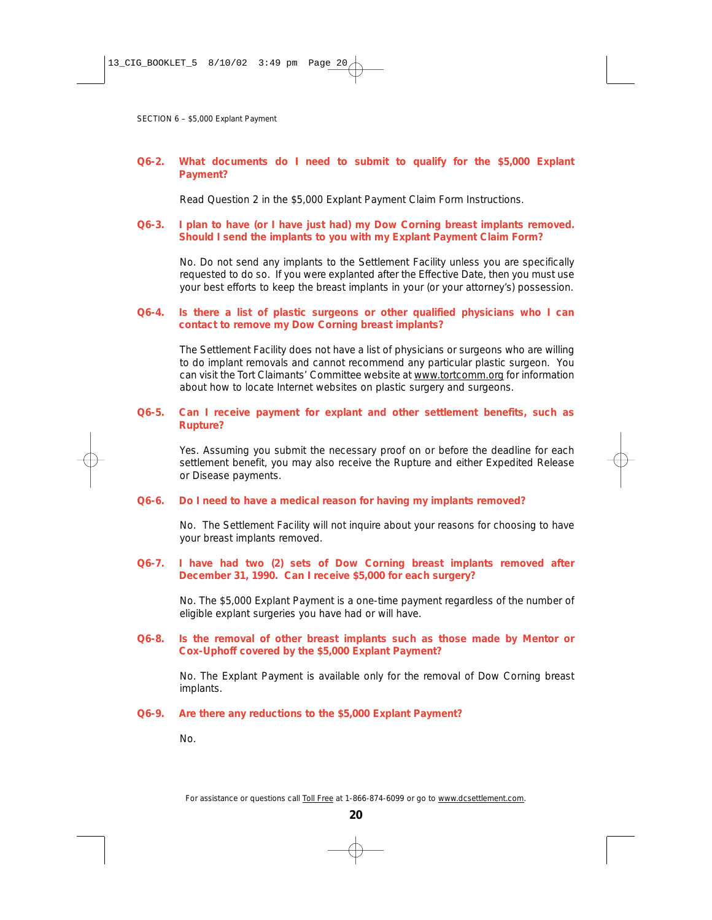# **Q6-2. What documents do I need to submit to qualify for the \$5,000 Explant Payment?**

Read Question 2 in the \$5,000 Explant Payment Claim Form Instructions.

# **Q6-3. I plan to have (or I have just had) my Dow Corning breast implants removed. Should I send the implants to you with my Explant Payment Claim Form?**

No. Do not send any implants to the Settlement Facility unless you are specifically requested to do so. If you were explanted after the Effective Date, then you must use your best efforts to keep the breast implants in your (or your attorney's) possession.

# **Q6-4. Is there a list of plastic surgeons or other qualified physicians who I can contact to remove my Dow Corning breast implants?**

The Settlement Facility does not have a list of physicians or surgeons who are willing to do implant removals and cannot recommend any particular plastic surgeon. You can visit the Tort Claimants' Committee website at www.tortcomm.org for information about how to locate Internet websites on plastic surgery and surgeons.

## **Q6-5. Can I receive payment for explant and other settlement benefits, such as Rupture?**

Yes. Assuming you submit the necessary proof on or before the deadline for each settlement benefit, you may also receive the Rupture and either Expedited Release or Disease payments.

#### **Q6-6. Do I need to have a medical reason for having my implants removed?**

No. The Settlement Facility will not inquire about your reasons for choosing to have your breast implants removed.

# **Q6-7. I have had two (2) sets of Dow Corning breast implants removed after December 31, 1990. Can I receive \$5,000 for each surgery?**

No. The \$5,000 Explant Payment is a one-time payment regardless of the number of eligible explant surgeries you have had or will have.

# **Q6-8. Is the removal of other breast implants such as those made by Mentor or Cox-Uphoff covered by the \$5,000 Explant Payment?**

No. The Explant Payment is available only for the removal of Dow Corning breast implants.

#### **Q6-9. Are there any reductions to the \$5,000 Explant Payment?**

No.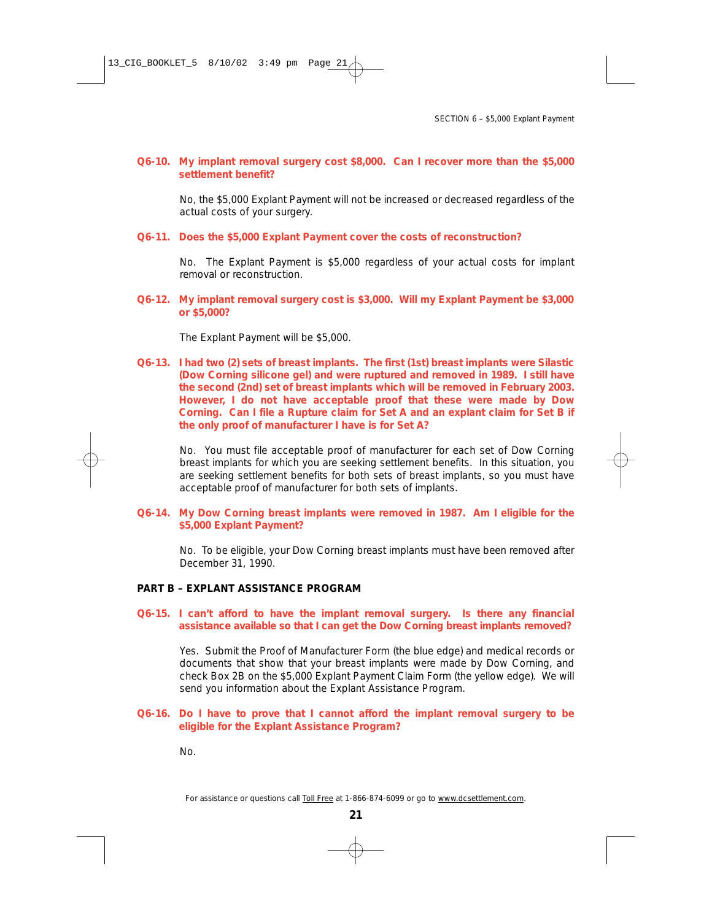**Q6-10. My implant removal surgery cost \$8,000. Can I recover more than the \$5,000 settlement benefit?** 

No, the \$5,000 Explant Payment will not be increased or decreased regardless of the actual costs of your surgery.

**Q6-11. Does the \$5,000 Explant Payment cover the costs of reconstruction?**

No. The Explant Payment is \$5,000 regardless of your actual costs for implant removal or reconstruction.

**Q6-12. My implant removal surgery cost is \$3,000. Will my Explant Payment be \$3,000 or \$5,000?**

The Explant Payment will be \$5,000.

**Q6-13. I had two (2) sets of breast implants. The first (1st) breast implants were Silastic (Dow Corning silicone gel) and were ruptured and removed in 1989. I still have the second (2nd) set of breast implants which will be removed in February 2003. However, I do not have acceptable proof that these were made by Dow Corning. Can I file a Rupture claim for Set A and an explant claim for Set B if the only proof of manufacturer I have is for Set A?**

No. You must file acceptable proof of manufacturer for each set of Dow Corning breast implants for which you are seeking settlement benefits. In this situation, you are seeking settlement benefits for both sets of breast implants, so you must have acceptable proof of manufacturer for both sets of implants.

**Q6-14. My Dow Corning breast implants were removed in 1987. Am I eligible for the \$5,000 Explant Payment?**

No. To be eligible, your Dow Corning breast implants must have been removed after December 31, 1990.

#### **PART B – EXPLANT ASSISTANCE PROGRAM**

**Q6-15. I can't afford to have the implant removal surgery. Is there any financial assistance available so that I can get the Dow Corning breast implants removed?**

Yes. Submit the Proof of Manufacturer Form (the blue edge) and medical records or documents that show that your breast implants were made by Dow Corning, and check Box 2B on the \$5,000 Explant Payment Claim Form (the yellow edge). We will send you information about the Explant Assistance Program.

#### **Q6-16. Do I have to prove that I cannot afford the implant removal surgery to be eligible for the Explant Assistance Program?**

No.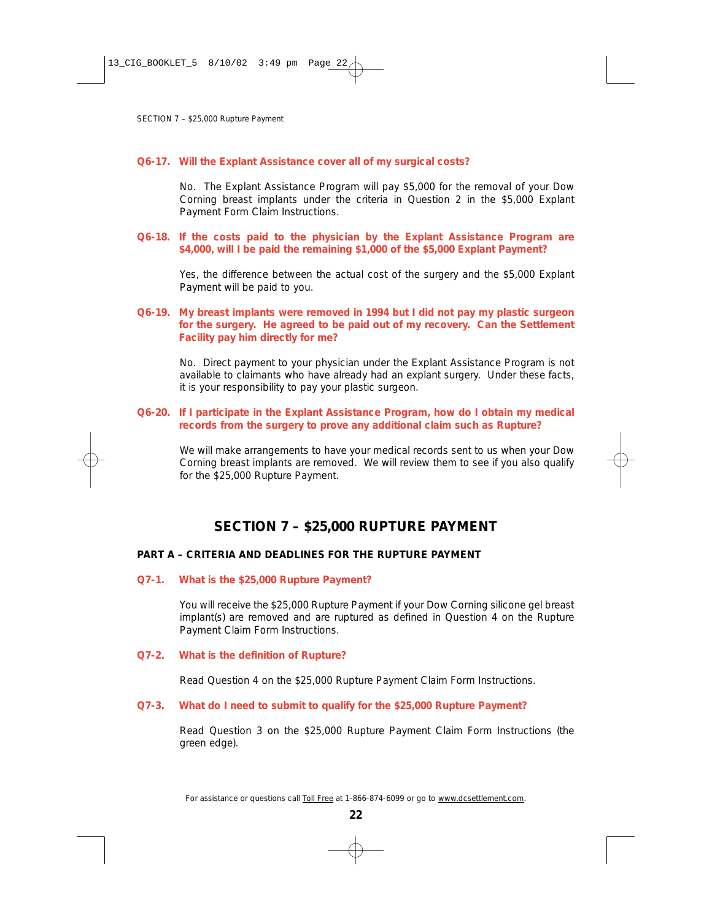#### **Q6-17. Will the Explant Assistance cover all of my surgical costs?**

No. The Explant Assistance Program will pay \$5,000 for the removal of your Dow Corning breast implants under the criteria in Question 2 in the \$5,000 Explant Payment Form Claim Instructions.

#### **Q6-18. If the costs paid to the physician by the Explant Assistance Program are \$4,000, will I be paid the remaining \$1,000 of the \$5,000 Explant Payment?**

Yes, the difference between the actual cost of the surgery and the \$5,000 Explant Payment will be paid to you.

## **Q6-19. My breast implants were removed in 1994 but I did not pay my plastic surgeon for the surgery. He agreed to be paid out of my recovery. Can the Settlement Facility pay him directly for me?**

No. Direct payment to your physician under the Explant Assistance Program is not available to claimants who have already had an explant surgery. Under these facts, it is your responsibility to pay your plastic surgeon.

**Q6-20. If I participate in the Explant Assistance Program, how do I obtain my medical records from the surgery to prove any additional claim such as Rupture?**

We will make arrangements to have your medical records sent to us when your Dow Corning breast implants are removed. We will review them to see if you also qualify for the \$25,000 Rupture Payment.

# **SECTION 7 – \$25,000 RUPTURE PAYMENT**

#### **PART A – CRITERIA AND DEADLINES FOR THE RUPTURE PAYMENT**

#### **Q7-1. What is the \$25,000 Rupture Payment?**

You will receive the \$25,000 Rupture Payment if your Dow Corning *silicone gel* breast implant(s) are removed and are ruptured as defined in Question 4 on the Rupture Payment Claim Form Instructions.

#### **Q7-2. What is the definition of Rupture?**

Read Question 4 on the \$25,000 Rupture Payment Claim Form Instructions.

#### **Q7-3. What do I need to submit to qualify for the \$25,000 Rupture Payment?**

Read Question 3 on the \$25,000 Rupture Payment Claim Form Instructions (the green edge).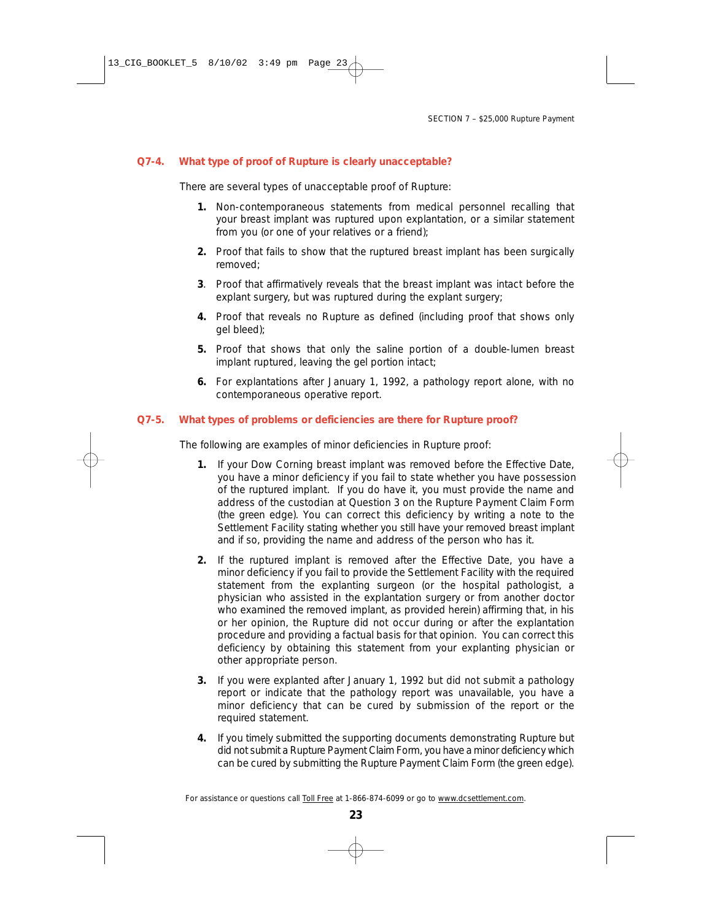# **Q7-4. What type of proof of Rupture is clearly unacceptable?**

There are several types of unacceptable proof of Rupture:

- **1.** Non-contemporaneous statements from medical personnel recalling that your breast implant was ruptured upon explantation, or a similar statement from you (or one of your relatives or a friend);
- **2.** Proof that fails to show that the ruptured breast implant has been surgically removed;
- **3**. Proof that affirmatively reveals that the breast implant was intact before the explant surgery, but was ruptured during the explant surgery;
- **4.** Proof that reveals no Rupture as defined (including proof that shows only gel bleed);
- **5.** Proof that shows that only the saline portion of a double-lumen breast implant ruptured, leaving the gel portion intact;
- **6.** For explantations after January 1, 1992, a pathology report alone, with no contemporaneous operative report.

#### **Q7-5. What types of problems or deficiencies are there for Rupture proof?**

The following are examples of minor deficiencies in Rupture proof:

- **1.** If your Dow Corning breast implant was removed before the Effective Date, you have a minor deficiency if you fail to state whether you have possession of the ruptured implant. If you do have it, you must provide the name and address of the custodian at Question 3 on the Rupture Payment Claim Form (the green edge). You can correct this deficiency by writing a note to the Settlement Facility stating whether you still have your removed breast implant and if so, providing the name and address of the person who has it.
- **2.** If the ruptured implant is removed after the Effective Date, you have a minor deficiency if you fail to provide the Settlement Facility with the required statement from the explanting surgeon (or the hospital pathologist, a physician who assisted in the explantation surgery or from another doctor who examined the removed implant, as provided herein) affirming that, in his or her opinion, the Rupture did not occur during or after the explantation procedure and providing a factual basis for that opinion. You can correct this deficiency by obtaining this statement from your explanting physician or other appropriate person.
- **3.** If you were explanted after January 1, 1992 but did not submit a pathology report or indicate that the pathology report was unavailable, you have a minor deficiency that can be cured by submission of the report or the required statement.
- **4.** If you timely submitted the supporting documents demonstrating Rupture but did not submit a Rupture Payment Claim Form, you have a minor deficiency which can be cured by submitting the Rupture Payment Claim Form (the green edge).

*For assistance or questions call Toll Free at 1-866-874-6099 or go to www.dcsettlement.com.*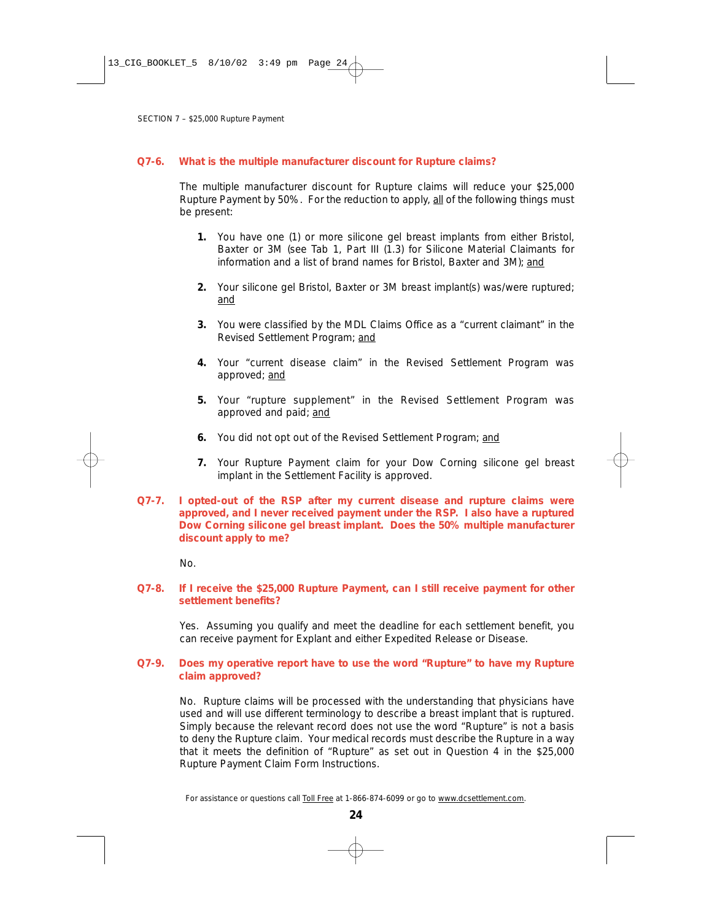# **Q7-6. What is the multiple manufacturer discount for Rupture claims?**

The multiple manufacturer discount for Rupture claims will reduce your \$25,000 Rupture Payment by 50%. For the reduction to apply, all of the following things must be present:

- **1.** You have one (1) or more silicone gel breast implants from either Bristol, Baxter or 3M (see Tab 1, Part III (1.3) for Silicone Material Claimants for information and a list of brand names for Bristol, Baxter and 3M); *and*
- **2.** Your silicone gel Bristol, Baxter or 3M breast implant(s) was/were ruptured; *and*
- **3.** You were classified by the MDL Claims Office as a "current claimant" in the Revised Settlement Program; *and*
- **4.** Your "current disease claim" in the Revised Settlement Program was approved; *and*
- **5.** Your "rupture supplement" in the Revised Settlement Program was approved and paid; *and*
- **6.** You did not opt out of the Revised Settlement Program; *and*
- **7.** Your Rupture Payment claim for your Dow Corning silicone gel breast implant in the Settlement Facility is approved.
- **Q7-7. I opted-out of the RSP after my current disease and rupture claims were approved, and I never received payment under the RSP. I also have a ruptured Dow Corning silicone gel breast implant. Does the 50% multiple manufacturer discount apply to me?**

No.

# **Q7-8. If I receive the \$25,000 Rupture Payment, can I still receive payment for other settlement benefits?**

Yes. Assuming you qualify and meet the deadline for each settlement benefit, you can receive payment for Explant and either Expedited Release or Disease.

#### **Q7-9. Does my operative report have to use the word "Rupture" to have my Rupture claim approved?**

No. Rupture claims will be processed with the understanding that physicians have used and will use different terminology to describe a breast implant that is ruptured. Simply because the relevant record does not use the word "Rupture" is not a basis to deny the Rupture claim. Your medical records must describe the Rupture in a way that it meets the definition of "Rupture" as set out in Question 4 in the \$25,000 Rupture Payment Claim Form Instructions.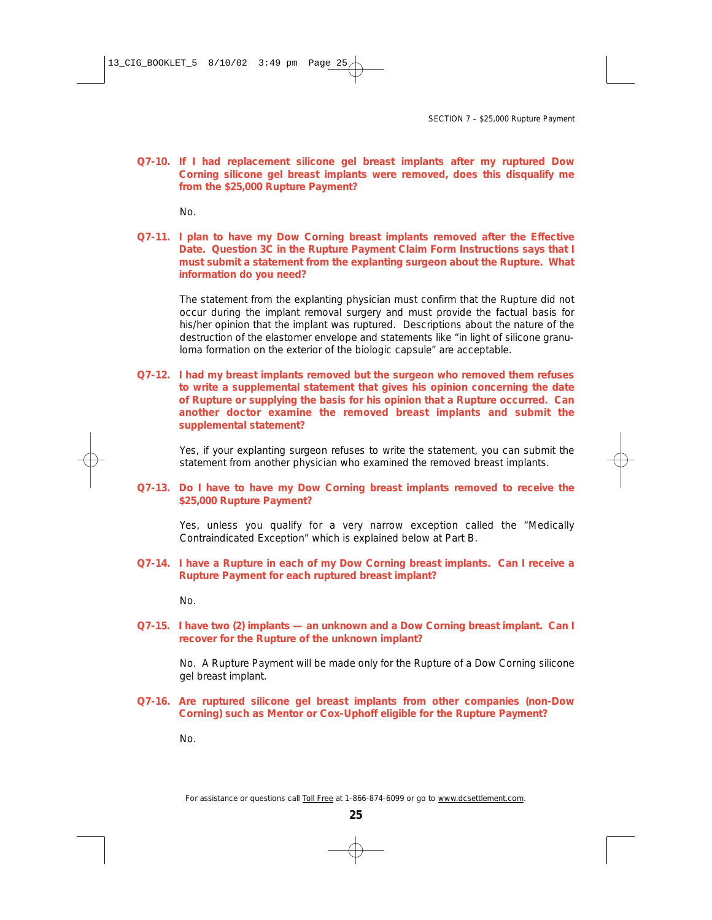**Q7-10. If I had replacement silicone gel breast implants after my ruptured Dow Corning silicone gel breast implants were removed, does this disqualify me from the \$25,000 Rupture Payment?**

No.

**Q7-11. I plan to have my Dow Corning breast implants removed after the Effective Date. Question 3C in the Rupture Payment Claim Form Instructions says that I must submit a statement from the explanting surgeon about the Rupture. What information do you need?**

The statement from the explanting physician must confirm that the Rupture did not occur during the implant removal surgery and must provide the factual basis for his/her opinion that the implant was ruptured. Descriptions about the nature of the destruction of the elastomer envelope and statements like "in light of silicone granuloma formation on the exterior of the biologic capsule" are acceptable.

**Q7-12. I had my breast implants removed but the surgeon who removed them refuses to write a supplemental statement that gives his opinion concerning the date of Rupture or supplying the basis for his opinion that a Rupture occurred. Can another doctor examine the removed breast implants and submit the supplemental statement?**

Yes, if your explanting surgeon refuses to write the statement, you can submit the statement from another physician who examined the removed breast implants.

**Q7-13. Do I have to have my Dow Corning breast implants removed to receive the \$25,000 Rupture Payment?**

Yes, unless you qualify for a very narrow exception called the "Medically Contraindicated Exception" which is explained below at Part B.

**Q7-14. I have a Rupture in each of my Dow Corning breast implants. Can I receive a Rupture Payment for each ruptured breast implant?**

 $N<sub>0</sub>$ 

**Q7-15. I have two (2) implants — an unknown and a Dow Corning breast implant. Can I recover for the Rupture of the unknown implant?** 

No. A Rupture Payment will be made only for the Rupture of a Dow Corning silicone gel breast implant.

**Q7-16. Are ruptured silicone gel breast implants from other companies (non-Dow Corning) such as Mentor or Cox-Uphoff eligible for the Rupture Payment?**

No.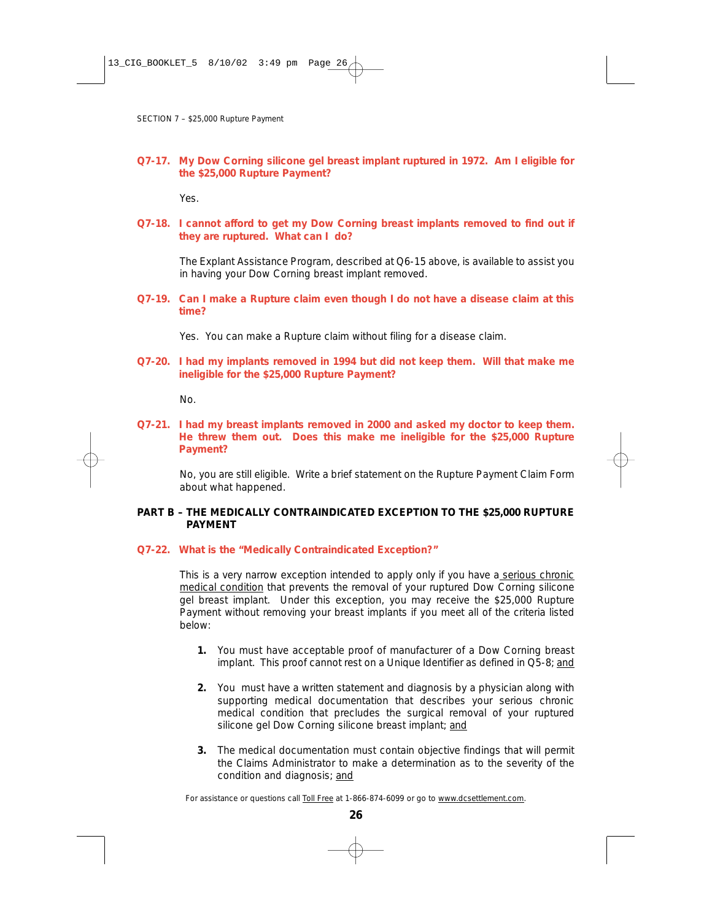**Q7-17. My Dow Corning silicone gel breast implant ruptured in 1972. Am I eligible for the \$25,000 Rupture Payment?**

Yes.

**Q7-18. I cannot afford to get my Dow Corning breast implants removed to find out if they are ruptured. What can I do?**

The Explant Assistance Program, described at Q6-15 above, is available to assist you in having your Dow Corning breast implant removed.

- **Q7-19. Can I make a Rupture claim even though I do not have a disease claim at this time?**
	- Yes. You can make a Rupture claim without filing for a disease claim.
- **Q7-20. I had my implants removed in 1994 but did not keep them. Will that make me ineligible for the \$25,000 Rupture Payment?**

No.

**Q7-21. I had my breast implants removed in 2000 and asked my doctor to keep them. He threw them out. Does this make me ineligible for the \$25,000 Rupture Payment?**

No, you are still eligible. Write a brief statement on the Rupture Payment Claim Form about what happened.

# **PART B – THE MEDICALLY CONTRAINDICATED EXCEPTION TO THE \$25,000 RUPTURE PAYMENT**

**Q7-22. What is the "Medically Contraindicated Exception?"**

This is a very narrow exception intended to apply only if you have a serious chronic medical condition that prevents the removal of your ruptured Dow Corning silicone gel breast implant. Under this exception, you may receive the \$25,000 Rupture Payment without removing your breast implants if you meet all of the criteria listed below:

- **1.** You must have acceptable proof of manufacturer of a Dow Corning breast implant. This proof cannot rest on a Unique Identifier as defined in Q5-8; *and*
- **2.** You must have a written statement and diagnosis by a physician along with supporting medical documentation that describes your serious chronic medical condition that precludes the surgical removal of your ruptured silicone gel Dow Corning silicone breast implant; *and*
- **3.** The medical documentation must contain objective findings that will permit the Claims Administrator to make a determination as to the severity of the condition and diagnosis; *and*

*For assistance or questions call Toll Free at 1-866-874-6099 or go to www.dcsettlement.com.*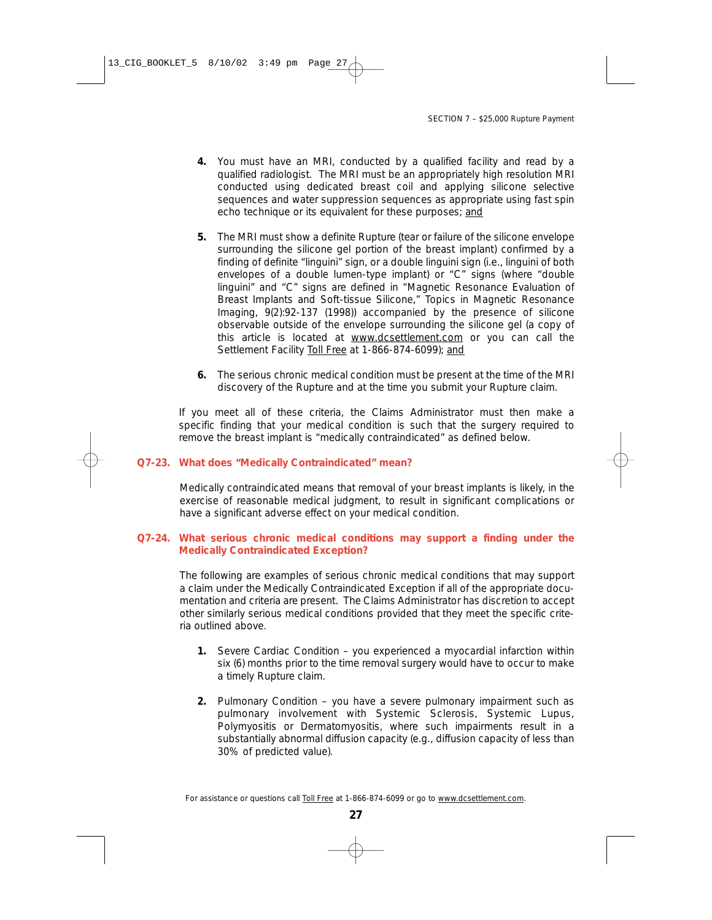- **4.** You must have an MRI, conducted by a qualified facility and read by a qualified radiologist. The MRI must be an appropriately high resolution MRI conducted using dedicated breast coil and applying silicone selective sequences and water suppression sequences as appropriate using fast spin echo technique or its equivalent for these purposes; *and*
- **5.** The MRI must show a definite Rupture (tear or failure of the silicone envelope surrounding the silicone gel portion of the breast implant) confirmed by a finding of definite "linguini" sign, or a double linguini sign (i.e., linguini of both envelopes of a double lumen-type implant) or "C" signs (where "double linguini" and "C" signs are defined in "Magnetic Resonance Evaluation of Breast Implants and Soft-tissue Silicone," Topics in Magnetic Resonance Imaging, 9(2):92-137 (1998)) accompanied by the presence of silicone observable outside of the envelope surrounding the silicone gel (a copy of this article is located at www.dcsettlement.com or you can call the Settlement Facility Toll Free at 1-866-874-6099); *and*
- **6.** The serious chronic medical condition must be present at the time of the MRI discovery of the Rupture and at the time you submit your Rupture claim.

If you meet all of these criteria, the Claims Administrator must then make a specific finding that your medical condition is such that the surgery required to remove the breast implant is "medically contraindicated" as defined below.

#### **Q7-23. What does "Medically Contraindicated" mean?**

Medically contraindicated means that removal of your breast implants is likely, in the exercise of reasonable medical judgment, to result in significant complications or have a significant adverse effect on your medical condition.

# **Q7-24. What serious chronic medical conditions may support a finding under the Medically Contraindicated Exception?**

The following are examples of serious chronic medical conditions that may support a claim under the Medically Contraindicated Exception if all of the appropriate documentation and criteria are present. The Claims Administrator has discretion to accept other similarly serious medical conditions provided that they meet the specific criteria outlined above.

- **1.** Severe Cardiac Condition you experienced a myocardial infarction within six (6) months prior to the time removal surgery would have to occur to make a timely Rupture claim.
- **2.** Pulmonary Condition you have a severe pulmonary impairment such as pulmonary involvement with Systemic Sclerosis, Systemic Lupus, Polymyositis or Dermatomyositis, where such impairments result in a substantially abnormal diffusion capacity (e.g., diffusion capacity of less than 30% of predicted value).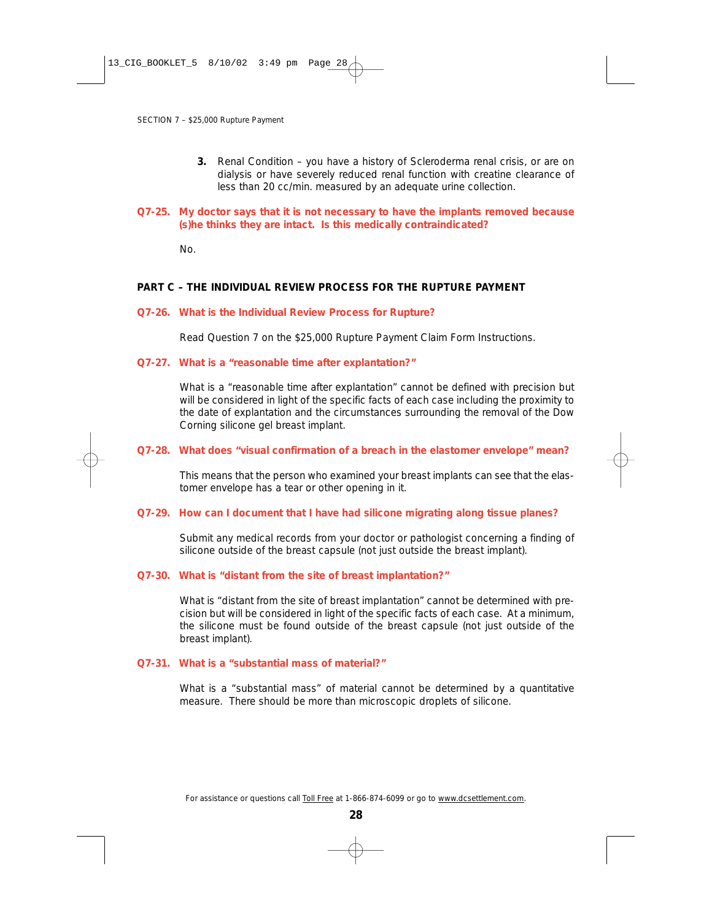**3.** Renal Condition – you have a history of Scleroderma renal crisis, or are on dialysis or have severely reduced renal function with creatine clearance of less than 20 cc/min. measured by an adequate urine collection.

#### **Q7-25. My doctor says that it is not necessary to have the implants removed because (s)he thinks they are intact. Is this medically contraindicated?**

No.

# **PART C – THE INDIVIDUAL REVIEW PROCESS FOR THE RUPTURE PAYMENT**

#### **Q7-26. What is the Individual Review Process for Rupture?**

Read Question 7 on the \$25,000 Rupture Payment Claim Form Instructions.

#### **Q7-27. What is a "reasonable time after explantation?"**

What is a "reasonable time after explantation" cannot be defined with precision but will be considered in light of the specific facts of each case including the proximity to the date of explantation and the circumstances surrounding the removal of the Dow Corning silicone gel breast implant.

#### **Q7-28. What does "visual confirmation of a breach in the elastomer envelope" mean?**

This means that the person who examined your breast implants can see that the elastomer envelope has a tear or other opening in it.

#### **Q7-29. How can I document that I have had silicone migrating along tissue planes?**

Submit any medical records from your doctor or pathologist concerning a finding of silicone outside of the breast capsule (not just outside the breast implant).

#### **Q7-30. What is "distant from the site of breast implantation?"**

What is "distant from the site of breast implantation" cannot be determined with precision but will be considered in light of the specific facts of each case. At a minimum, the silicone must be found outside of the breast capsule (not just outside of the breast implant).

## **Q7-31. What is a "substantial mass of material?"**

What is a "substantial mass" of material cannot be determined by a quantitative measure. There should be more than microscopic droplets of silicone.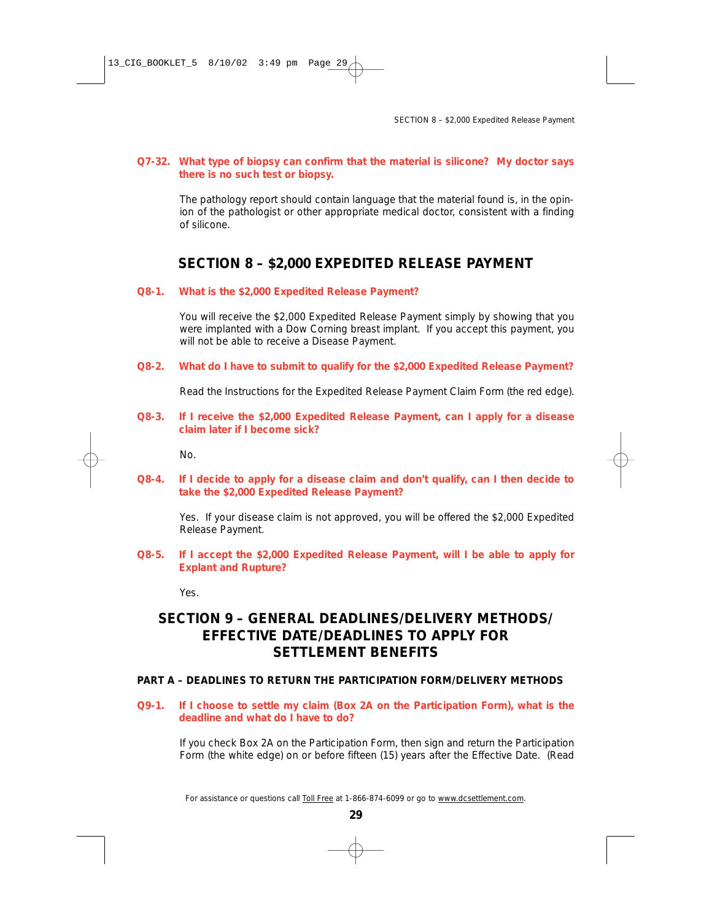## **Q7-32. What type of biopsy can confirm that the material is silicone? My doctor says there is no such test or biopsy.**

The pathology report should contain language that the material found is, in the opinion of the pathologist or other appropriate medical doctor, consistent with a finding of silicone.

# **SECTION 8 – \$2,000 EXPEDITED RELEASE PAYMENT**

#### **Q8-1. What is the \$2,000 Expedited Release Payment?**

You will receive the \$2,000 Expedited Release Payment simply by showing that you were implanted with a Dow Corning breast implant. If you accept this payment, you will not be able to receive a Disease Payment.

**Q8-2. What do I have to submit to qualify for the \$2,000 Expedited Release Payment?**

Read the Instructions for the Expedited Release Payment Claim Form (the red edge).

**Q8-3. If I receive the \$2,000 Expedited Release Payment, can I apply for a disease claim later if I become sick?**

No.

**Q8-4. If I decide to apply for a disease claim and don't qualify, can I then decide to take the \$2,000 Expedited Release Payment?**

Yes. If your disease claim is not approved, you will be offered the \$2,000 Expedited Release Payment.

**Q8-5. If I accept the \$2,000 Expedited Release Payment, will I be able to apply for Explant and Rupture?**

Yes.

# **SECTION 9 – GENERAL DEADLINES/DELIVERY METHODS/ EFFECTIVE DATE/DEADLINES TO APPLY FOR SETTLEMENT BENEFITS**

# **PART A – DEADLINES TO RETURN THE PARTICIPATION FORM/DELIVERY METHODS**

**Q9-1. If I choose to settle my claim (Box 2A on the Participation Form), what is the deadline and what do I have to do?**

If you check Box 2A on the Participation Form, then sign and return the Participation Form (the white edge) on or before fifteen (15) years after the Effective Date. *(Read*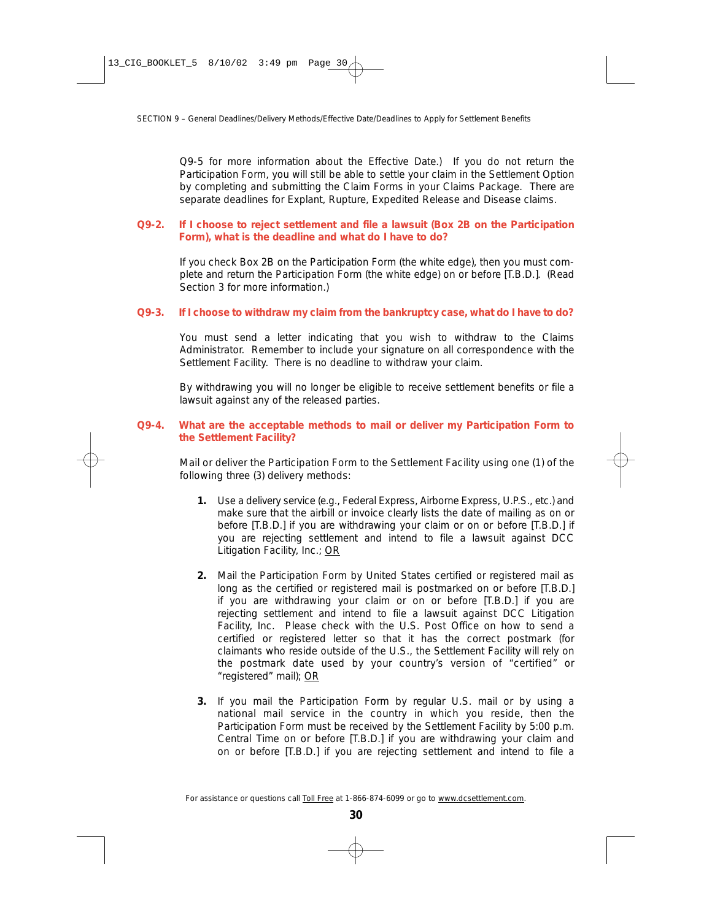*Q9-5 for more information about the Effective Date.)* If you do not return the Participation Form, you will still be able to settle your claim in the Settlement Option by completing and submitting the Claim Forms in your Claims Package. There are separate deadlines for Explant, Rupture, Expedited Release and Disease claims.

# **Q9-2. If I choose to reject settlement and file a lawsuit (Box 2B on the Participation Form), what is the deadline and what do I have to do?**

If you check Box 2B on the Participation Form (the white edge), then you must complete and return the Participation Form (the white edge) on or before [T.B.D.]. *(Read Section 3 for more information.)*

#### **Q9-3. If I choose to withdraw my claim from the bankruptcy case, what do I have to do?**

You must send a letter indicating that you wish to withdraw to the Claims Administrator. Remember to include your signature on all correspondence with the Settlement Facility. There is no deadline to withdraw your claim.

By withdrawing you will no longer be eligible to receive settlement benefits or file a lawsuit against any of the released parties.

# **Q9-4. What are the acceptable methods to mail or deliver my Participation Form to the Settlement Facility?**

Mail or deliver the Participation Form to the Settlement Facility using one (1) of the following three (3) delivery methods:

- **1.** Use a delivery service (e.g., Federal Express, Airborne Express, U.P.S., etc.) and make sure that the airbill or invoice clearly lists the date of mailing as on or before [T.B.D.] if you are withdrawing your claim or on or before [T.B.D.] if you are rejecting settlement and intend to file a lawsuit against DCC Litigation Facility, Inc.; OR
- **2.** Mail the Participation Form by United States certified or registered mail as long as the certified or registered mail is postmarked on or before [T.B.D.] if you are withdrawing your claim or on or before [T.B.D.] if you are rejecting settlement and intend to file a lawsuit against DCC Litigation Facility, Inc. Please check with the U.S. Post Office on how to send a certified or registered letter so that it has the correct postmark (for claimants who reside outside of the U.S., the Settlement Facility will rely on the postmark date used by your country's version of "certified" or "registered" mail); OR
- **3.** If you mail the Participation Form by regular U.S. mail or by using a national mail service in the country in which you reside, then the Participation Form must be *received* by the Settlement Facility by 5:00 p.m. Central Time on or before [T.B.D.] if you are withdrawing your claim and on or before [T.B.D.] if you are rejecting settlement and intend to file a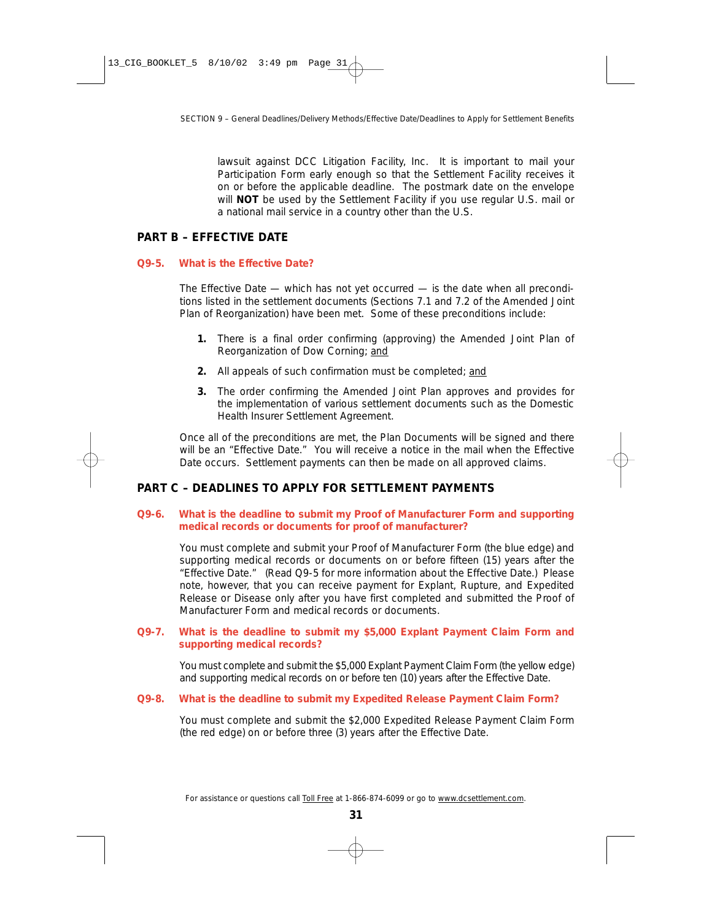lawsuit against DCC Litigation Facility, Inc. It is important to mail your Participation Form early enough so that the Settlement Facility *receives* it on or before the applicable deadline. The postmark date on the envelope will **NOT** be used by the Settlement Facility if you use regular U.S. mail or a national mail service in a country other than the U.S.

# **PART B – EFFECTIVE DATE**

# **Q9-5. What is the Effective Date?**

The Effective Date — which has not yet occurred — is the date when all preconditions listed in the settlement documents (Sections 7.1 and 7.2 of the Amended Joint Plan of Reorganization) have been met. Some of these preconditions include:

- **1.** There is a final order confirming (approving) the Amended Joint Plan of Reorganization of Dow Corning; *and*
- **2.** All appeals of such confirmation must be completed; *and*
- **3.** The order confirming the Amended Joint Plan approves and provides for the implementation of various settlement documents such as the Domestic Health Insurer Settlement Agreement.

Once all of the preconditions are met, the Plan Documents will be signed and there will be an "Effective Date." You will receive a notice in the mail when the Effective Date occurs. Settlement payments can then be made on all approved claims.

# **PART C – DEADLINES TO APPLY FOR SETTLEMENT PAYMENTS**

# **Q9-6. What is the deadline to submit my Proof of Manufacturer Form and supporting medical records or documents for proof of manufacturer?**

You must complete and submit your Proof of Manufacturer Form (the blue edge) and supporting medical records or documents on or before fifteen (15) years after the "Effective Date." *(Read Q9-5 for more information about the Effective Date.)* Please note, however, that you can receive payment for Explant, Rupture, and Expedited Release or Disease only after you have first completed and submitted the Proof of Manufacturer Form and medical records or documents.

# **Q9-7. What is the deadline to submit my \$5,000 Explant Payment Claim Form and supporting medical records?**

You must complete and submit the \$5,000 Explant Payment Claim Form (the yellow edge) and supporting medical records on or before ten (10) years after the Effective Date.

# **Q9-8. What is the deadline to submit my Expedited Release Payment Claim Form?**

You must complete and submit the \$2,000 Expedited Release Payment Claim Form (the red edge) on or before three (3) years after the Effective Date.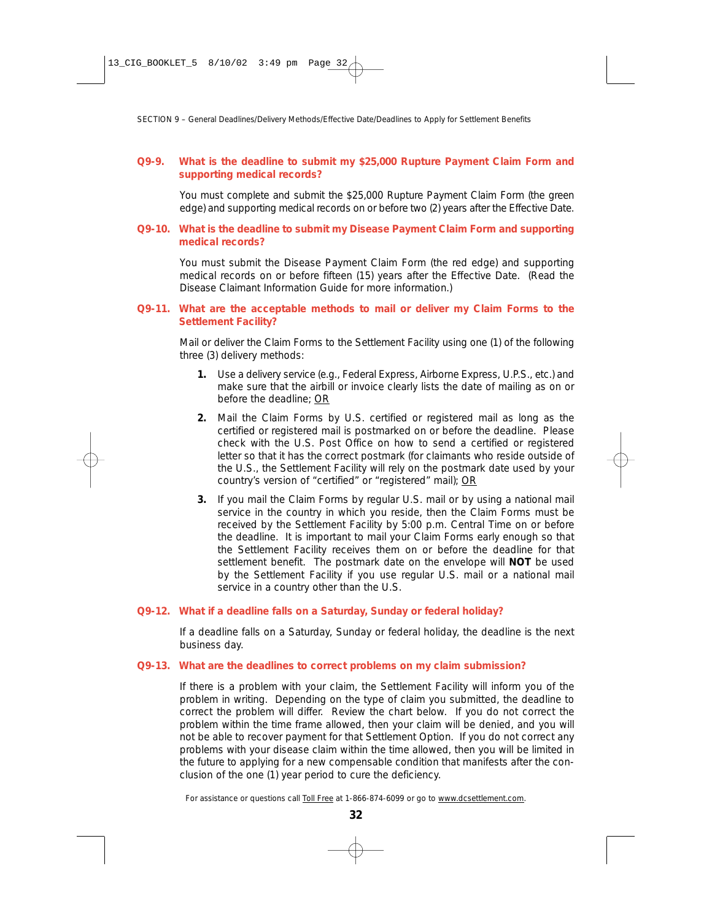# **Q9-9. What is the deadline to submit my \$25,000 Rupture Payment Claim Form and supporting medical records?**

You must complete and submit the \$25,000 Rupture Payment Claim Form (the green edge) and supporting medical records on or before two (2) years after the Effective Date.

#### **Q9-10. What is the deadline to submit my Disease Payment Claim Form and supporting medical records?**

You must submit the Disease Payment Claim Form (the red edge) and supporting medical records on or before fifteen (15) years after the Effective Date. *(Read the Disease Claimant Information Guide for more information.)*

# **Q9-11. What are the acceptable methods to mail or deliver my Claim Forms to the Settlement Facility?**

Mail or deliver the Claim Forms to the Settlement Facility using one (1) of the following three (3) delivery methods:

- **1.** Use a delivery service (e.g., Federal Express, Airborne Express, U.P.S., etc.) and make sure that the airbill or invoice clearly lists the date of mailing as on or before the deadline; OR
- **2.** Mail the Claim Forms by U.S. certified or registered mail as long as the certified or registered mail is postmarked on or before the deadline. Please check with the U.S. Post Office on how to send a certified or registered letter so that it has the correct postmark (for claimants who reside outside of the U.S., the Settlement Facility will rely on the postmark date used by your country's version of "certified" or "registered" mail); OR
- **3.** If you mail the Claim Forms by regular U.S. mail or by using a national mail service in the country in which you reside, then the Claim Forms must be received by the Settlement Facility by 5:00 p.m. Central Time on or before the deadline. It is important to mail your Claim Forms early enough so that the Settlement Facility receives them on or before the deadline for that settlement benefit. The postmark date on the envelope will **NOT** be used by the Settlement Facility if you use regular U.S. mail or a national mail service in a country other than the U.S.

#### **Q9-12. What if a deadline falls on a Saturday, Sunday or federal holiday?**

If a deadline falls on a Saturday, Sunday or federal holiday, the deadline is the next business day.

# **Q9-13. What are the deadlines to correct problems on my claim submission?**

If there is a problem with your claim, the Settlement Facility will inform you of the problem in writing. Depending on the type of claim you submitted, the deadline to correct the problem will differ. Review the chart below. If you do not correct the problem within the time frame allowed, then your claim will be denied, and you will not be able to recover payment for that Settlement Option. If you do not correct any problems with your disease claim within the time allowed, then you will be limited in the future to applying for a new compensable condition that manifests after the conclusion of the one (1) year period to cure the deficiency.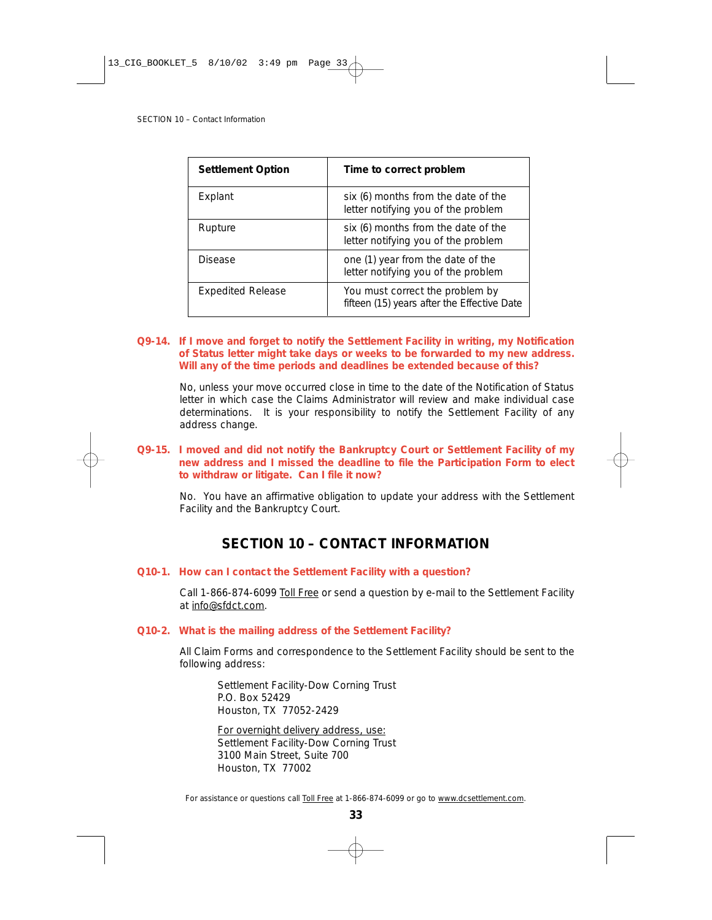| <b>Settlement Option</b> | Time to correct problem                                                        |  |
|--------------------------|--------------------------------------------------------------------------------|--|
| Explant                  | six (6) months from the date of the<br>letter notifying you of the problem     |  |
| Rupture                  | six (6) months from the date of the<br>letter notifying you of the problem     |  |
| <b>Disease</b>           | one (1) year from the date of the<br>letter notifying you of the problem       |  |
| <b>Expedited Release</b> | You must correct the problem by<br>fifteen (15) years after the Effective Date |  |

# **Q9-14. If I move and forget to notify the Settlement Facility in writing, my Notification of Status letter might take days or weeks to be forwarded to my new address. Will any of the time periods and deadlines be extended because of this?**

No, unless your move occurred close in time to the date of the Notification of Status letter in which case the Claims Administrator will review and make individual case determinations. It is your responsibility to notify the Settlement Facility of any address change.

# **Q9-15. I moved and did not notify the Bankruptcy Court or Settlement Facility of my new address and I missed the deadline to file the Participation Form to elect to withdraw or litigate. Can I file it now?**

No. You have an affirmative obligation to update your address with the Settlement Facility and the Bankruptcy Court.

# **SECTION 10 – CONTACT INFORMATION**

#### **Q10-1. How can I contact the Settlement Facility with a question?**

Call 1-866-874-6099 Toll Free or send a question by e-mail to the Settlement Facility at info@sfdct.com.

#### **Q10-2. What is the mailing address of the Settlement Facility?**

All Claim Forms and correspondence to the Settlement Facility should be sent to the following address:

Settlement Facility-Dow Corning Trust P.O. Box 52429 Houston, TX 77052-2429

For overnight delivery address, use: Settlement Facility-Dow Corning Trust 3100 Main Street, Suite 700 Houston, TX 77002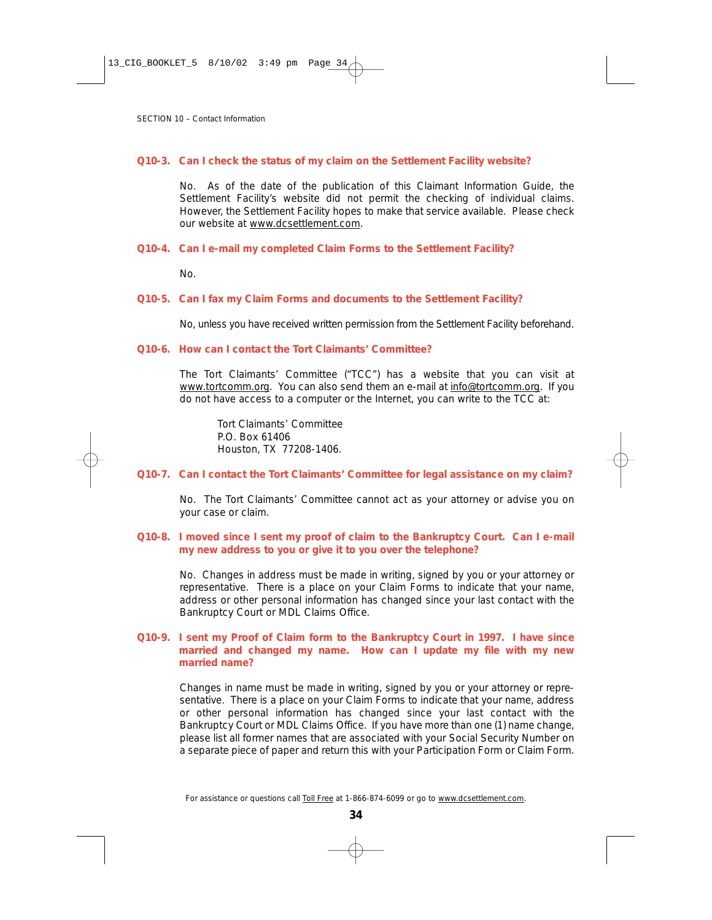### **Q10-3. Can I check the status of my claim on the Settlement Facility website?**

No. As of the date of the publication of this Claimant Information Guide, the Settlement Facility's website did not permit the checking of individual claims. However, the Settlement Facility hopes to make that service available. Please check our website at www.dcsettlement.com.

#### **Q10-4. Can I e-mail my completed Claim Forms to the Settlement Facility?**

No.

#### **Q10-5. Can I fax my Claim Forms and documents to the Settlement Facility?**

No, unless you have received written permission from the Settlement Facility beforehand.

#### **Q10-6. How can I contact the Tort Claimants' Committee?**

The Tort Claimants' Committee ("TCC") has a website that you can visit at www.tortcomm.org. You can also send them an e-mail at info@tortcomm.org. If you do not have access to a computer or the Internet, you can write to the TCC at:

Tort Claimants' Committee P.O. Box 61406 Houston, TX 77208-1406.

#### **Q10-7. Can I contact the Tort Claimants' Committee for legal assistance on my claim?**

No. The Tort Claimants' Committee cannot act as your attorney or advise you on your case or claim.

### **Q10-8. I moved since I sent my proof of claim to the Bankruptcy Court. Can I e-mail my new address to you or give it to you over the telephone?**

No. Changes in address must be made in writing, signed by you or your attorney or representative. There is a place on your Claim Forms to indicate that your name, address or other personal information has changed since your last contact with the Bankruptcy Court or MDL Claims Office.

#### **Q10-9. I sent my Proof of Claim form to the Bankruptcy Court in 1997. I have since married and changed my name. How can I update my file with my new married name?**

Changes in name must be made in writing, signed by you or your attorney or representative. There is a place on your Claim Forms to indicate that your name, address or other personal information has changed since your last contact with the Bankruptcy Court or MDL Claims Office. If you have more than one (1) name change, please list all former names that are associated with your Social Security Number on a separate piece of paper and return this with your Participation Form or Claim Form.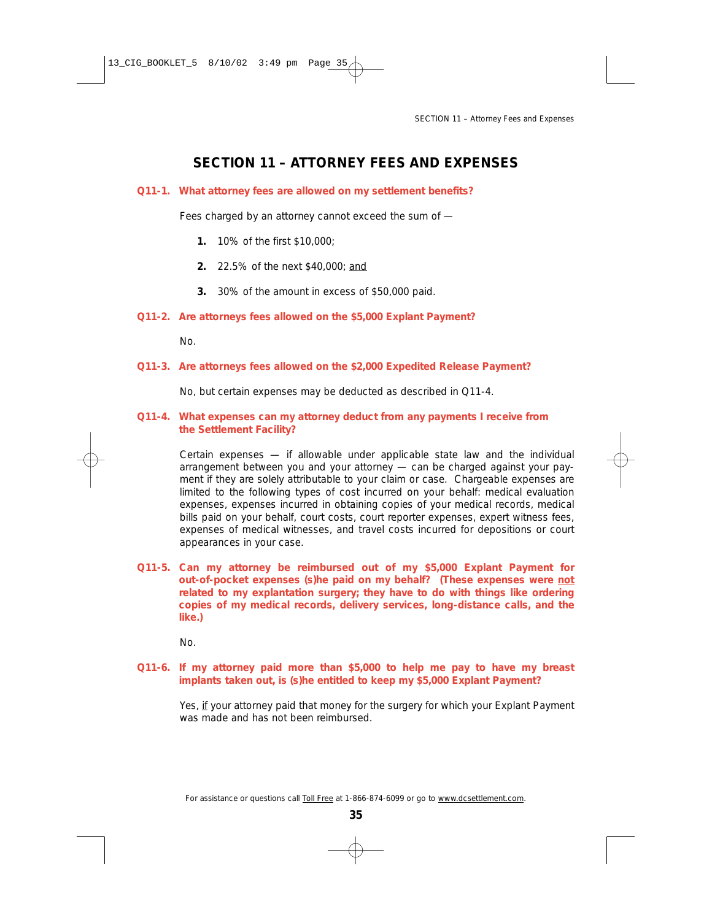## **SECTION 11 – ATTORNEY FEES AND EXPENSES**

#### **Q11-1. What attorney fees are allowed on my settlement benefits?**

Fees charged by an attorney cannot exceed the sum of —

- **1.** 10% of the first \$10,000;
- **2.** 22.5% of the next \$40,000; and
- **3.** 30% of the amount in excess of \$50,000 paid.
- **Q11-2. Are attorneys fees allowed on the \$5,000 Explant Payment?**

No.

### **Q11-3. Are attorneys fees allowed on the \$2,000 Expedited Release Payment?**

No, but certain expenses may be deducted as described in Q11-4.

### **Q11-4. What expenses can my attorney deduct from any payments I receive from the Settlement Facility?**

Certain expenses — if allowable under applicable state law and the individual arrangement between you and your attorney — can be charged against your payment if they are solely attributable to your claim or case. Chargeable expenses are limited to the following types of cost incurred on your behalf: medical evaluation expenses, expenses incurred in obtaining copies of your medical records, medical bills paid on your behalf, court costs, court reporter expenses, expert witness fees, expenses of medical witnesses, and travel costs incurred for depositions or court appearances in your case.

**Q11-5. Can my attorney be reimbursed out of my \$5,000 Explant Payment for out-of-pocket expenses (s)he paid on my behalf? (These expenses were** *not* **related to my explantation surgery; they have to do with things like ordering copies of my medical records, delivery services, long-distance calls, and the like.)**

No.

**Q11-6. If my attorney paid more than \$5,000 to help me pay to have my breast implants taken out, is (s)he entitled to keep my \$5,000 Explant Payment?**

Yes, if your attorney paid that money for the surgery for which your Explant Payment was made and has not been reimbursed.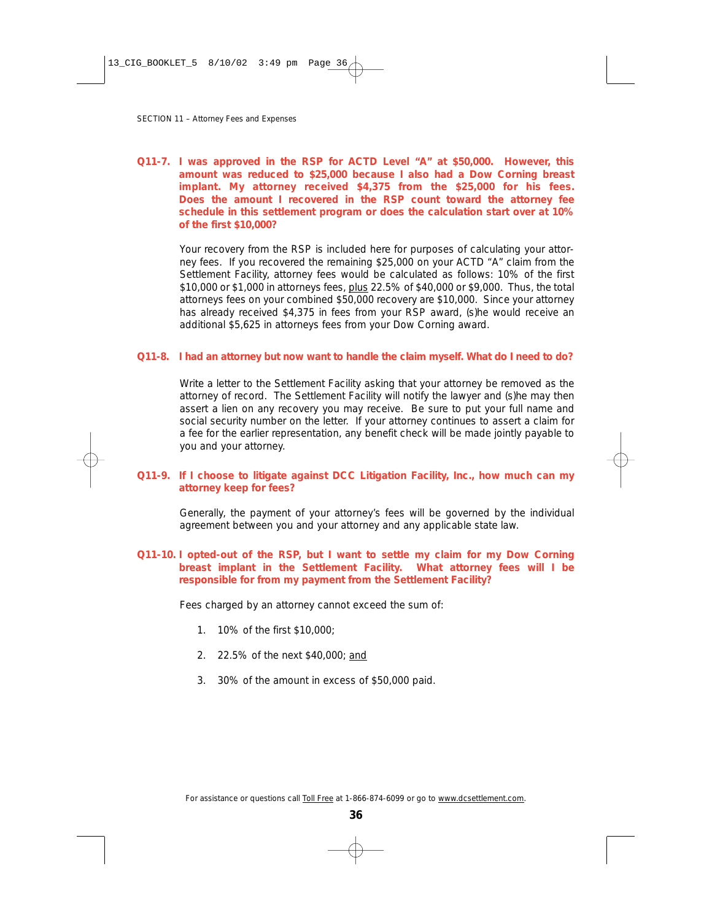### **Q11-7. I was approved in the RSP for ACTD Level "A" at \$50,000. However, this amount was reduced to \$25,000 because I also had a Dow Corning breast implant. My attorney received \$4,375 from the \$25,000 for his fees. Does the amount I recovered in the RSP count toward the attorney fee schedule in this settlement program or does the calculation start over at 10% of the first \$10,000?**

Your recovery from the RSP is included here for purposes of calculating your attorney fees. If you recovered the remaining \$25,000 on your ACTD "A" claim from the Settlement Facility, attorney fees would be calculated as follows: 10% of the first \$10,000 or \$1,000 in attorneys fees, plus 22.5% of \$40,000 or \$9,000. Thus, the total attorneys fees on your combined \$50,000 recovery are \$10,000. Since your attorney has already received \$4,375 in fees from your RSP award, (s)he would receive an additional \$5,625 in attorneys fees from your Dow Corning award.

#### **Q11-8. I had an attorney but now want to handle the claim myself. What do I need to do?**

Write a letter to the Settlement Facility asking that your attorney be removed as the attorney of record. The Settlement Facility will notify the lawyer and (s)he may then assert a lien on any recovery you may receive. Be sure to put your full name and social security number on the letter. If your attorney continues to assert a claim for a fee for the earlier representation, any benefit check will be made jointly payable to you and your attorney.

### **Q11-9. If I choose to litigate against DCC Litigation Facility, Inc., how much can my attorney keep for fees?**

Generally, the payment of your attorney's fees will be governed by the individual agreement between you and your attorney and any applicable state law.

#### **Q11-10. I opted-out of the RSP, but I want to settle my claim for my Dow Corning breast implant in the Settlement Facility. What attorney fees will I be responsible for from my payment from the Settlement Facility?**

Fees charged by an attorney cannot exceed the sum of:

- 1. 10% of the first \$10,000;
- 2. 22.5% of the next \$40,000; and
- 3. 30% of the amount in excess of \$50,000 paid.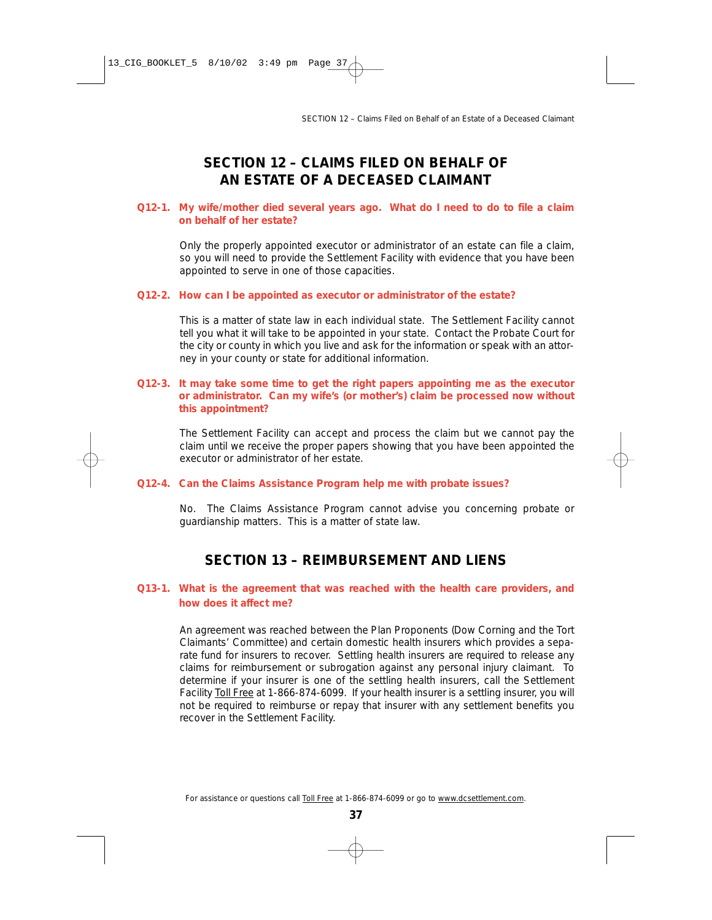## **SECTION 12 – CLAIMS FILED ON BEHALF OF AN ESTATE OF A DECEASED CLAIMANT**

### **Q12-1. My wife/mother died several years ago. What do I need to do to file a claim on behalf of her estate?**

Only the properly appointed executor or administrator of an estate can file a claim, so you will need to provide the Settlement Facility with evidence that you have been appointed to serve in one of those capacities.

#### **Q12-2. How can I be appointed as executor or administrator of the estate?**

This is a matter of state law in each individual state. The Settlement Facility cannot tell you what it will take to be appointed in your state. Contact the Probate Court for the city or county in which you live and ask for the information or speak with an attorney in your county or state for additional information.

### **Q12-3. It may take some time to get the right papers appointing me as the executor or administrator. Can my wife's (or mother's) claim be processed now without this appointment?**

The Settlement Facility can accept and process the claim but we cannot pay the claim until we receive the proper papers showing that you have been appointed the executor or administrator of her estate.

### **Q12-4. Can the Claims Assistance Program help me with probate issues?**

No. The Claims Assistance Program cannot advise you concerning probate or guardianship matters. This is a matter of state law.

## **SECTION 13 – REIMBURSEMENT AND LIENS**

### **Q13-1. What is the agreement that was reached with the health care providers, and how does it affect me?**

An agreement was reached between the Plan Proponents (Dow Corning and the Tort Claimants' Committee) and certain domestic health insurers which provides a separate fund for insurers to recover. Settling health insurers are required to release any claims for reimbursement or subrogation against any personal injury claimant. To determine if your insurer is one of the settling health insurers, call the Settlement Facility Toll Free at 1-866-874-6099. If your health insurer is a settling insurer, you will not be required to reimburse or repay that insurer with any settlement benefits you recover in the Settlement Facility.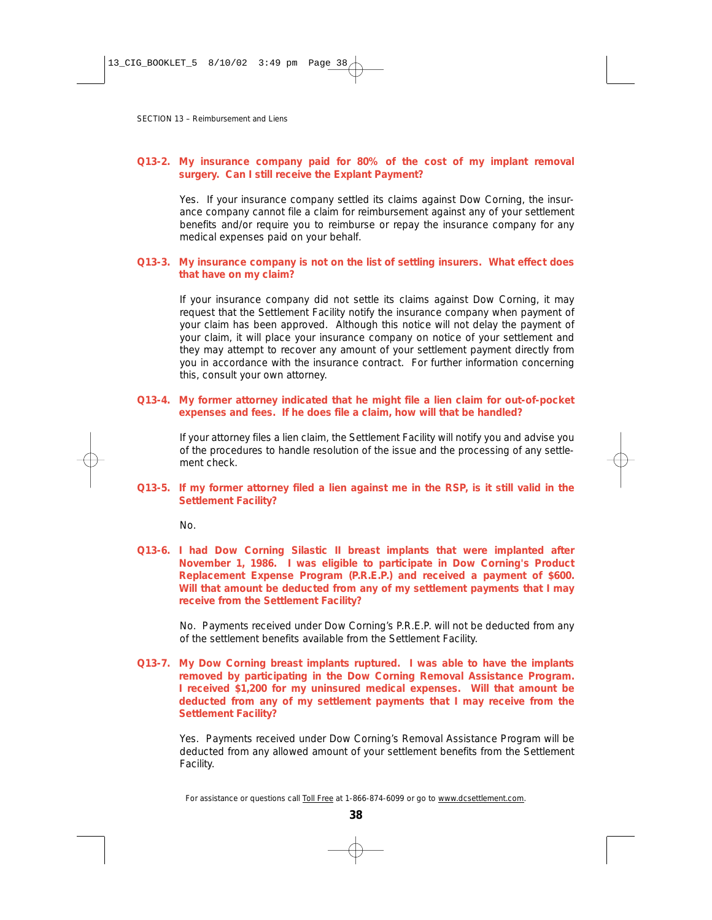### **Q13-2. My insurance company paid for 80% of the cost of my implant removal surgery. Can I still receive the Explant Payment?**

Yes. If your insurance company settled its claims against Dow Corning, the insurance company cannot file a claim for reimbursement against any of your settlement benefits and/or require you to reimburse or repay the insurance company for any medical expenses paid on your behalf.

#### **Q13-3. My insurance company is not on the list of settling insurers. What effect does that have on my claim?**

If your insurance company did not settle its claims against Dow Corning, it may request that the Settlement Facility notify the insurance company when payment of your claim has been approved. Although this notice will not delay the payment of your claim, it will place your insurance company on notice of your settlement and they may attempt to recover any amount of your settlement payment directly from you in accordance with the insurance contract. For further information concerning this, consult your own attorney.

#### **Q13-4. My former attorney indicated that he might file a lien claim for out-of-pocket expenses and fees. If he does file a claim, how will that be handled?**

If your attorney files a lien claim, the Settlement Facility will notify you and advise you of the procedures to handle resolution of the issue and the processing of any settlement check.

**Q13-5. If my former attorney filed a lien against me in the RSP, is it still valid in the Settlement Facility?**

No.

**Q13-6. I had Dow Corning Silastic II breast implants that were implanted after November 1, 1986. I was eligible to participate in Dow Corning's Product Replacement Expense Program (P.R.E.P.) and received a payment of \$600. Will that amount be deducted from any of my settlement payments that I may receive from the Settlement Facility?**

No. Payments received under Dow Corning's P.R.E.P. will not be deducted from any of the settlement benefits available from the Settlement Facility.

**Q13-7. My Dow Corning breast implants ruptured. I was able to have the implants removed by participating in the Dow Corning Removal Assistance Program. I received \$1,200 for my uninsured medical expenses. Will that amount be deducted from any of my settlement payments that I may receive from the Settlement Facility?**

Yes. Payments received under Dow Corning's Removal Assistance Program will be deducted from any allowed amount of your settlement benefits from the Settlement Facility.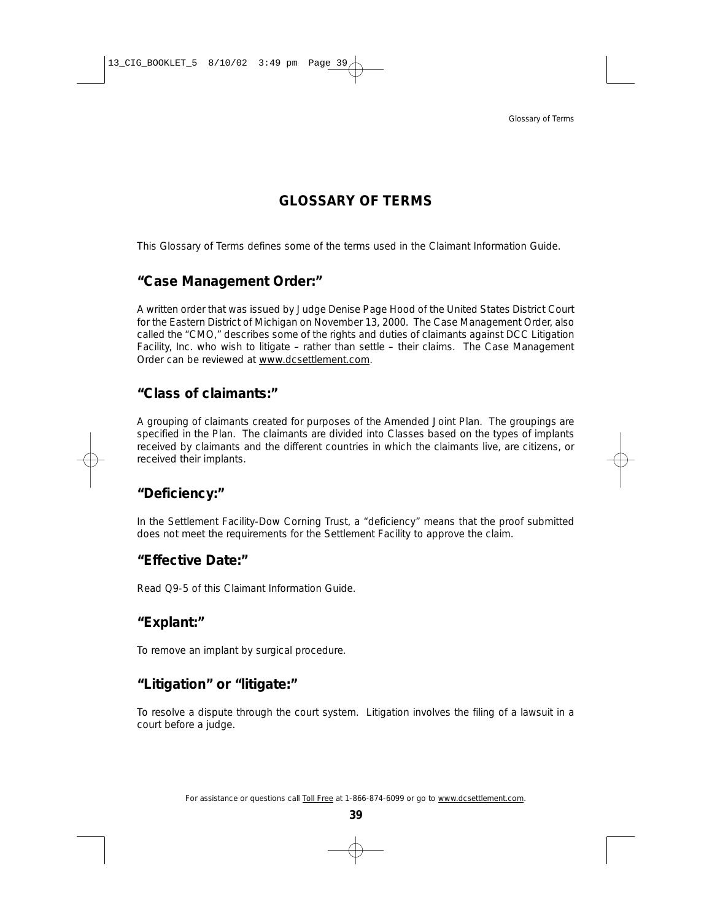## **GLOSSARY OF TERMS**

This Glossary of Terms defines some of the terms used in the Claimant Information Guide.

## **"Case Management Order:"**

A written order that was issued by Judge Denise Page Hood of the United States District Court for the Eastern District of Michigan on November 13, 2000. The Case Management Order, also called the "CMO," describes some of the rights and duties of claimants against DCC Litigation Facility, Inc. who wish to litigate – rather than settle – their claims. The Case Management Order can be reviewed at www.dcsettlement.com.

## **"Class of claimants:"**

A grouping of claimants created for purposes of the Amended Joint Plan. The groupings are specified in the Plan. The claimants are divided into Classes based on the types of implants received by claimants and the different countries in which the claimants live, are citizens, or received their implants.

## **"Deficiency:"**

In the Settlement Facility-Dow Corning Trust, a "deficiency" means that the proof submitted does not meet the requirements for the Settlement Facility to approve the claim.

## **"Effective Date:"**

Read Q9-5 of this Claimant Information Guide.

## **"Explant:"**

To remove an implant by surgical procedure.

## **"Litigation" or "litigate:"**

To resolve a dispute through the court system. Litigation involves the filing of a lawsuit in a court before a judge.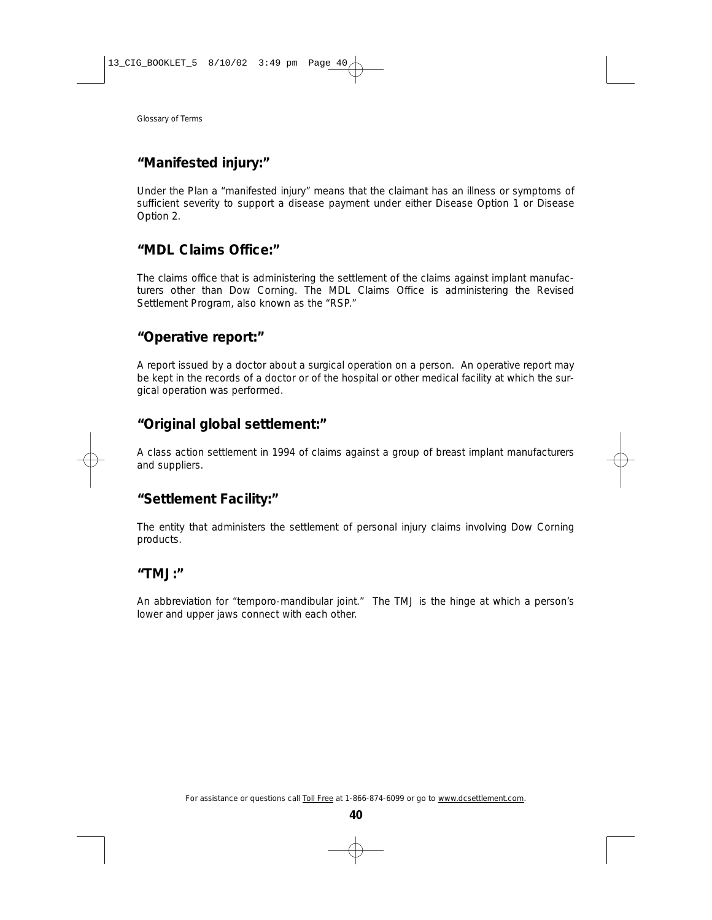## **"Manifested injury:"**

Under the Plan a "manifested injury" means that the claimant has an illness or symptoms of sufficient severity to support a disease payment under either Disease Option 1 or Disease Option 2.

## **"MDL Claims Office:"**

The claims office that is administering the settlement of the claims against implant manufacturers other than Dow Corning. The MDL Claims Office is administering the Revised Settlement Program, also known as the "RSP."

## **"Operative report:"**

A report issued by a doctor about a surgical operation on a person. An operative report may be kept in the records of a doctor or of the hospital or other medical facility at which the surgical operation was performed.

## **"Original global settlement:"**

A class action settlement in 1994 of claims against a group of breast implant manufacturers and suppliers.

## **"Settlement Facility:"**

The entity that administers the settlement of personal injury claims involving Dow Corning products.

## **"TMJ:"**

An abbreviation for "temporo-mandibular joint." The TMJ is the hinge at which a person's lower and upper jaws connect with each other.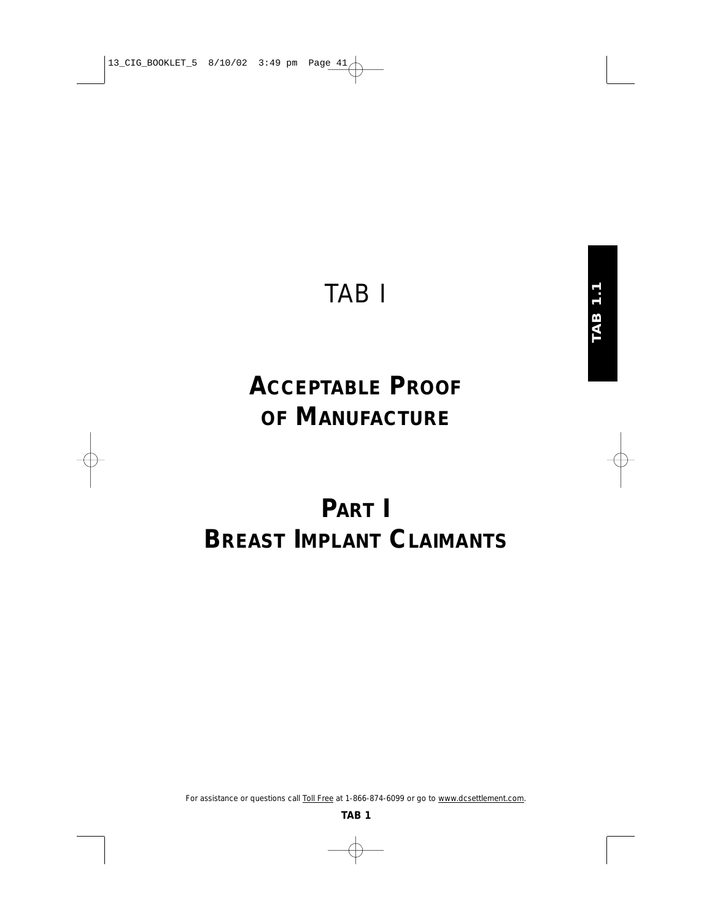## TAB I

## **ACCEPTABLE PROOF OF MANUFACTURE**

# **PART I BREAST IMPLANT CLAIMANTS**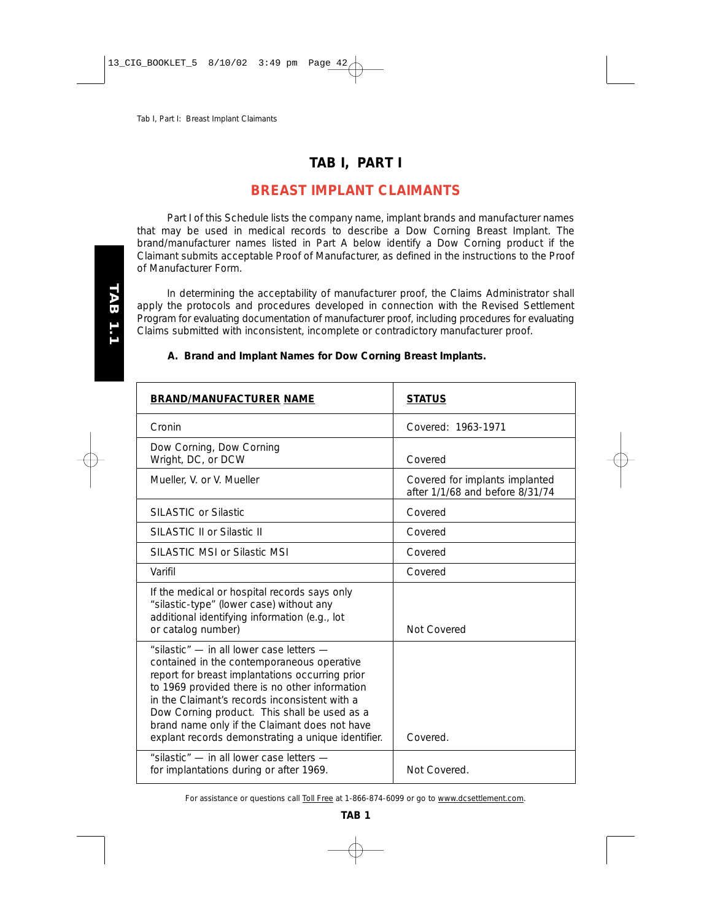## **TAB I, PART I**

## **BREAST IMPLANT CLAIMANTS**

Part I of this Schedule lists the company name, implant brands and manufacturer names that may be used in medical records to describe a Dow Corning Breast Implant. The brand/manufacturer names listed in Part A below identify a Dow Corning product if the Claimant submits acceptable Proof of Manufacturer, as defined in the instructions to the Proof of Manufacturer Form.

In determining the acceptability of manufacturer proof, the Claims Administrator shall apply the protocols and procedures developed in connection with the Revised Settlement Program for evaluating documentation of manufacturer proof, including procedures for evaluating Claims submitted with inconsistent, incomplete or contradictory manufacturer proof.

### **A. Brand and Implant Names for Dow Corning Breast Implants.**

| <b>BRAND/MANUFACTURER NAME</b>                                                                                                                                                                                                                                                                                                                                                                      | <b>STATUS</b>                                                     |
|-----------------------------------------------------------------------------------------------------------------------------------------------------------------------------------------------------------------------------------------------------------------------------------------------------------------------------------------------------------------------------------------------------|-------------------------------------------------------------------|
| Cronin                                                                                                                                                                                                                                                                                                                                                                                              | Covered: 1963-1971                                                |
| Dow Corning, Dow Corning<br>Wright, DC, or DCW                                                                                                                                                                                                                                                                                                                                                      | Covered                                                           |
| Mueller, V. or V. Mueller                                                                                                                                                                                                                                                                                                                                                                           | Covered for implants implanted<br>after 1/1/68 and before 8/31/74 |
| SILASTIC or Silastic                                                                                                                                                                                                                                                                                                                                                                                | Covered                                                           |
| SILASTIC II or Silastic II                                                                                                                                                                                                                                                                                                                                                                          | Covered                                                           |
| SILASTIC MSI or Silastic MSI                                                                                                                                                                                                                                                                                                                                                                        | Covered                                                           |
| Varifil                                                                                                                                                                                                                                                                                                                                                                                             | Covered                                                           |
| If the medical or hospital records says only<br>"silastic-type" (lower case) without any<br>additional identifying information (e.g., lot<br>or catalog number)                                                                                                                                                                                                                                     | Not Covered                                                       |
| "silastic" - in all lower case letters -<br>contained in the contemporaneous operative<br>report for breast implantations occurring prior<br>to 1969 provided there is no other information<br>in the Claimant's records inconsistent with a<br>Dow Corning product. This shall be used as a<br>brand name only if the Claimant does not have<br>explant records demonstrating a unique identifier. | Covered.                                                          |
| "silastic" - in all lower case letters -<br>for implantations during or after 1969.                                                                                                                                                                                                                                                                                                                 | Not Covered.                                                      |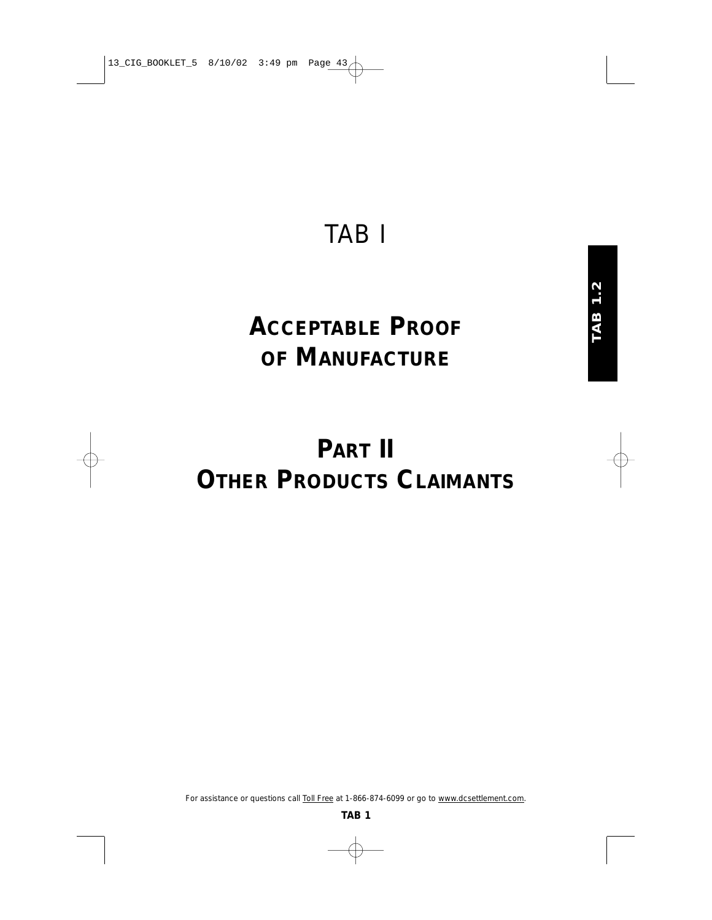## TAB I

# **ACCEPTABLE PROOF OF MANUFACTURE**

# **PART II OTHER PRODUCTS CLAIMANTS**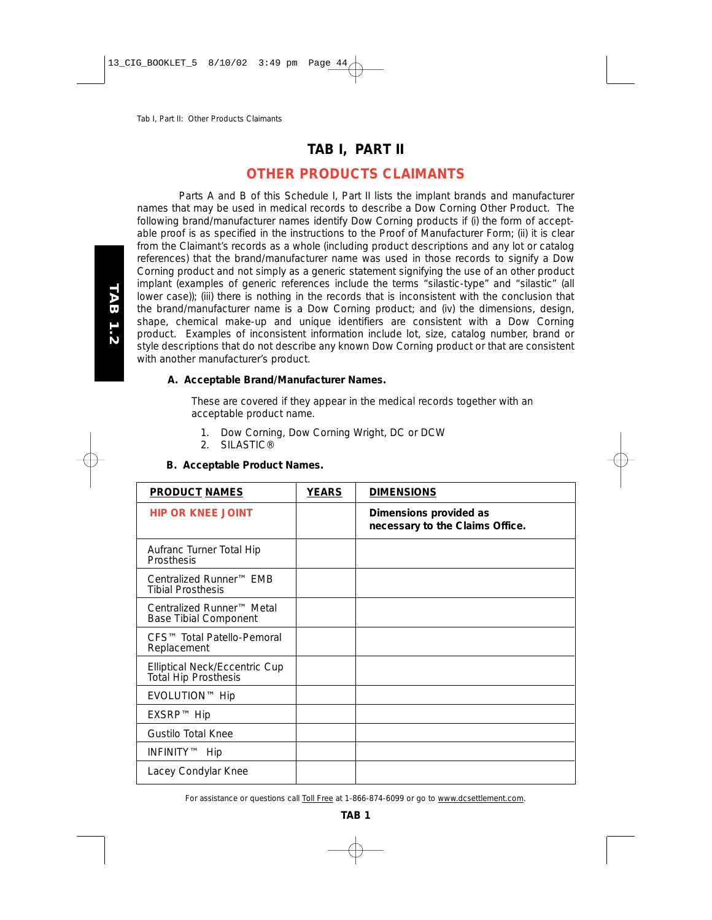## **TAB I, PART II**

## **OTHER PRODUCTS CLAIMANTS**

Parts A and B of this Schedule I, Part II lists the implant brands and manufacturer names that may be used in medical records to describe a Dow Corning Other Product. The following brand/manufacturer names identify Dow Corning products if (i) the form of acceptable proof is as specified in the instructions to the Proof of Manufacturer Form; (ii) it is clear from the Claimant's records as a whole (including product descriptions and any lot or catalog references) that the brand/manufacturer name was used in those records to signify a Dow Corning product and not simply as a generic statement signifying the use of an other product implant (examples of generic references include the terms "silastic-type" and "silastic" (all lower case)); (iii) there is nothing in the records that is inconsistent with the conclusion that the brand/manufacturer name is a Dow Corning product; and (iv) the dimensions, design, shape, chemical make-up and unique identifiers are consistent with a Dow Corning product. Examples of inconsistent information include lot, size, catalog number, brand or style descriptions that do not describe any known Dow Corning product or that are consistent with another manufacturer's product.

### **A. Acceptable Brand/Manufacturer Names.**

These are covered if they appear in the medical records together with an acceptable product name.

- 1. Dow Corning, Dow Corning Wright, DC or DCW
- 2. SILASTIC®

### **B. Acceptable Product Names.**

| <b>PRODUCT NAMES</b>                                                  | <b>YEARS</b> | <b>DIMENSIONS</b>                                         |
|-----------------------------------------------------------------------|--------------|-----------------------------------------------------------|
| <b>HIP OR KNEE JOINT</b>                                              |              | Dimensions provided as<br>necessary to the Claims Office. |
| Aufranc Turner Total Hip<br>Prosthesis                                |              |                                                           |
| Centralized Runner™ EMB<br><b>Tibial Prosthesis</b>                   |              |                                                           |
| Centralized Runner <sup>™</sup> Metal<br><b>Base Tibial Component</b> |              |                                                           |
| CFS <sup>™</sup> Total Patello-Pemoral<br>Replacement                 |              |                                                           |
| Elliptical Neck/Eccentric Cup<br><b>Total Hip Prosthesis</b>          |              |                                                           |
| EVOLUTION™ Hip                                                        |              |                                                           |
| EXSRP™ Hip                                                            |              |                                                           |
| <b>Gustilo Total Knee</b>                                             |              |                                                           |
| INFINITY™ Hip                                                         |              |                                                           |
| Lacey Condylar Knee                                                   |              |                                                           |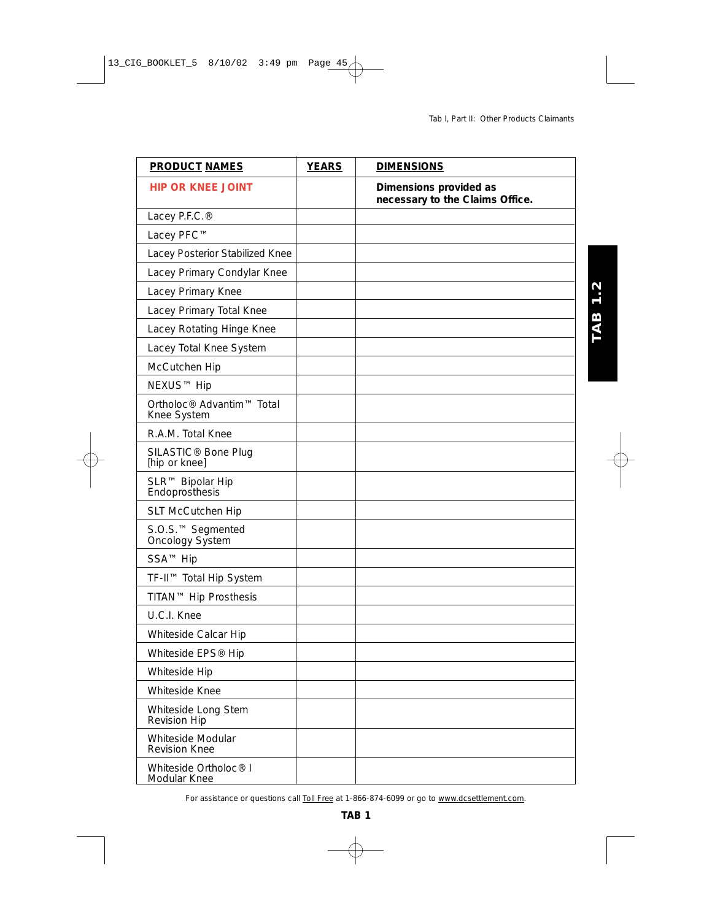**TAB 1.2** 

| <b>PRODUCT NAMES</b>                              | <b>YEARS</b> | <b>DIMENSIONS</b>                                         |
|---------------------------------------------------|--------------|-----------------------------------------------------------|
| <b>HIP OR KNEE JOINT</b>                          |              | Dimensions provided as<br>necessary to the Claims Office. |
| Lacey P.F.C.®                                     |              |                                                           |
| Lacey PFC™                                        |              |                                                           |
| Lacey Posterior Stabilized Knee                   |              |                                                           |
| Lacey Primary Condylar Knee                       |              |                                                           |
| Lacey Primary Knee                                |              |                                                           |
| Lacey Primary Total Knee                          |              |                                                           |
| Lacey Rotating Hinge Knee                         |              |                                                           |
| Lacey Total Knee System                           |              |                                                           |
| McCutchen Hip                                     |              |                                                           |
| NEXUS™ Hip                                        |              |                                                           |
| Ortholoc® Advantim™ Total<br>Knee System          |              |                                                           |
| R.A.M. Total Knee                                 |              |                                                           |
| SILASTIC <sup>®</sup> Bone Plug<br>[hip or knee]  |              |                                                           |
| SLR™ Bipolar Hip<br>Endoprosthesis                |              |                                                           |
| SLT McCutchen Hip                                 |              |                                                           |
| S.O.S. <sup>™</sup> Segmented<br>Oncology System  |              |                                                           |
| SSA <sup>™</sup> Hip                              |              |                                                           |
| TF-II™ Total Hip System                           |              |                                                           |
| TITAN™ Hip Prosthesis                             |              |                                                           |
| U.C.I. Knee                                       |              |                                                           |
| Whiteside Calcar Hip                              |              |                                                           |
| Whiteside EPS <sup>®</sup> Hip                    |              |                                                           |
| Whiteside Hip                                     |              |                                                           |
| Whiteside Knee                                    |              |                                                           |
| Whiteside Long Stem<br><b>Revision Hip</b>        |              |                                                           |
| Whiteside Modular<br><b>Revision Knee</b>         |              |                                                           |
| Whiteside Ortholoc <sup>®</sup> I<br>Modular Knee |              |                                                           |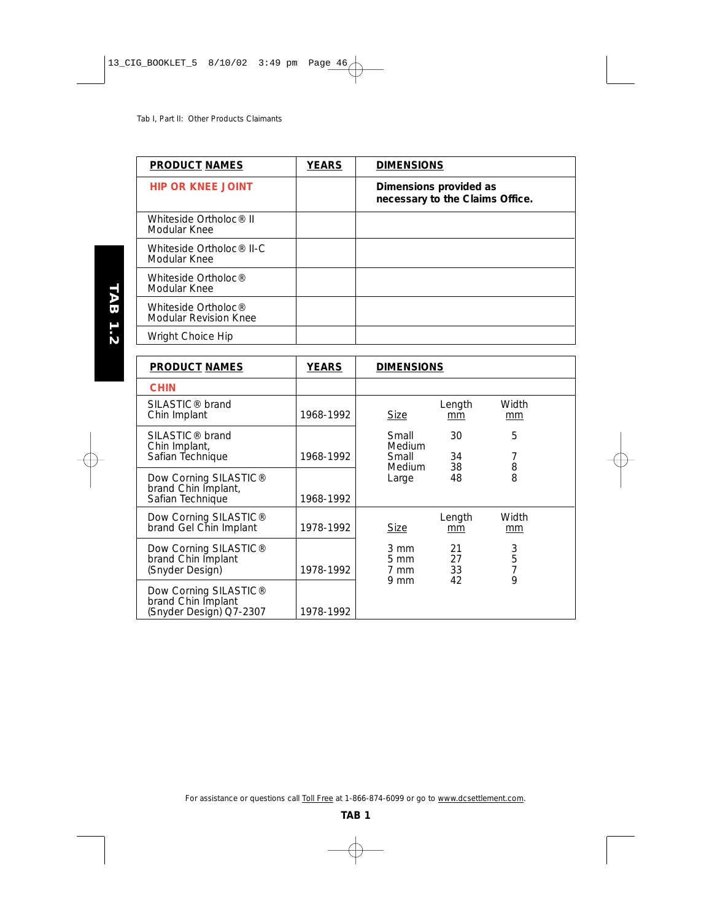| <b>PRODUCT NAMES</b>                                     | <b>YEARS</b> | <b>DIMENSIONS</b>                                         |
|----------------------------------------------------------|--------------|-----------------------------------------------------------|
| <b>HIP OR KNEE JOINT</b>                                 |              | Dimensions provided as<br>necessary to the Claims Office. |
| Whiteside Ortholoc <sup>®</sup> II<br>Modular Knee       |              |                                                           |
| Whiteside Ortholoc <sup>®</sup> II-C<br>Modular Knee     |              |                                                           |
| Whiteside Ortholoc <sup>®</sup><br>Modular Knee          |              |                                                           |
| Whiteside Ortholoc <sup>®</sup><br>Modular Revision Knee |              |                                                           |
| Wright Choice Hip                                        |              |                                                           |

| <b>PRODUCT NAMES</b>                                                               | <b>YEARS</b> | <b>DIMENSIONS</b>                |                |                                       |
|------------------------------------------------------------------------------------|--------------|----------------------------------|----------------|---------------------------------------|
| <b>CHIN</b>                                                                        |              |                                  |                |                                       |
| SILASTIC <sup>®</sup> brand<br>Chin Implant                                        | 1968-1992    | Size                             | Length<br>mm   | Width<br>mm                           |
| SILASTIC <sup>®</sup> brand<br>Chin Implant,<br>Safian Technique                   | 1968-1992    | Small<br>Medium<br>Small         | 30<br>34       | 5<br>7                                |
| Dow Corning SILASTIC <sup>®</sup><br>brand Chin Implant,<br>Safian Technique       | 1968-1992    | <b>Medium</b><br>Large           | 38<br>48       | $\begin{array}{c} 8 \\ 8 \end{array}$ |
| Dow Corning SILASTIC <sup>®</sup><br>brand Gel Chin Implant                        | 1978-1992    | <b>Size</b>                      | Length<br>mm   | Width<br>mm                           |
| Dow Corning SILASTIC <sup>®</sup><br>brand Chin Implant<br>(Snyder Design)         | 1978-1992    | 3 mm<br>$5 \, \text{mm}$<br>7 mm | 21<br>27<br>33 | 3<br>5<br>7<br>9                      |
| Dow Corning SILASTIC <sup>®</sup><br>brand Chin Implant<br>(Snyder Design) Q7-2307 | 1978-1992    | $9 \text{ mm}$                   | 42             |                                       |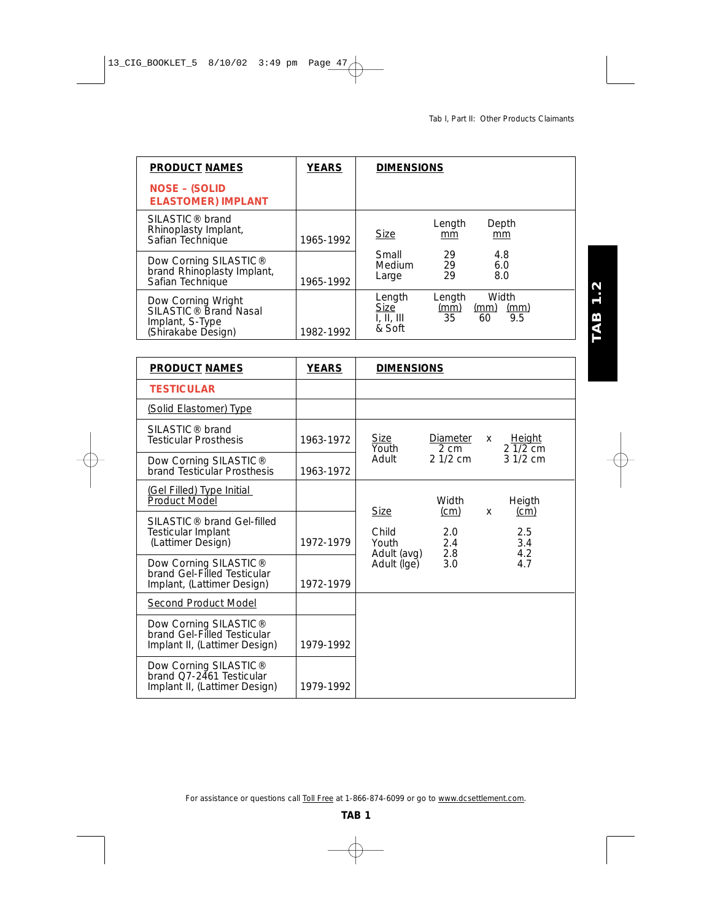| <b>PRODUCT NAMES</b>                                                                             | <b>YEARS</b> | <b>DIMENSIONS</b>                                                                                                                |
|--------------------------------------------------------------------------------------------------|--------------|----------------------------------------------------------------------------------------------------------------------------------|
| <b>NOSE - (SOLID</b><br><b>ELASTOMER) IMPLANT</b>                                                |              |                                                                                                                                  |
| SILASTIC <sup>®</sup> brand<br>Rhinoplasty Implant,<br>Safian Technique                          | 1965-1992    | Length<br>Depth<br><b>Size</b><br>mm<br>mm                                                                                       |
| Dow Corning SILASTIC <sup>®</sup><br>brand Rhinoplasty Implant,<br>Safian Technique              | 1965-1992    | 29<br>Small<br>4.8<br>29<br>Medium<br>6.0<br>29<br>8.0<br>Large                                                                  |
| Dow Corning Wright<br>SILASTIC <sup>®</sup> Brand Nasal<br>Implant, S-Type<br>(Shirakabe Design) | 1982-1992    | Width<br>Length<br>Length<br><b>Size</b><br>(mm)<br>$\frac{\text{(mm)}}{9.5}$<br><u>(mm)</u><br>35<br>I, II, III<br>60<br>& Soft |

| <b>PRODUCT NAMES</b>                                                                              | <b>YEARS</b> | <b>DIMENSIONS</b>                                                                                           |
|---------------------------------------------------------------------------------------------------|--------------|-------------------------------------------------------------------------------------------------------------|
| <b>TESTICULAR</b>                                                                                 |              |                                                                                                             |
| (Solid Elastomer) Type                                                                            |              |                                                                                                             |
| SILASTIC <sup>®</sup> brand<br><b>Testicular Prosthesis</b>                                       | 1963-1972    | Size<br>Diameter<br><u>Height</u><br>X.<br>$21/2$ cm<br>Youth<br>$2 \, \text{cm}$                           |
| Dow Corning SILASTIC <sup>®</sup><br>brand Testicular Prosthesis                                  | 1963-1972    | $21/2$ cm<br>$31/2$ cm<br>Adult                                                                             |
| (Gel Filled) Type Initial<br>Product Model                                                        |              | Width<br>Heigth                                                                                             |
| SILASTIC <sup>®</sup> brand Gel-filled<br>Testicular Implant<br>(Lattimer Design)                 | 1972-1979    | <b>Size</b><br>(cm)<br>(cm)<br>X<br>Child<br>2.5<br>2.0<br>2.4<br>3.4<br>Youth<br>2.8<br>4.2<br>Adult (avg) |
| Dow Corning SILASTIC <sup>®</sup><br>brand Gel-Filled Testicular<br>Implant, (Lattimer Design)    | 1972-1979    | 3.0<br>Adult (Ige)<br>4.7                                                                                   |
| Second Product Model                                                                              |              |                                                                                                             |
| Dow Corning SILASTIC <sup>®</sup><br>brand Gel-Filled Testicular<br>Implant II, (Lattimer Design) | 1979-1992    |                                                                                                             |
| Dow Corning SILASTIC <sup>®</sup><br>brand Q7-2461 Testicular<br>Implant II, (Lattimer Design)    | 1979-1992    |                                                                                                             |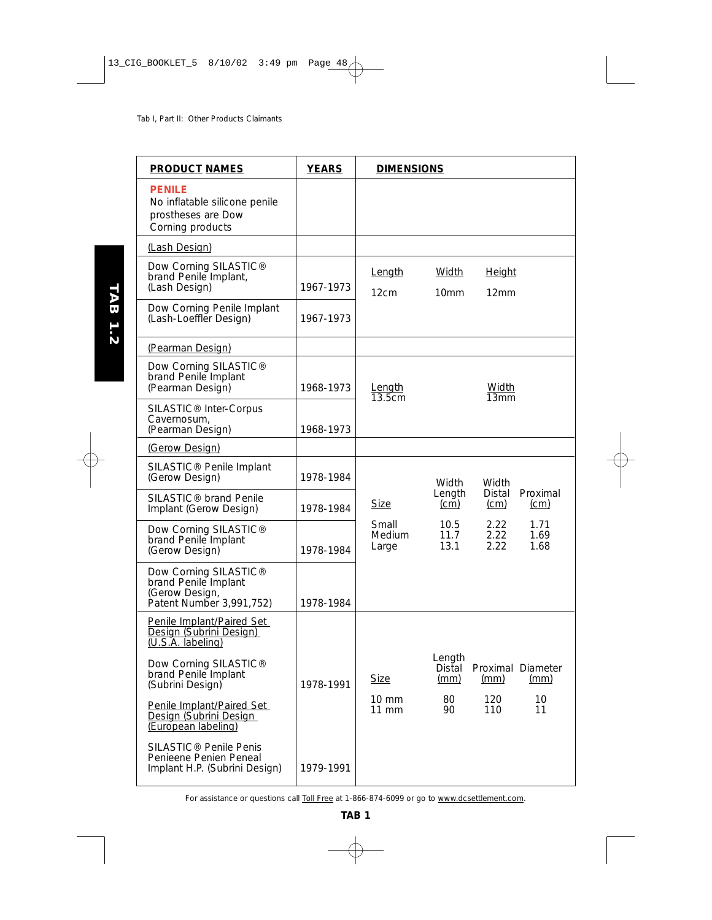| <b>PRODUCT NAMES</b>                                                                                    | <b>YEARS</b> | <b>DIMENSIONS</b>               |                           |                       |                           |
|---------------------------------------------------------------------------------------------------------|--------------|---------------------------------|---------------------------|-----------------------|---------------------------|
| <b>PENILE</b><br>No inflatable silicone penile<br>prostheses are Dow<br>Corning products                |              |                                 |                           |                       |                           |
| (Lash Design)                                                                                           |              |                                 |                           |                       |                           |
| Dow Corning SILASTIC®<br>brand Penile Implant,<br>(Lash Design)                                         | 1967-1973    | Length<br>12cm                  | Width<br>10 <sub>mm</sub> | <u>Height</u><br>12mm |                           |
| Dow Corning Penile Implant<br>(Lash-Loeffler Design)                                                    | 1967-1973    |                                 |                           |                       |                           |
| (Pearman Design)                                                                                        |              |                                 |                           |                       |                           |
| Dow Corning SILASTIC <sup>®</sup><br>brand Penile Implant<br>(Pearman Design)                           | 1968-1973    | Length<br>13.5cm                |                           | Width<br>13mm         |                           |
| SILASTIC <sup>®</sup> Inter-Corpus<br>Cavernosum,<br>(Pearman Design)                                   | 1968-1973    |                                 |                           |                       |                           |
| (Gerow Design)                                                                                          |              |                                 |                           |                       |                           |
| SILASTIC <sup>®</sup> Penile Implant<br>(Gerow Design)                                                  | 1978-1984    |                                 | Width                     | Width                 |                           |
| SILASTIC® brand Penile<br>Implant (Gerow Design)                                                        | 1978-1984    | <b>Size</b>                     | Length<br>(cm)            | Distal<br>(cm)        | Proximal<br>(cm)          |
| Dow Corning SILASTIC <sup>®</sup><br>brand Penile Implant<br>(Gerow Design)                             | 1978-1984    | Small<br><b>Medium</b><br>Large | 10.5<br>11.7<br>13.1      | 2.22<br>2.22<br>2.22  | 1.71<br>1.69<br>1.68      |
| Dow Corning SILASTIC <sup>®</sup><br>brand Penile Implant<br>(Gerow Design,<br>Patent Number 3,991,752) | 1978-1984    |                                 |                           |                       |                           |
| Penile Implant/Paired Set<br>Design (Subrini Design)<br>(U.S.A. labeling)                               |              |                                 |                           |                       |                           |
| Dow Corning SILASTIC®<br>brand Penile Implant<br>(Subrini Design)                                       | 1978-1991    | <b>Size</b>                     | Length<br>Distal<br>(mm)  | (mm)                  | Proximal Diameter<br>(mm) |
| Penile Implant/Paired Set<br>Design (Subrini Design<br>(European labeling)                              |              | 10 mm<br>11 mm                  | 80<br>90                  | 120<br>110            | 10<br>11                  |
| SILASTIC <sup>®</sup> Penile Penis<br>Penieene Penien Peneal<br>Implant H.P. (Subrini Design)           | 1979-1991    |                                 |                           |                       |                           |

TAB 1.2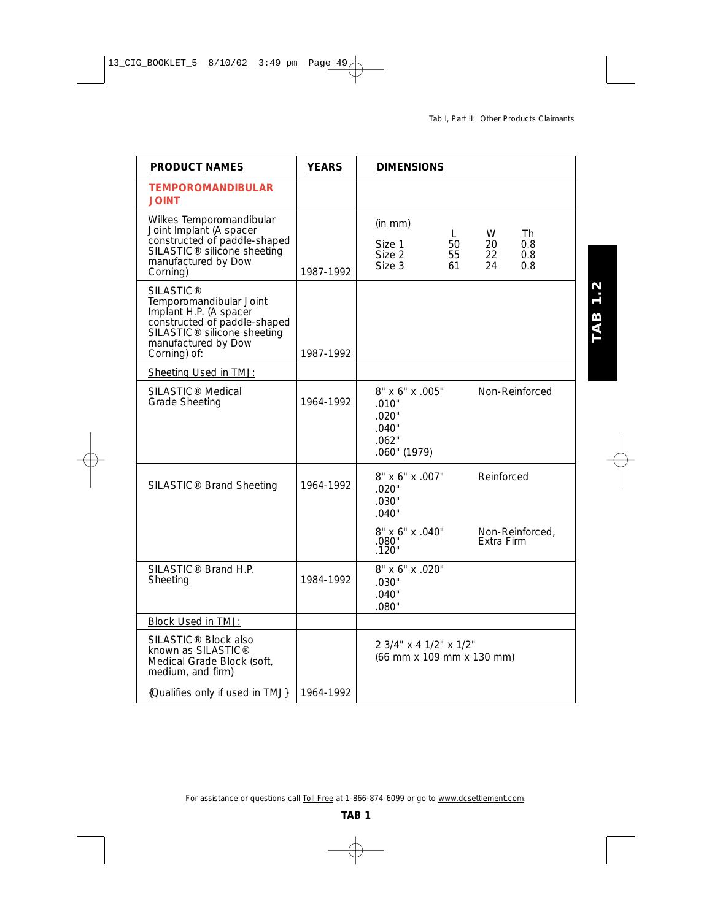**TAB 1.2** 

| <b>PRODUCT NAMES</b>                                                                                                                                                                    | <b>YEARS</b> | <b>DIMENSIONS</b>                                                                                                              |
|-----------------------------------------------------------------------------------------------------------------------------------------------------------------------------------------|--------------|--------------------------------------------------------------------------------------------------------------------------------|
| <b>TEMPOROMANDIBULAR</b><br><b>JOINT</b>                                                                                                                                                |              |                                                                                                                                |
| Wilkes Temporomandibular<br>Joint Implant (A spacer<br>constructed of paddle-shaped<br>SILASTIC <sup>®</sup> silicone sheeting<br>manufactured by Dow<br>Corning)                       | 1987-1992    | (in mm)<br>W<br>Th<br>L.<br>Size 1<br>50<br>20<br>0.8<br>Size 2<br>22<br>55<br>0.8<br>Size 3<br>61<br>24<br>0.8                |
| <b>SILASTIC®</b><br>Temporomandibular Joint<br>Implant H.P. (A spacer<br>constructed of paddle-shaped<br>SILASTIC <sup>®</sup> silicone sheeting<br>manufactured by Dow<br>Corning) of: | 1987-1992    |                                                                                                                                |
| Sheeting Used in TMJ:                                                                                                                                                                   |              |                                                                                                                                |
| SILASTIC <sup>®</sup> Medical<br><b>Grade Sheeting</b>                                                                                                                                  | 1964-1992    | 8" x 6" x .005"<br>Non-Reinforced<br>.010"<br>.020"<br>.040"<br>.062"<br>.060" (1979)                                          |
| SILASTIC <sup>®</sup> Brand Sheeting                                                                                                                                                    | 1964-1992    | 8" x 6" x .007"<br>Reinforced<br>.020"<br>.030"<br>.040"<br>8" x 6" x .040"<br>Non-Reinforced,<br>Extra Firm<br>.080'<br>.120" |
| SILASTIC <sup>®</sup> Brand H.P.<br>Sheeting                                                                                                                                            | 1984-1992    | 8" x 6" x .020"<br>.030"<br>.040"<br>.080"                                                                                     |
| Block Used in TMJ:                                                                                                                                                                      |              |                                                                                                                                |
| SILASTIC <sup>®</sup> Block also<br>known as SILASTIC®<br>Medical Grade Block (soft,<br>medium, and firm)                                                                               |              | 2 3/4" x 4 1/2" x 1/2"<br>(66 mm x 109 mm x 130 mm)                                                                            |
| {Qualifies only if used in TMJ}                                                                                                                                                         | 1964-1992    |                                                                                                                                |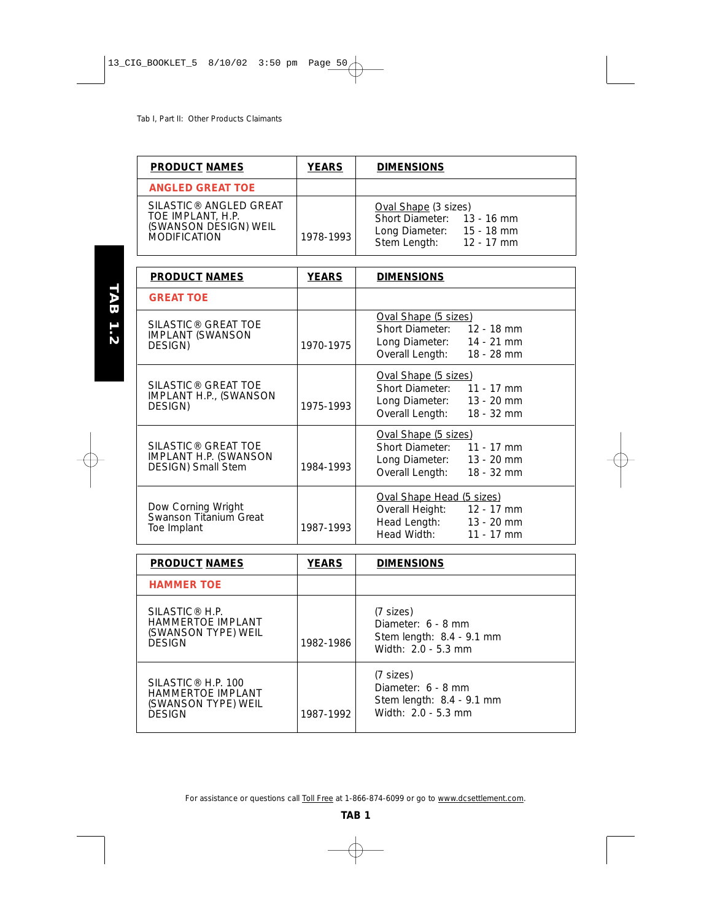| <b>PRODUCT NAMES</b>                                                                                    | <b>YEARS</b> | <b>DIMENSIONS</b>                                                                                             |
|---------------------------------------------------------------------------------------------------------|--------------|---------------------------------------------------------------------------------------------------------------|
| <b>ANGLED GREAT TOE</b>                                                                                 |              |                                                                                                               |
| SILASTIC <sup>®</sup> ANGLED GREAT<br>TOE IMPLANT, H.P.<br>(SWANSON DESIGN) WEIL<br><b>MODIFICATION</b> | 1978-1993    | Oval Shape (3 sizes)<br>Short Diameter: 13 - 16 mm<br>Long Diameter: 15 - 18 mm<br>Stem Length:<br>12 - 17 mm |

| <b>PRODUCT NAMES</b>                                                                          | <b>YEARS</b> | <b>DIMENSIONS</b>                                                                                                       |
|-----------------------------------------------------------------------------------------------|--------------|-------------------------------------------------------------------------------------------------------------------------|
| <b>GREAT TOE</b>                                                                              |              |                                                                                                                         |
| SILASTIC <sup>®</sup> GREAT TOE<br><b>IMPLANT (SWANSON</b><br>DESIGN)                         | 1970-1975    | <b>Oval Shape (5 sizes)</b><br>Short Diameter: 12 - 18 mm<br>Long Diameter: 14 - 21 mm<br>Overall Length:<br>18 - 28 mm |
| SILASTIC <sup>®</sup> GREAT TOE<br>IMPLANT H.P., (SWANSON<br>DESIGN)                          | 1975-1993    | <b>Oval Shape (5 sizes)</b><br>Short Diameter: 11 - 17 mm<br>Long Diameter: 13 - 20 mm<br>Overall Length: 18 - 32 mm    |
| SILASTIC <sup>®</sup> GREAT TOE<br><b>IMPLANT H.P. (SWANSON</b><br><b>DESIGN</b> ) Small Stem | 1984-1993    | <b>Oval Shape (5 sizes)</b><br>Short Diameter: 11 - 17 mm<br>Long Diameter: 13 - 20 mm<br>Overall Length: 18 - 32 mm    |
| Dow Corning Wright<br>Swanson Titanium Great<br>Toe Implant                                   | 1987-1993    | Oval Shape Head (5 sizes)<br>Overall Height: 12 - 17 mm<br>Head Length: 13 - 20 mm<br>Head Width:<br>$11 - 17$ mm       |

| <b>PRODUCT NAMES</b>                                                                               | <b>YEARS</b> | <b>DIMENSIONS</b>                                                                         |
|----------------------------------------------------------------------------------------------------|--------------|-------------------------------------------------------------------------------------------|
| <b>HAMMER TOE</b>                                                                                  |              |                                                                                           |
| SILASTIC <sup>®</sup> H.P.<br><b>HAMMERTOE IMPLANT</b><br>(SWANSON TYPE) WEIL<br><b>DESIGN</b>     | 1982-1986    | (7 sizes)<br>Diameter: $6 - 8$ mm<br>Stem length: $8.4 - 9.1$ mm<br>Width: $2.0 - 5.3$ mm |
| SILASTIC <sup>®</sup> H.P. 100<br><b>HAMMERTOE IMPLANT</b><br>(SWANSON TYPE) WEIL<br><b>DESIGN</b> | 1987-1992    | (7 sizes)<br>Diameter: 6 - 8 mm<br>Stem length: 8.4 - 9.1 mm<br>Width: 2.0 - 5.3 mm       |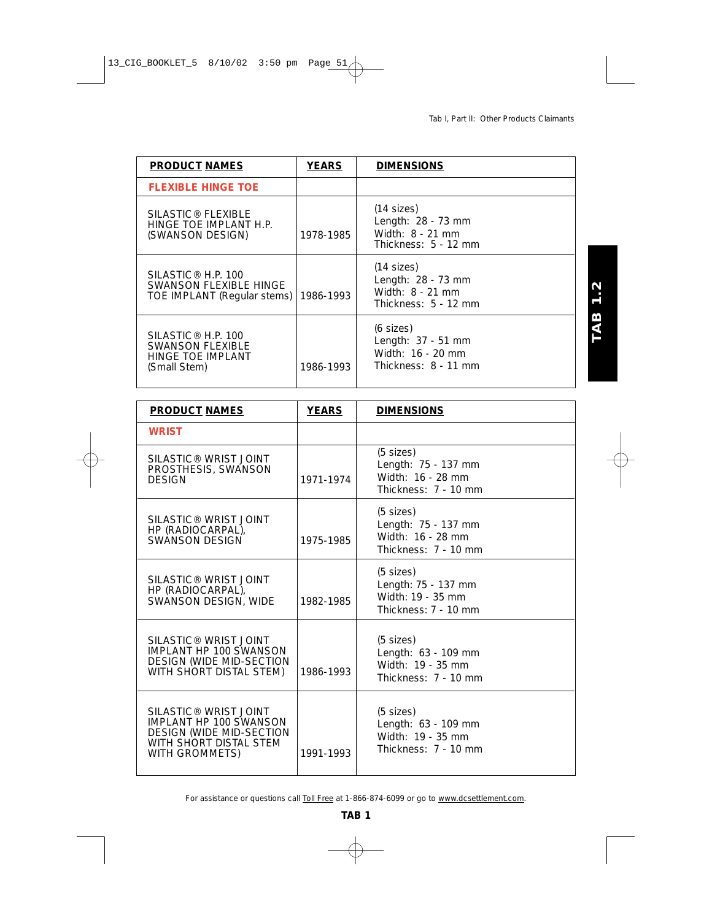| <b>PRODUCT NAMES</b>                                                                           | <b>YEARS</b> | <b>DIMENSIONS</b>                                                                  |
|------------------------------------------------------------------------------------------------|--------------|------------------------------------------------------------------------------------|
| <b>FLEXIBLE HINGE TOE</b>                                                                      |              |                                                                                    |
| SILASTIC <sup>®</sup> FLEXIBLE<br>HINGE TOE IMPLANT H.P.<br>(SWANSON DESIGN)                   | 1978-1985    | $(14$ sizes)<br>Length: 28 - 73 mm<br>Width: 8 - 21 mm<br>Thickness: $5 - 12$ mm   |
| SILASTIC <sup>®</sup> H.P. 100<br>SWANSON FLEXIBLE HINGE<br>TOE IMPLANT (Regular stems)        | 1986-1993    | $(14$ sizes)<br>Length: 28 - 73 mm<br>Width: 8 - 21 mm<br>Thickness: $5 - 12$ mm   |
| SILASTIC <sup>®</sup> H.P. 100<br><b>SWANSON FLEXIBLE</b><br>HINGE TOE IMPLANT<br>(Small Stem) | 1986-1993    | $(6$ sizes)<br>Length: $37 - 51$ mm<br>Width: 16 - 20 mm<br>Thickness: $8 - 11$ mm |

| <b>PRODUCT NAMES</b>                                                                                                                              | <b>YEARS</b> | <b>DIMENSIONS</b>                                                                       |
|---------------------------------------------------------------------------------------------------------------------------------------------------|--------------|-----------------------------------------------------------------------------------------|
| <b>WRIST</b>                                                                                                                                      |              |                                                                                         |
| SILASTIC <sup>®</sup> WRIST JOINT<br>PROSTHESIS, SWANSON<br><b>DESIGN</b>                                                                         | 1971-1974    | $(5$ sizes)<br>Length: 75 - 137 mm<br>Width: 16 - 28 mm<br>Thickness: 7 - 10 mm         |
| SILASTIC <sup>®</sup> WRIST JOINT<br>HP (RADIOCARPAL),<br>SWANSON DESIGN                                                                          | 1975-1985    | $(5 \text{ sizes})$<br>Length: 75 - 137 mm<br>Width: 16 - 28 mm<br>Thickness: 7 - 10 mm |
| SILASTIC <sup>®</sup> WRIST JOINT<br>HP (RADIOCARPAL),<br>SWANSON DESIGN, WIDE                                                                    | 1982-1985    | $(5$ sizes)<br>Length: 75 - 137 mm<br>Width: 19 - 35 mm<br>Thickness: $7 - 10$ mm       |
| SILASTIC <sup>®</sup> WRIST JOINT<br><b>IMPLANT HP 100 SWANSON</b><br><b>DESIGN (WIDE MID-SECTION</b><br>WITH SHORT DISTAL STEM)                  | 1986-1993    | $(5 \text{ sizes})$<br>Length: 63 - 109 mm<br>Width: 19 - 35 mm<br>Thickness: 7 - 10 mm |
| SILASTIC <sup>®</sup> WRIST JOINT<br><b>IMPLANT HP 100 SWANSON</b><br><b>DESIGN (WIDE MID-SECTION</b><br>WITH SHORT DISTAL STEM<br>WITH GROMMETS) | 1991-1993    | $(5 \text{ sizes})$<br>Length: 63 - 109 mm<br>Width: 19 - 35 mm<br>Thickness: 7 - 10 mm |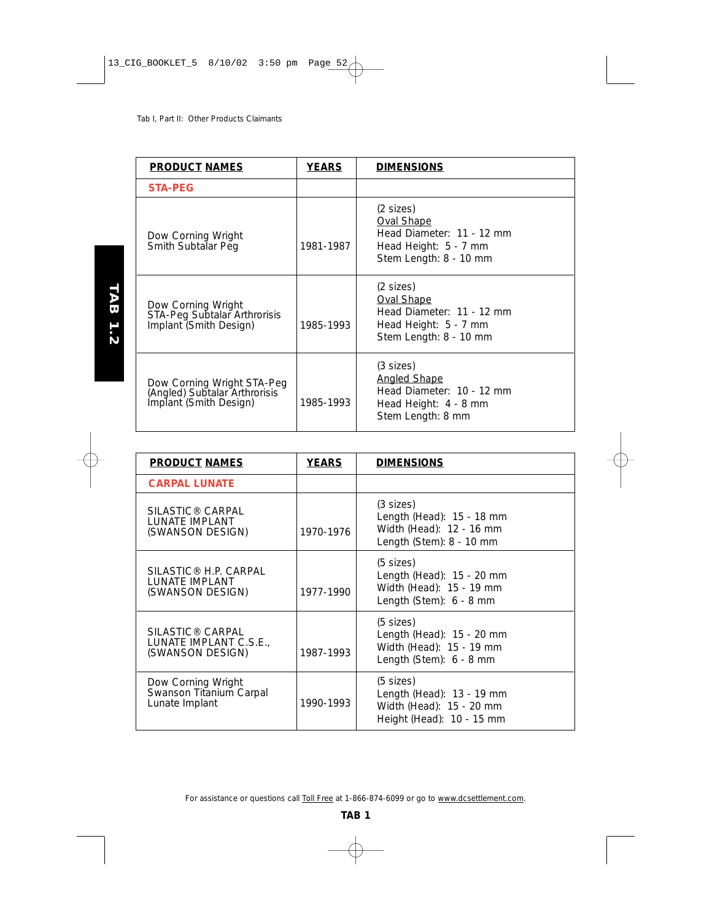| <b>PRODUCT NAMES</b>                                                                  | <b>YEARS</b> | <b>DIMENSIONS</b>                                                                                                        |
|---------------------------------------------------------------------------------------|--------------|--------------------------------------------------------------------------------------------------------------------------|
| <b>STA-PEG</b>                                                                        |              |                                                                                                                          |
| Dow Corning Wright<br>Smith Subtalar Peg                                              | 1981-1987    | $(2 \text{ sizes})$<br><b>Oval Shape</b><br>Head Diameter: 11 - 12 mm<br>Head Height: 5 - 7 mm<br>Stem Length: 8 - 10 mm |
| Dow Corning Wright<br>STA-Peg Subtalar Arthrorisis<br>Implant (Smith Design)          | 1985-1993    | (2 sizes)<br>Oval Shape<br>Head Diameter: 11 - 12 mm<br>Head Height: 5 - 7 mm<br>Stem Length: 8 - 10 mm                  |
| Dow Corning Wright STA-Peg<br>(Angled) Subtalar Arthrorisis<br>Implant (Smith Design) | 1985-1993    | $(3 \text{ sizes})$<br><b>Angled Shape</b><br>Head Diameter: 10 - 12 mm<br>Head Height: 4 - 8 mm<br>Stem Length: 8 mm    |

| <b>PRODUCT NAMES</b>                                                       | <b>YEARS</b> | <b>DIMENSIONS</b>                                                                                           |
|----------------------------------------------------------------------------|--------------|-------------------------------------------------------------------------------------------------------------|
| <b>CARPAL LUNATE</b>                                                       |              |                                                                                                             |
| SILASTIC <sup>®</sup> CARPAL<br>LUNATE IMPLANT<br>(SWANSON DESIGN)         | 1970-1976    | $(3 \text{ sizes})$<br>Length (Head): $15 - 18$ mm<br>Width (Head): 12 - 16 mm<br>Length (Stem): 8 - 10 mm  |
| SILASTIC <sup>®</sup> H.P. CARPAL<br>LUNATE IMPLANT<br>(SWANSON DESIGN)    | 1977-1990    | $(5 \text{ sizes})$<br>Length (Head): $15 - 20$ mm<br>Width (Head): 15 - 19 mm<br>Length (Stem): 6 - 8 mm   |
| SILASTIC <sup>®</sup> CARPAL<br>LUNATE IMPLANT C.S.E.,<br>(SWANSON DESIGN) | 1987-1993    | $(5 \text{ sizes})$<br>Length (Head): $15 - 20$ mm<br>Width (Head): 15 - 19 mm<br>Length (Stem): 6 - 8 mm   |
| Dow Corning Wright<br>Swanson Titanium Carpal<br>Lunate Implant            | 1990-1993    | $(5 \text{ sizes})$<br>Length (Head): $13 - 19$ mm<br>Width (Head): 15 - 20 mm<br>Height (Head): 10 - 15 mm |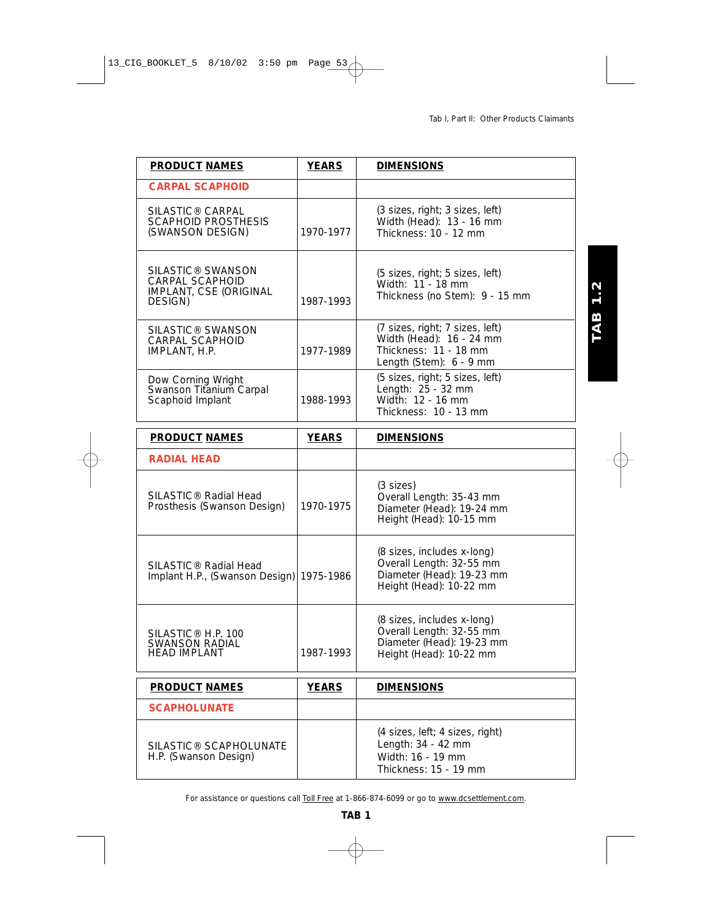**TAB 1.2** 

| <b>PRODUCT NAMES</b>                                                                  | <b>YEARS</b> | <b>DIMENSIONS</b>                                                                                               |
|---------------------------------------------------------------------------------------|--------------|-----------------------------------------------------------------------------------------------------------------|
| <b>CARPAL SCAPHOID</b>                                                                |              |                                                                                                                 |
| SILASTIC <sup>®</sup> CARPAL<br><b>SCAPHOID PROSTHESIS</b><br>(SWANSON DESIGN)        | 1970-1977    | (3 sizes, right; 3 sizes, left)<br>Width (Head): 13 - 16 mm<br>Thickness: 10 - 12 mm                            |
| SILASTIC <sup>®</sup> SWANSON<br>CARPAL SCAPHOID<br>IMPLANT, CSE (ORIGINAL<br>DESIGN) | 1987-1993    | (5 sizes, right; 5 sizes, left)<br>Width: 11 - 18 mm<br>Thickness (no Stem): 9 - 15 mm                          |
| SILASTIC® SWANSON<br><b>CARPAL SCAPHOID</b><br>IMPLANT, H.P.                          | 1977-1989    | (7 sizes, right; 7 sizes, left)<br>Width (Head): 16 - 24 mm<br>Thickness: 11 - 18 mm<br>Length (Stem): 6 - 9 mm |
| Dow Corning Wright<br>Swanson Titanium Carpal<br>Scaphoid Implant                     | 1988-1993    | (5 sizes, right; 5 sizes, left)<br>Length: 25 - 32 mm<br>Width: 12 - 16 mm<br>Thickness: 10 - 13 mm             |
| <b>PRODUCT NAMES</b>                                                                  | <b>YEARS</b> | <b>DIMENSIONS</b>                                                                                               |
| <b>RADIAL HEAD</b>                                                                    |              |                                                                                                                 |
| SILASTIC <sup>®</sup> Radial Head<br>Prosthesis (Swanson Design)                      | 1970-1975    | $(3 \text{ sizes})$<br>Overall Length: 35-43 mm<br>Diameter (Head): 19-24 mm<br>Height (Head): 10-15 mm         |
| SILASTIC <sup>®</sup> Radial Head<br>Implant H.P., (Swanson Design)                   | 1975-1986    | (8 sizes, includes x-long)<br>Overall Length: 32-55 mm<br>Diameter (Head): 19-23 mm<br>Height (Head): 10-22 mm  |
| SILASTIC <sup>®</sup> H.P. 100<br>SWANSON RADIAL<br><b>HEAD IMPLANT</b>               | 1987-1993    | (8 sizes, includes x-long)<br>Overall Length: 32-55 mm<br>Diameter (Head): 19-23 mm<br>Height (Head): 10-22 mm  |
| <b>PRODUCT NAMES</b>                                                                  | <b>YEARS</b> | <b>DIMENSIONS</b>                                                                                               |
| <b>SCAPHOLUNATE</b>                                                                   |              |                                                                                                                 |
| SILASTIC® SCAPHOLUNATE<br>H.P. (Swanson Design)                                       |              | (4 sizes, left; 4 sizes, right)<br>Length: 34 - 42 mm<br>Width: 16 - 19 mm<br>Thickness: 15 - 19 mm             |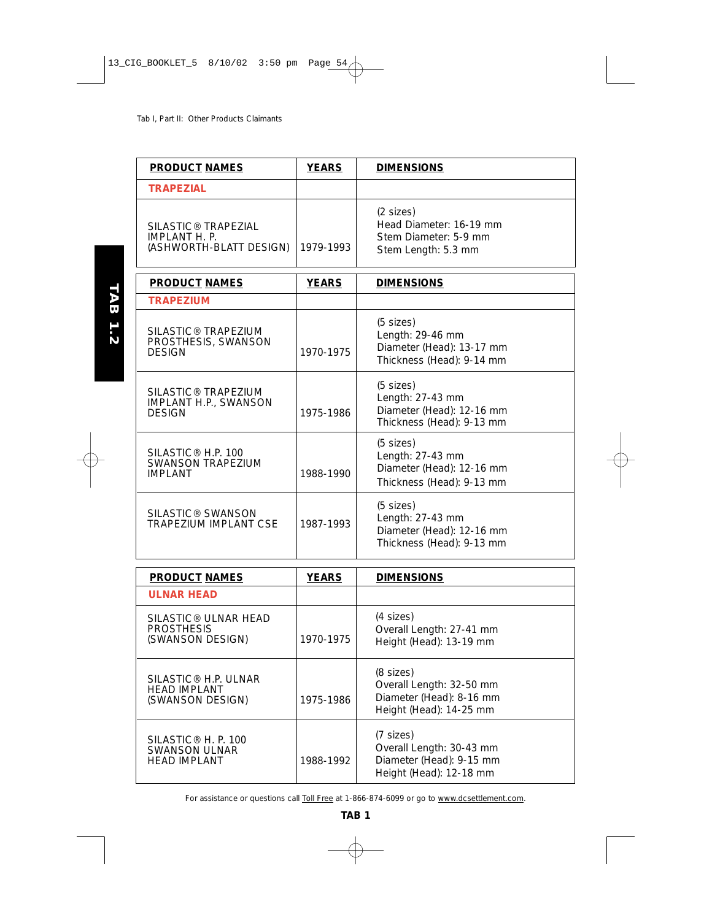TAB 1.2

| <b>PRODUCT NAMES</b>                                                             | <b>YEARS</b> | <b>DIMENSIONS</b>                                                                                 |
|----------------------------------------------------------------------------------|--------------|---------------------------------------------------------------------------------------------------|
| <b>TRAPEZIAL</b>                                                                 |              |                                                                                                   |
| SILASTIC <sup>®</sup> TRAPEZIAL<br>IMPLANT H. P.<br>(ASHWORTH-BLATT DESIGN)      | 1979-1993    | $(2 \text{ sizes})$<br>Head Diameter: 16-19 mm<br>Stem Diameter: 5-9 mm<br>Stem Length: 5.3 mm    |
| <b>PRODUCT NAMES</b>                                                             | <b>YEARS</b> | <b>DIMENSIONS</b>                                                                                 |
| <b>TRAPEZIUM</b>                                                                 |              |                                                                                                   |
| SILASTIC <sup>®</sup> TRAPEZIUM<br>PROSTHESIS, SWANSON<br><b>DESIGN</b>          | 1970-1975    | $(5$ sizes)<br>Length: 29-46 mm<br>Diameter (Head): 13-17 mm<br>Thickness (Head): 9-14 mm         |
| SILASTIC <sup>®</sup> TRAPEZIUM<br><b>IMPLANT H.P., SWANSON</b><br><b>DESIGN</b> | 1975-1986    | $(5$ sizes)<br>Length: 27-43 mm<br>Diameter (Head): 12-16 mm<br>Thickness (Head): 9-13 mm         |
| SILASTIC <sup>®</sup> H.P. 100<br><b>SWANSON TRAPEZIUM</b><br><b>IMPI ANT</b>    | 1988-1990    | $(5$ sizes)<br>Length: 27-43 mm<br>Diameter (Head): 12-16 mm<br>Thickness (Head): 9-13 mm         |
| SILASTIC <sup>®</sup> SWANSON<br>TRAPEZIUM IMPLANT CSE                           | 1987-1993    | $(5 \text{ sizes})$<br>Length: 27-43 mm<br>Diameter (Head): 12-16 mm<br>Thickness (Head): 9-13 mm |
|                                                                                  |              |                                                                                                   |

| <b>PRODUCT NAMES</b>                                                           | <b>YEARS</b> | <b>DIMENSIONS</b>                                                                              |
|--------------------------------------------------------------------------------|--------------|------------------------------------------------------------------------------------------------|
| <b>ULNAR HEAD</b>                                                              |              |                                                                                                |
| SILASTIC® ULNAR HEAD<br><b>PROSTHESIS</b><br>(SWANSON DESIGN)                  | 1970-1975    | (4 sizes)<br>Overall Length: 27-41 mm<br>Height (Head): 13-19 mm                               |
| SILASTIC <sup>®</sup> H.P. ULNAR<br><b>HEAD IMPLANT</b><br>(SWANSON DESIGN)    | 1975-1986    | $(8$ sizes)<br>Overall Length: 32-50 mm<br>Diameter (Head): 8-16 mm<br>Height (Head): 14-25 mm |
| SILASTIC <sup>®</sup> H. P. 100<br><b>SWANSON ULNAR</b><br><b>HEAD IMPLANT</b> | 1988-1992    | (7 sizes)<br>Overall Length: 30-43 mm<br>Diameter (Head): 9-15 mm<br>Height (Head): 12-18 mm   |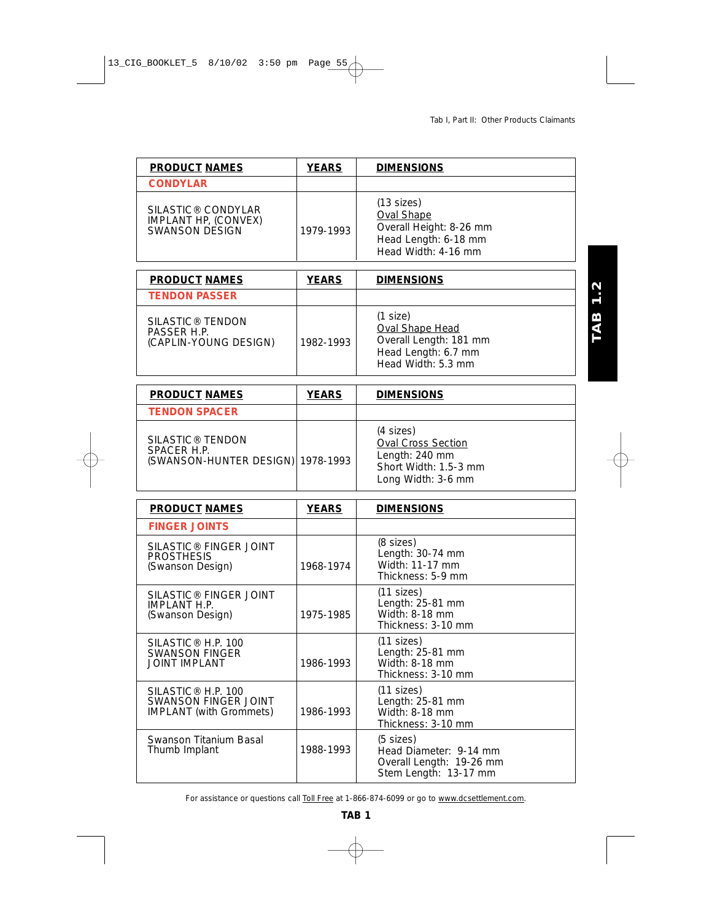| <b>PRODUCT NAMES</b>                                                     | <b>YEARS</b> | <b>DIMENSIONS</b>                                                                                           |
|--------------------------------------------------------------------------|--------------|-------------------------------------------------------------------------------------------------------------|
| <b>CONDYLAR</b>                                                          |              |                                                                                                             |
| SILASTIC <sup>®</sup> CONDYLAR<br>IMPLANT HP, (CONVEX)<br>SWANSON DESIGN | 1979-1993    | $(13$ sizes)<br><b>Oval Shape</b><br>Overall Height: 8-26 mm<br>Head Length: 6-18 mm<br>Head Width: 4-16 mm |

| <b>PRODUCT NAMES</b>                                                 | <b>YEARS</b> | <b>DIMENSIONS</b>                                                                                  |
|----------------------------------------------------------------------|--------------|----------------------------------------------------------------------------------------------------|
| <b>TENDON PASSER</b>                                                 |              |                                                                                                    |
| SILASTIC <sup>®</sup> TENDON<br>PASSER H.P.<br>(CAPLIN-YOUNG DESIGN) | 1982-1993    | (1 size)<br>Oval Shape Head<br>Overall Length: 181 mm<br>Head Length: 6.7 mm<br>Head Width: 5.3 mm |

| <b>PRODUCT NAMES</b>                                                             | <b>YEARS</b> | <b>DIMENSIONS</b>                                                                                       |
|----------------------------------------------------------------------------------|--------------|---------------------------------------------------------------------------------------------------------|
| <b>TENDON SPACER</b>                                                             |              |                                                                                                         |
| SILASTIC <sup>®</sup> TENDON<br>SPACER H.P.<br>(SWANSON-HUNTER DESIGN) 1978-1993 |              | (4 sizes)<br><b>Oval Cross Section</b><br>Length: 240 mm<br>Short Width: 1.5-3 mm<br>Long Width: 3-6 mm |

| <b>PRODUCT NAMES</b>                                                                     | <b>YEARS</b> | <b>DIMENSIONS</b>                                                                                  |
|------------------------------------------------------------------------------------------|--------------|----------------------------------------------------------------------------------------------------|
| <b>FINGER JOINTS</b>                                                                     |              |                                                                                                    |
| SILASTIC <sup>®</sup> FINGER JOINT<br><b>PROSTHESIS</b><br>(Swanson Design)              | 1968-1974    | (8 sizes)<br>Length: $30-74$ mm<br>Width: 11-17 mm<br>Thickness: 5-9 mm                            |
| SILASTIC® FINGER JOINT<br><b>IMPLANT H.P.</b><br>(Swanson Design)                        | 1975-1985    | $(11$ sizes)<br>Length: 25-81 mm<br>Width: $8-18$ mm<br>Thickness: 3-10 mm                         |
| SILASTIC <sup>®</sup> H.P. 100<br><b>SWANSON FINGER</b><br>JOINT IMPLANT                 | 1986-1993    | $(11$ sizes)<br>Length: 25-81 mm<br>Width: 8-18 mm<br>Thickness: 3-10 mm                           |
| SILASTIC <sup>®</sup> H.P. 100<br>SWANSON FINGER JOINT<br><b>IMPLANT</b> (with Grommets) | 1986-1993    | $(11$ sizes)<br>Length: 25-81 mm<br>Width: 8-18 mm<br>Thickness: 3-10 mm                           |
| Swanson Titanium Basal<br>Thumb Implant                                                  | 1988-1993    | $(5 \text{ sizes})$<br>Head Diameter: 9-14 mm<br>Overall Length: 19-26 mm<br>Stem Length: 13-17 mm |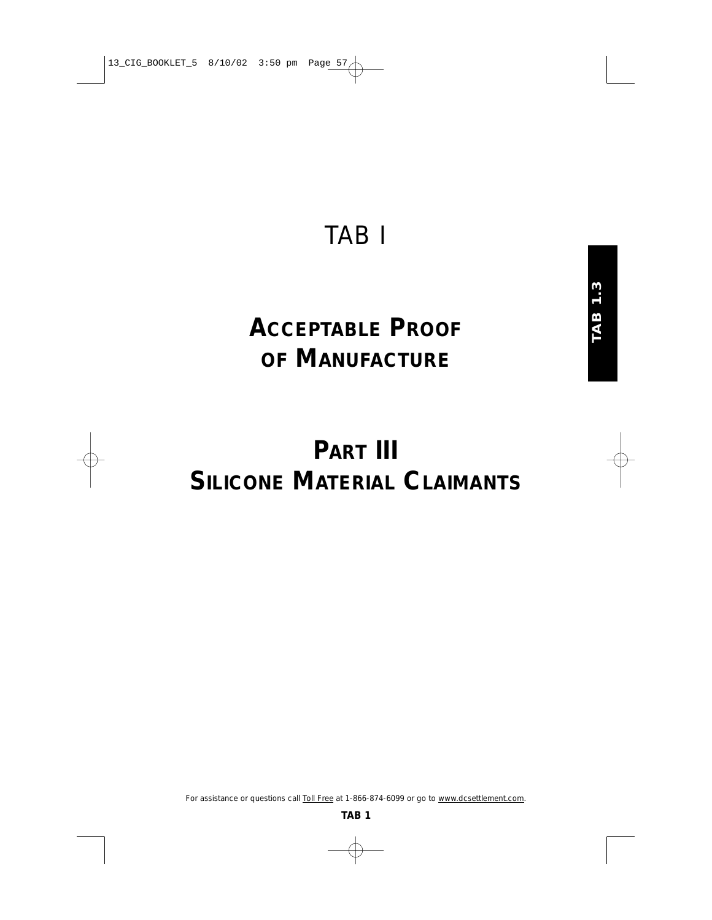## TAB I

# **ACCEPTABLE PROOF OF MANUFACTURE**

# **PART III SILICONE MATERIAL CLAIMANTS**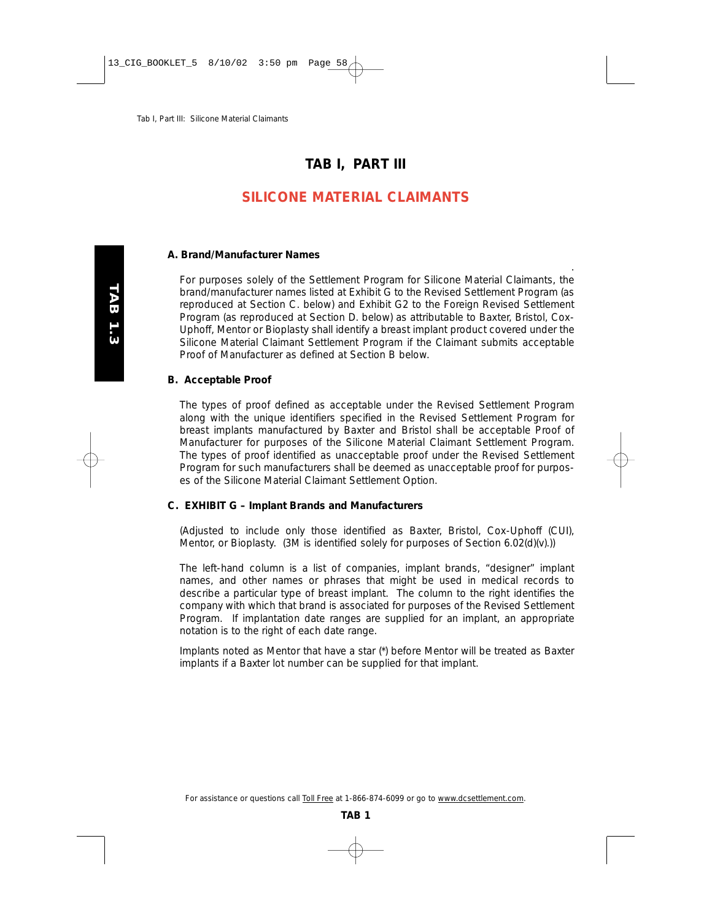## **TAB I, PART III**

## **SILICONE MATERIAL CLAIMANTS**

#### **A. Brand/Manufacturer Names**

For purposes solely of the Settlement Program for Silicone Material Claimants, the brand/manufacturer names listed at Exhibit G to the Revised Settlement Program (as reproduced at Section C. below) and Exhibit G2 to the Foreign Revised Settlement Program (as reproduced at Section D. below) as attributable to Baxter, Bristol, Cox-Uphoff, Mentor or Bioplasty shall identify a breast implant product covered under the Silicone Material Claimant Settlement Program if the Claimant submits acceptable Proof of Manufacturer as defined at Section B below.

.

#### **B. Acceptable Proof**

The types of proof defined as acceptable under the Revised Settlement Program along with the unique identifiers specified in the Revised Settlement Program for breast implants manufactured by Baxter and Bristol shall be acceptable Proof of Manufacturer for purposes of the Silicone Material Claimant Settlement Program. The types of proof identified as unacceptable proof under the Revised Settlement Program for such manufacturers shall be deemed as unacceptable proof for purposes of the Silicone Material Claimant Settlement Option.

#### **C. EXHIBIT G – Implant Brands and Manufacturers**

(Adjusted to include only those identified as Baxter, Bristol, Cox-Uphoff (CUI), Mentor, or Bioplasty. (3M is identified solely for purposes of Section 6.02(d)(v).))

*The left-hand column is a list of companies, implant brands, "designer" implant names, and other names or phrases that might be used in medical records to describe a particular type of breast implant. The column to the right identifies the company with which that brand is associated for purposes of the Revised Settlement Program. If implantation date ranges are supplied for an implant, an appropriate notation is to the right of each date range.*

*Implants noted as Mentor that have a star (\*) before Mentor will be treated as Baxter implants if a Baxter lot number can be supplied for that implant.*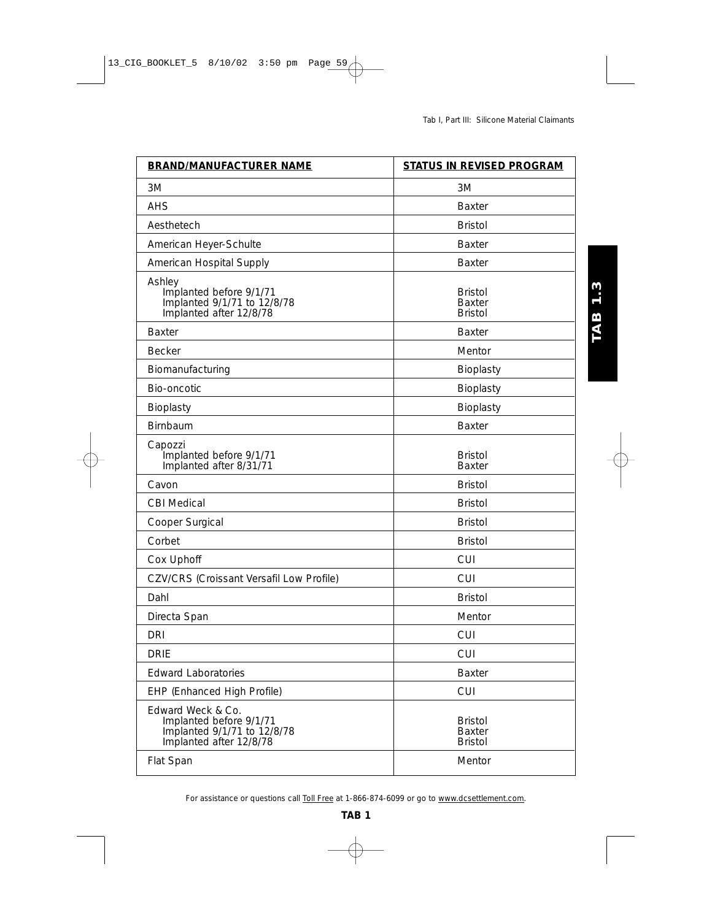| <b>BRAND/MANUFACTURER NAME</b>                                                                         | <b>STATUS IN REVISED PROGRAM</b>                  |
|--------------------------------------------------------------------------------------------------------|---------------------------------------------------|
| 3M                                                                                                     | 3M                                                |
| AHS                                                                                                    | <b>Baxter</b>                                     |
| Aesthetech                                                                                             | <b>Bristol</b>                                    |
| American Heyer-Schulte                                                                                 | <b>Baxter</b>                                     |
| American Hospital Supply                                                                               | <b>Baxter</b>                                     |
| Ashley<br>Implanted before 9/1/71<br>Implanted 9/1/71 to 12/8/78<br>Implanted after 12/8/78            | <b>Bristol</b><br><b>Baxter</b><br><b>Bristol</b> |
| <b>Baxter</b>                                                                                          | <b>Baxter</b>                                     |
| <b>Becker</b>                                                                                          | Mentor                                            |
| Biomanufacturing                                                                                       | Bioplasty                                         |
| Bio-oncotic                                                                                            | Bioplasty                                         |
| Bioplasty                                                                                              | Bioplasty                                         |
| <b>Birnbaum</b>                                                                                        | <b>Baxter</b>                                     |
| Capozzi<br>Implanted before 9/1/71<br>Implanted after 8/31/71                                          | <b>Bristol</b><br><b>Baxter</b>                   |
| Cavon                                                                                                  | <b>Bristol</b>                                    |
| <b>CBI Medical</b>                                                                                     | <b>Bristol</b>                                    |
| Cooper Surgical                                                                                        | <b>Bristol</b>                                    |
| Corbet                                                                                                 | <b>Bristol</b>                                    |
| Cox Uphoff                                                                                             | <b>CUI</b>                                        |
| CZV/CRS (Croissant Versafil Low Profile)                                                               | <b>CUI</b>                                        |
| Dahl                                                                                                   | <b>Bristol</b>                                    |
| Directa Span                                                                                           | Mentor                                            |
| <b>DRI</b>                                                                                             | <b>CUI</b>                                        |
| <b>DRIE</b>                                                                                            | <b>CUI</b>                                        |
| <b>Edward Laboratories</b>                                                                             | Baxter                                            |
| EHP (Enhanced High Profile)                                                                            | <b>CUI</b>                                        |
| Edward Weck & Co.<br>Implanted before 9/1/71<br>Implanted 9/1/71 to 12/8/78<br>Implanted after 12/8/78 | <b>Bristol</b><br><b>Baxter</b><br><b>Bristol</b> |
| Flat Span                                                                                              | Mentor                                            |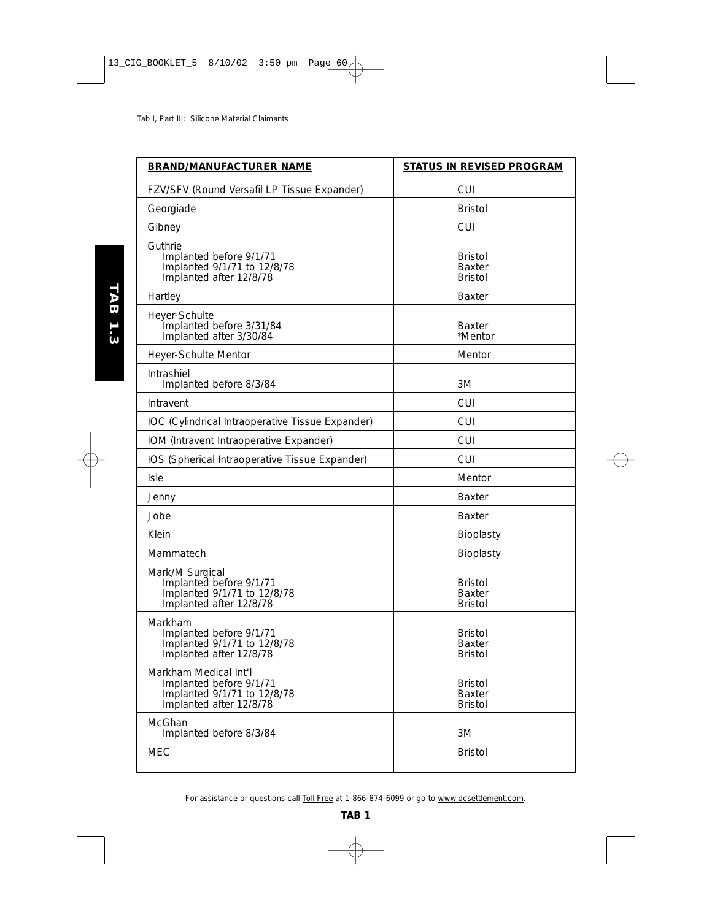| <b>BRAND/MANUFACTURER NAME</b>                                                                             | STATUS IN REVISED PROGRAM                         |
|------------------------------------------------------------------------------------------------------------|---------------------------------------------------|
| FZV/SFV (Round Versafil LP Tissue Expander)                                                                | <b>CUI</b>                                        |
| Georgiade                                                                                                  | <b>Bristol</b>                                    |
| Gibney                                                                                                     | <b>CUI</b>                                        |
| Guthrie<br>Implanted before 9/1/71<br>Implanted 9/1/71 to 12/8/78<br>Implanted after 12/8/78               | <b>Bristol</b><br>Baxter<br><b>Bristol</b>        |
| Hartley                                                                                                    | Baxter                                            |
| Heyer-Schulte<br>Implanted before 3/31/84<br>Implanted after 3/30/84                                       | <b>Baxter</b><br>*Mentor                          |
| Heyer-Schulte Mentor                                                                                       | Mentor                                            |
| Intrashiel<br>Implanted before 8/3/84                                                                      | 3M                                                |
| Intravent                                                                                                  | CUI                                               |
| IOC (Cylindrical Intraoperative Tissue Expander)                                                           | <b>CUI</b>                                        |
| IOM (Intravent Intraoperative Expander)                                                                    | <b>CUI</b>                                        |
| IOS (Spherical Intraoperative Tissue Expander)                                                             | CUI                                               |
| <b>Isle</b>                                                                                                | Mentor                                            |
| Jenny                                                                                                      | <b>Baxter</b>                                     |
| Jobe                                                                                                       | <b>Baxter</b>                                     |
| Klein                                                                                                      | Bioplasty                                         |
| Mammatech                                                                                                  | Bioplasty                                         |
| Mark/M Surgical<br>Implanted before 9/1/71<br>Implanted 9/1/71 to 12/8/78<br>Implanted after 12/8/78       | <b>Bristol</b><br>Baxter<br><b>Bristol</b>        |
| Markham<br>Implanted before 9/1/71<br>Implanted 9/1/71 to 12/8/78<br>Implanted after 12/8/78               | <b>Bristol</b><br>Baxter<br><b>Bristol</b>        |
| Markham Medical Int I<br>Implanted before 9/1/71<br>Implanted 9/1/71 to 12/8/78<br>Implanted after 12/8/78 | <b>Bristol</b><br><b>Baxter</b><br><b>Bristol</b> |
| McGhan<br>Implanted before 8/3/84                                                                          | 3M                                                |
| <b>MEC</b>                                                                                                 | <b>Bristol</b>                                    |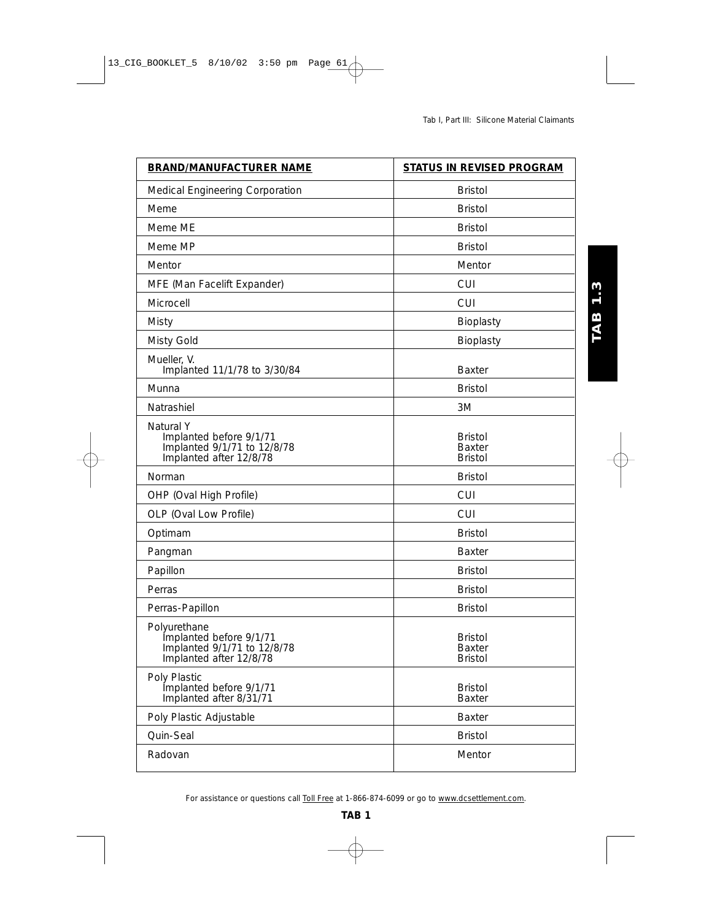| <b>BRAND/MANUFACTURER NAME</b>                                                                    | <b>STATUS IN REVISED PROGRAM</b>                  |
|---------------------------------------------------------------------------------------------------|---------------------------------------------------|
| Medical Engineering Corporation                                                                   | <b>Bristol</b>                                    |
| Meme                                                                                              | <b>Bristol</b>                                    |
| Meme ME                                                                                           | <b>Bristol</b>                                    |
| Meme MP                                                                                           | <b>Bristol</b>                                    |
| Mentor                                                                                            | Mentor                                            |
| MFE (Man Facelift Expander)                                                                       | <b>CUI</b>                                        |
| Microcell                                                                                         | <b>CUI</b>                                        |
| Misty                                                                                             | Bioplasty                                         |
| Misty Gold                                                                                        | Bioplasty                                         |
| Mueller, V.<br>Implanted 11/1/78 to 3/30/84                                                       | <b>Baxter</b>                                     |
| Munna                                                                                             | <b>Bristol</b>                                    |
| Natrashiel                                                                                        | 3M                                                |
| Natural Y<br>Implanted before 9/1/71<br>Implanted 9/1/71 to 12/8/78<br>Implanted after 12/8/78    | <b>Bristol</b><br>Baxter<br><b>Bristol</b>        |
| Norman                                                                                            | <b>Bristol</b>                                    |
| OHP (Oval High Profile)                                                                           | <b>CUI</b>                                        |
| OLP (Oval Low Profile)                                                                            | <b>CUI</b>                                        |
| Optimam                                                                                           | <b>Bristol</b>                                    |
| Pangman                                                                                           | <b>Baxter</b>                                     |
| Papillon                                                                                          | <b>Bristol</b>                                    |
| Perras                                                                                            | <b>Bristol</b>                                    |
| Perras-Papillon                                                                                   | <b>Bristol</b>                                    |
| Polyurethane<br>Implanted before 9/1/71<br>Implanted 9/1/71 to 12/8/78<br>Implanted after 12/8/78 | <b>Bristol</b><br><b>Baxter</b><br><b>Bristol</b> |
| Poly Plastic<br>Implanted before 9/1/71<br>Implanted after 8/31/71                                | <b>Bristol</b><br><b>Baxter</b>                   |
| Poly Plastic Adjustable                                                                           | <b>Baxter</b>                                     |
| Quin-Seal                                                                                         | <b>Bristol</b>                                    |
| Radovan                                                                                           | Mentor                                            |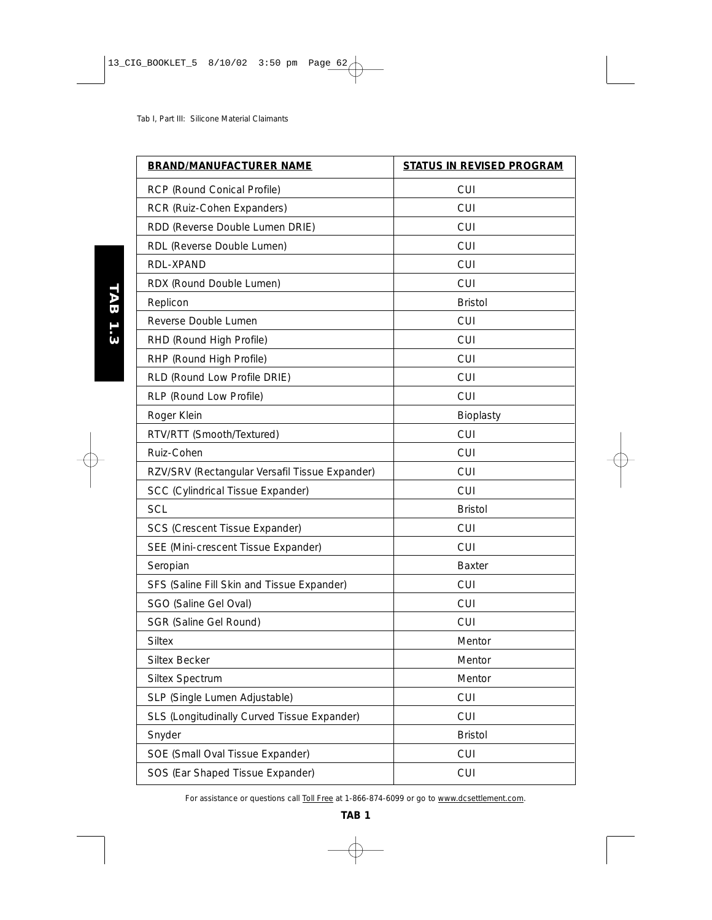| <b>BRAND/MANUFACTURER NAME</b>                 | <b>STATUS IN REVISED PROGRAM</b> |
|------------------------------------------------|----------------------------------|
| RCP (Round Conical Profile)                    | <b>CUI</b>                       |
| RCR (Ruiz-Cohen Expanders)                     | <b>CUI</b>                       |
| RDD (Reverse Double Lumen DRIE)                | <b>CUI</b>                       |
| RDL (Reverse Double Lumen)                     | <b>CUI</b>                       |
| RDL-XPAND                                      | <b>CUI</b>                       |
| RDX (Round Double Lumen)                       | <b>CUI</b>                       |
| Replicon                                       | <b>Bristol</b>                   |
| Reverse Double Lumen                           | <b>CUI</b>                       |
| RHD (Round High Profile)                       | <b>CUI</b>                       |
| RHP (Round High Profile)                       | <b>CUI</b>                       |
| RLD (Round Low Profile DRIE)                   | CUI                              |
| RLP (Round Low Profile)                        | <b>CUI</b>                       |
| Roger Klein                                    | Bioplasty                        |
| RTV/RTT (Smooth/Textured)                      | <b>CUI</b>                       |
| Ruiz-Cohen                                     | <b>CUI</b>                       |
| RZV/SRV (Rectangular Versafil Tissue Expander) | <b>CUI</b>                       |
| SCC (Cylindrical Tissue Expander)              | <b>CUI</b>                       |
| <b>SCL</b>                                     | <b>Bristol</b>                   |
| SCS (Crescent Tissue Expander)                 | <b>CUI</b>                       |
| SEE (Mini-crescent Tissue Expander)            | <b>CUI</b>                       |
| Seropian                                       | <b>Baxter</b>                    |
| SFS (Saline Fill Skin and Tissue Expander)     | <b>CUI</b>                       |
| SGO (Saline Gel Oval)                          | <b>CUI</b>                       |
| SGR (Saline Gel Round)                         | <b>CUI</b>                       |
| <b>Siltex</b>                                  | Mentor                           |
| <b>Siltex Becker</b>                           | Mentor                           |
| Siltex Spectrum                                | Mentor                           |
| SLP (Single Lumen Adjustable)                  | CUI                              |
| SLS (Longitudinally Curved Tissue Expander)    | <b>CUI</b>                       |
| Snyder                                         | <b>Bristol</b>                   |
| SOE (Small Oval Tissue Expander)               | <b>CUI</b>                       |
| SOS (Ear Shaped Tissue Expander)               | <b>CUI</b>                       |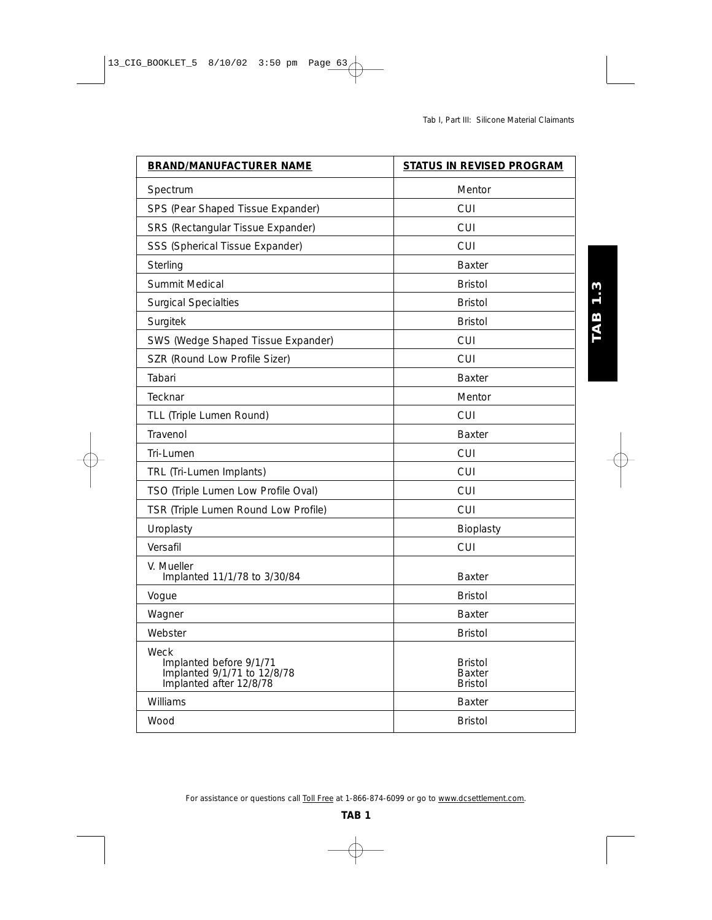**TAB 1.3** 

| <b>BRAND/MANUFACTURER NAME</b>                                                            | <b>STATUS IN REVISED PROGRAM</b>                  |
|-------------------------------------------------------------------------------------------|---------------------------------------------------|
| Spectrum                                                                                  | Mentor                                            |
| SPS (Pear Shaped Tissue Expander)                                                         | CUI                                               |
| SRS (Rectangular Tissue Expander)                                                         | <b>CUI</b>                                        |
| SSS (Spherical Tissue Expander)                                                           | CUI                                               |
| Sterling                                                                                  | <b>Baxter</b>                                     |
| Summit Medical                                                                            | <b>Bristol</b>                                    |
| <b>Surgical Specialties</b>                                                               | <b>Bristol</b>                                    |
| Surgitek                                                                                  | <b>Bristol</b>                                    |
| SWS (Wedge Shaped Tissue Expander)                                                        | <b>CUI</b>                                        |
| SZR (Round Low Profile Sizer)                                                             | <b>CUI</b>                                        |
| Tabari                                                                                    | <b>Baxter</b>                                     |
| Tecknar                                                                                   | Mentor                                            |
| TLL (Triple Lumen Round)                                                                  | <b>CUI</b>                                        |
| Travenol                                                                                  | <b>Baxter</b>                                     |
| Tri-Lumen                                                                                 | CUI                                               |
| TRL (Tri-Lumen Implants)                                                                  | CUI                                               |
| TSO (Triple Lumen Low Profile Oval)                                                       | CUI                                               |
| TSR (Triple Lumen Round Low Profile)                                                      | <b>CUI</b>                                        |
| Uroplasty                                                                                 | Bioplasty                                         |
| Versafil                                                                                  | <b>CUI</b>                                        |
| V. Mueller<br>Implanted 11/1/78 to 3/30/84                                                | <b>Baxter</b>                                     |
| Vogue                                                                                     | <b>Bristol</b>                                    |
| Wagner                                                                                    | <b>Baxter</b>                                     |
| Webster                                                                                   | <b>Bristol</b>                                    |
| Weck<br>Implanted before 9/1/71<br>Implanted 9/1/71 to 12/8/78<br>Implanted after 12/8/78 | <b>Bristol</b><br><b>Baxter</b><br><b>Bristol</b> |
| Williams                                                                                  | <b>Baxter</b>                                     |
| Wood                                                                                      | <b>Bristol</b>                                    |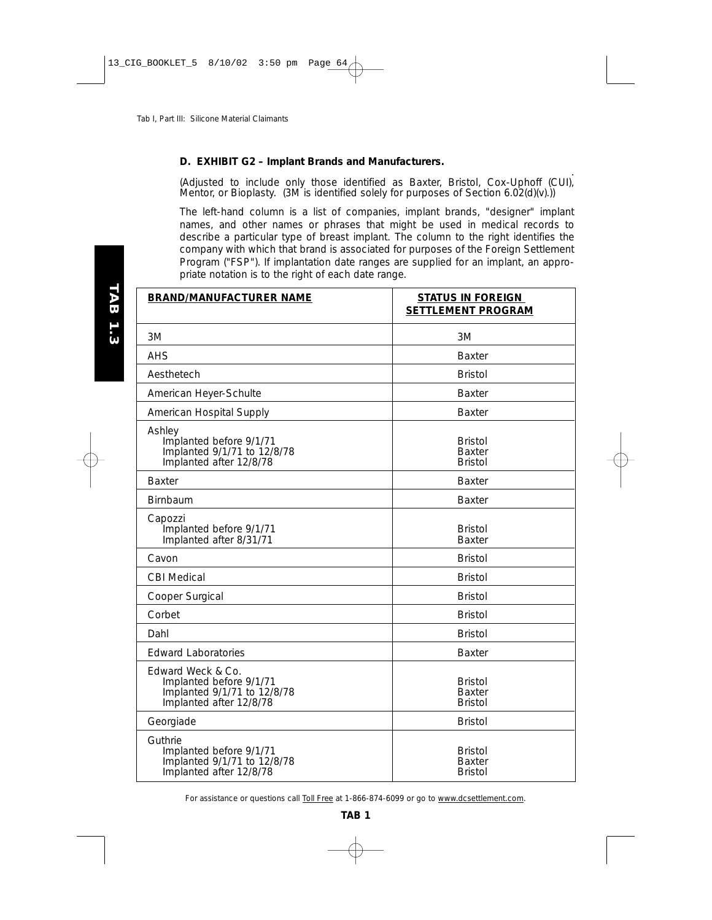### **D. EXHIBIT G2 – Implant Brands and Manufacturers.**

. (Adjusted to include only those identified as Baxter, Bristol, Cox-Uphoff (CUI), Mentor, or Bioplasty.  $(3M \text{ is identified solely for purposes of Section 6.02(d)(v)}).$ 

*The left-hand column is a list of companies, implant brands, "designer" implant names, and other names or phrases that might be used in medical records to describe a particular type of breast implant. The column to the right identifies the company with which that brand is associated for purposes of the Foreign Settlement Program ("FSP"). If implantation date ranges are supplied for an implant, an appropriate notation is to the right of each date range.*

| <b>BRAND/MANUFACTURER NAME</b>                                                                         | <b>STATUS IN FOREIGN</b><br><b>SETTLEMENT PROGRAM</b> |
|--------------------------------------------------------------------------------------------------------|-------------------------------------------------------|
| 3M                                                                                                     | 3M                                                    |
| <b>AHS</b>                                                                                             | <b>Baxter</b>                                         |
| Aesthetech                                                                                             | <b>Bristol</b>                                        |
| American Heyer-Schulte                                                                                 | Baxter                                                |
| American Hospital Supply                                                                               | <b>Baxter</b>                                         |
| Ashley<br>Implanted before 9/1/71<br>Implanted 9/1/71 to 12/8/78<br>Implanted after 12/8/78            | <b>Bristol</b><br><b>Baxter</b><br><b>Bristol</b>     |
| <b>Baxter</b>                                                                                          | <b>Baxter</b>                                         |
| Birnbaum                                                                                               | <b>Baxter</b>                                         |
| Capozzi<br>Implanted before 9/1/71<br>Implanted after 8/31/71                                          | <b>Bristol</b><br><b>Baxter</b>                       |
| Cavon                                                                                                  | <b>Bristol</b>                                        |
| <b>CBI Medical</b>                                                                                     | <b>Bristol</b>                                        |
| Cooper Surgical                                                                                        | <b>Bristol</b>                                        |
| Corbet                                                                                                 | <b>Bristol</b>                                        |
| Dahl                                                                                                   | <b>Bristol</b>                                        |
| <b>Edward Laboratories</b>                                                                             | <b>Baxter</b>                                         |
| Edward Weck & Co.<br>Implanted before 9/1/71<br>Implanted 9/1/71 to 12/8/78<br>Implanted after 12/8/78 | <b>Bristol</b><br><b>Baxter</b><br><b>Bristol</b>     |
| Georgiade                                                                                              | <b>Bristol</b>                                        |
| Guthrie<br>Implanted before 9/1/71<br>Implanted 9/1/71 to 12/8/78<br>Implanted after 12/8/78           | <b>Bristol</b><br><b>Baxter</b><br><b>Bristol</b>     |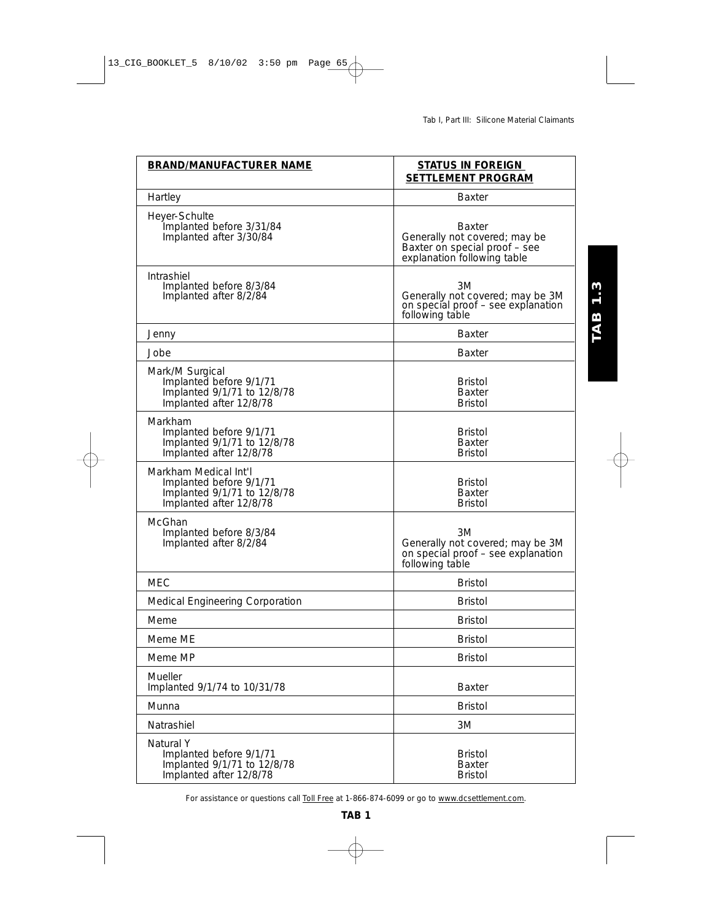**TAB 1.3** 

| <b>BRAND/MANUFACTURER NAME</b>                                                                             | <b>STATUS IN FOREIGN</b><br><b>SETTLEMENT PROGRAM</b>                                                          |
|------------------------------------------------------------------------------------------------------------|----------------------------------------------------------------------------------------------------------------|
| Hartley                                                                                                    | Baxter                                                                                                         |
| Heyer-Schulte<br>Implanted before 3/31/84<br>Implanted after 3/30/84                                       | <b>Baxter</b><br>Generally not covered; may be<br>Baxter on special proof - see<br>explanation following table |
| Intrashiel<br>Implanted before 8/3/84<br>Implanted after 8/2/84                                            | 3M<br>Generally not covered; may be 3M<br>on special proof - see explanation<br>following table                |
| Jenny                                                                                                      | <b>Baxter</b>                                                                                                  |
| Jobe                                                                                                       | Baxter                                                                                                         |
| Mark/M Surgical<br>Implanted before 9/1/71<br>Implanted 9/1/71 to 12/8/78<br>Implanted after 12/8/78       | <b>Bristol</b><br>Baxter<br><b>Bristol</b>                                                                     |
| Markham<br>Implanted before 9/1/71<br>Implanted 9/1/71 to 12/8/78<br>Implanted after 12/8/78               | Bristol<br><b>Baxter</b><br><b>Bristol</b>                                                                     |
| Markham Medical Int'l<br>Implanted before 9/1/71<br>Implanted 9/1/71 to 12/8/78<br>Implanted after 12/8/78 | <b>Bristol</b><br><b>Baxter</b><br><b>Bristol</b>                                                              |
| McGhan<br>Implanted before 8/3/84<br>Implanted after 8/2/84                                                | 3M<br>Generally not covered; may be 3M<br>on special proof - see explanation<br>following table                |
| MEC                                                                                                        | <b>Bristol</b>                                                                                                 |
| Medical Engineering Corporation                                                                            | <b>Bristol</b>                                                                                                 |
| Meme                                                                                                       | <b>Bristol</b>                                                                                                 |
| Meme ME                                                                                                    | Bristol                                                                                                        |
| Meme MP                                                                                                    | <b>Bristol</b>                                                                                                 |
| Mueller<br>Implanted 9/1/74 to 10/31/78                                                                    | <b>Baxter</b>                                                                                                  |
| Munna                                                                                                      | <b>Bristol</b>                                                                                                 |
| Natrashiel                                                                                                 | 3M                                                                                                             |
| Natural Y<br>Implanted before 9/1/71<br>Implanted 9/1/71 to 12/8/78<br>Implanted after 12/8/78             | <b>Bristol</b><br><b>Baxter</b><br><b>Bristol</b>                                                              |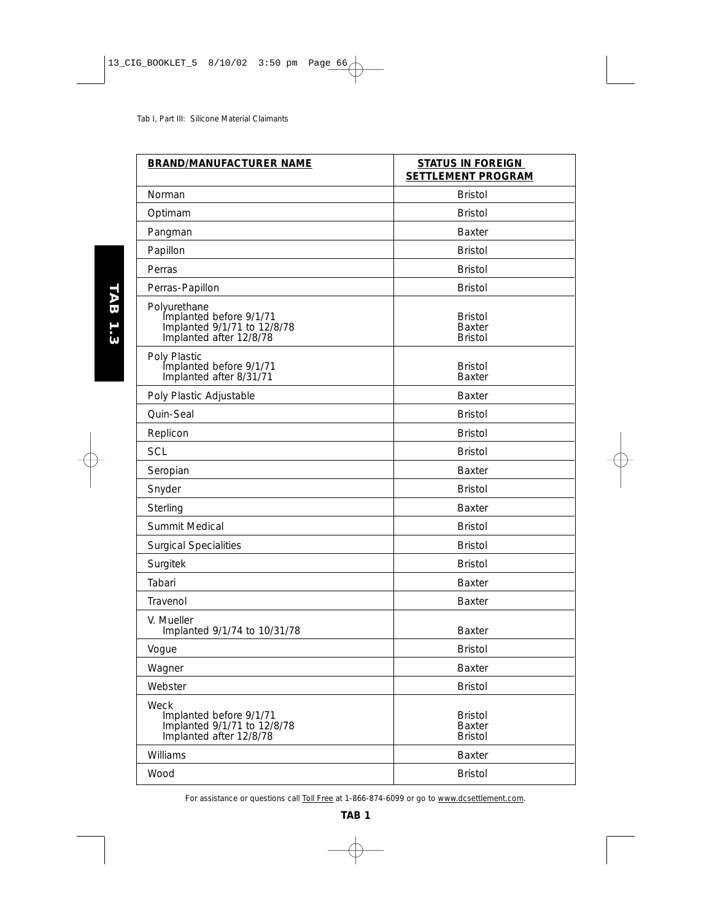| <b>BRAND/MANUFACTURER NAME</b>                                                                    | <b>STATUS IN FOREIGN</b><br><b>SETTLEMENT PROGRAM</b> |
|---------------------------------------------------------------------------------------------------|-------------------------------------------------------|
| Norman                                                                                            | <b>Bristol</b>                                        |
| Optimam                                                                                           | <b>Bristol</b>                                        |
| Pangman                                                                                           | <b>Baxter</b>                                         |
| Papillon                                                                                          | <b>Bristol</b>                                        |
| Perras                                                                                            | <b>Bristol</b>                                        |
| Perras-Papillon                                                                                   | <b>Bristol</b>                                        |
| Polyurethane<br>Implanted before 9/1/71<br>Implanted 9/1/71 to 12/8/78<br>Implanted after 12/8/78 | <b>Bristol</b><br><b>Baxter</b><br><b>Bristol</b>     |
| Poly Plastic<br>Implanted before 9/1/71<br>Implanted after 8/31/71                                | <b>Bristol</b><br><b>Baxter</b>                       |
| Poly Plastic Adjustable                                                                           | <b>Baxter</b>                                         |
| Quin-Seal                                                                                         | <b>Bristol</b>                                        |
| Replicon                                                                                          | <b>Bristol</b>                                        |
| <b>SCL</b>                                                                                        | <b>Bristol</b>                                        |
| Seropian                                                                                          | <b>Baxter</b>                                         |
| Snyder                                                                                            | <b>Bristol</b>                                        |
| Sterling                                                                                          | <b>Baxter</b>                                         |
| Summit Medical                                                                                    | <b>Bristol</b>                                        |
| <b>Surgical Specialities</b>                                                                      | <b>Bristol</b>                                        |
| Surgitek                                                                                          | <b>Bristol</b>                                        |
| Tabari                                                                                            | <b>Baxter</b>                                         |
| Travenol                                                                                          | <b>Baxter</b>                                         |
| V. Mueller<br>Implanted 9/1/74 to 10/31/78                                                        | <b>Baxter</b>                                         |
| Vogue                                                                                             | Bristol                                               |
| Wagner                                                                                            | <b>Baxter</b>                                         |
| Webster                                                                                           | <b>Bristol</b>                                        |
| Weck<br>Implanted before 9/1/71<br>Implanted 9/1/71 to 12/8/78<br>Implanted after 12/8/78         | <b>Bristol</b><br><b>Baxter</b><br><b>Bristol</b>     |
| Williams                                                                                          | <b>Baxter</b>                                         |
| Wood                                                                                              | <b>Bristol</b>                                        |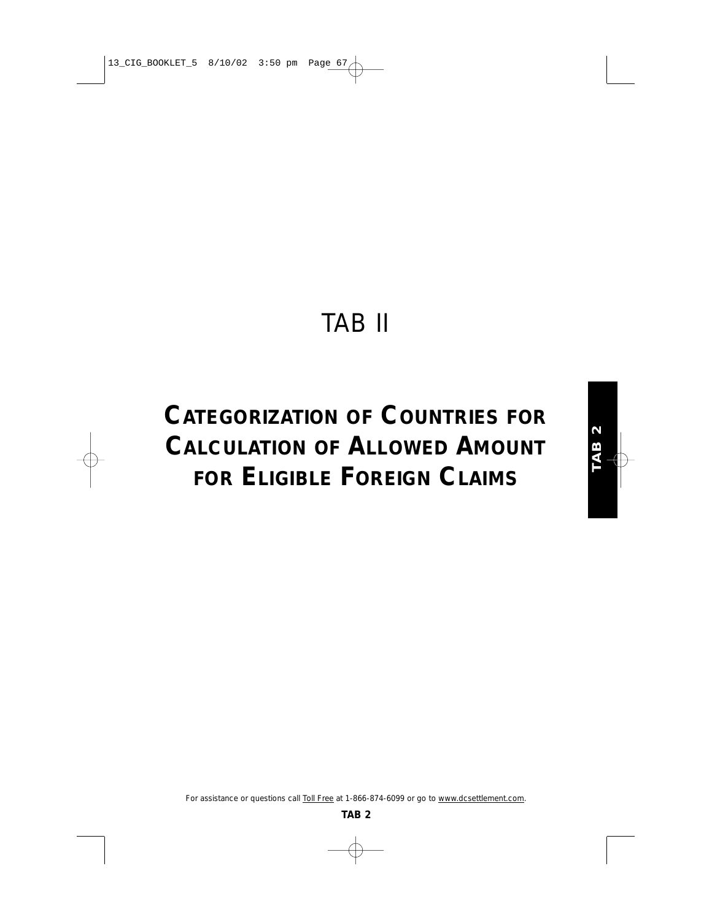# TAB II

# **CATEGORIZATION OF COUNTRIES FOR CALCULATION OF ALLOWED AMOUNT FOR ELIGIBLE FOREIGN CLAIMS**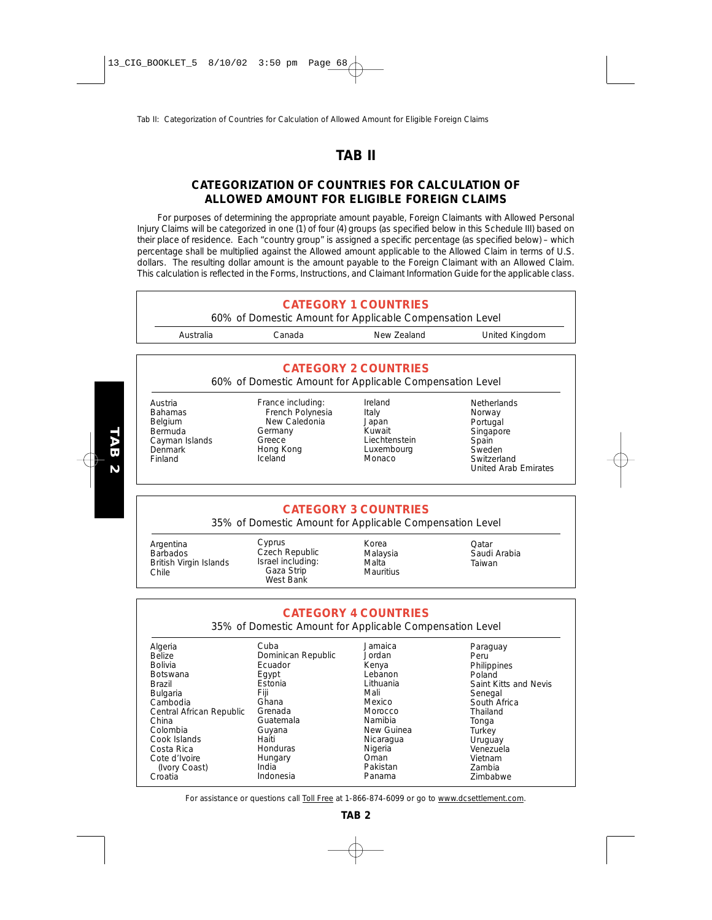## **TAB II**

## **CATEGORIZATION OF COUNTRIES FOR CALCULATION OF ALLOWED AMOUNT FOR ELIGIBLE FOREIGN CLAIMS**

For purposes of determining the appropriate amount payable, Foreign Claimants with Allowed Personal Injury Claims will be categorized in one (1) of four (4) groups (as specified below in this Schedule III) based on their place of residence. Each "country group" is assigned a specific percentage (as specified below) – which percentage shall be multiplied against the Allowed amount applicable to the Allowed Claim in terms of U.S. dollars. The resulting dollar amount is the amount payable to the Foreign Claimant with an Allowed Claim. This calculation is reflected in the Forms, Instructions, and Claimant Information Guide for the applicable class.



*For assistance or questions call Toll Free at 1-866-874-6099 or go to www.dcsettlement.com.*

New Guinea Nicaragua **Nigeria** Oman Pakistan Panama

Guyana Haiti **Honduras** Hungary India Indonesia

**Turkey** Uruguay Venezuela Vietnam Zambia Zimbabwe

Colombia Cook Islands Costa Rica Cote d'Ivoire (Ivory Coast) Croatia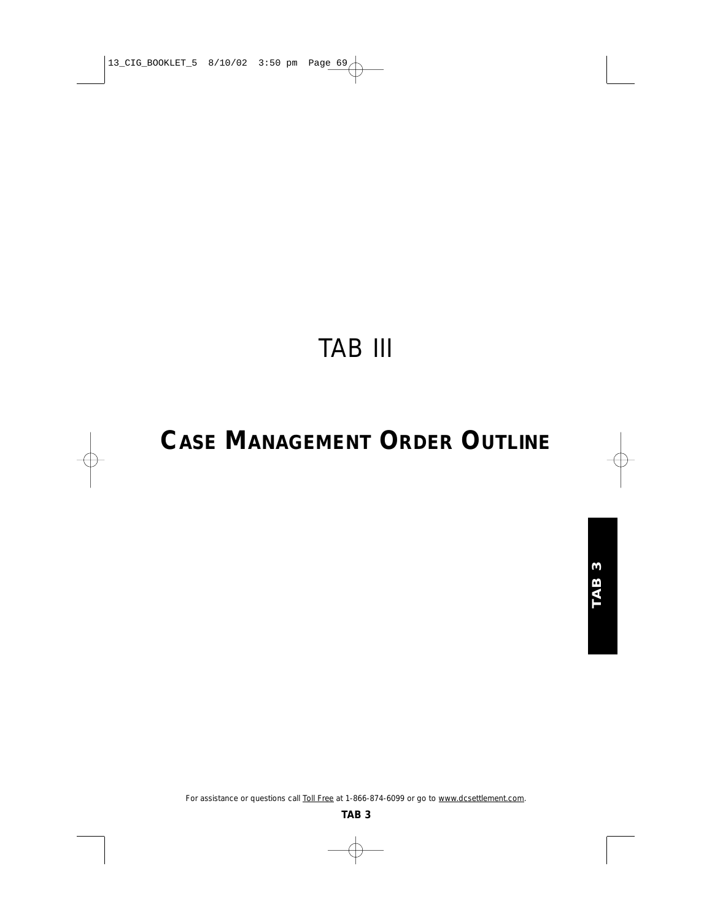# TAB III

# **CASE MANAGEMENT ORDER OUTLINE**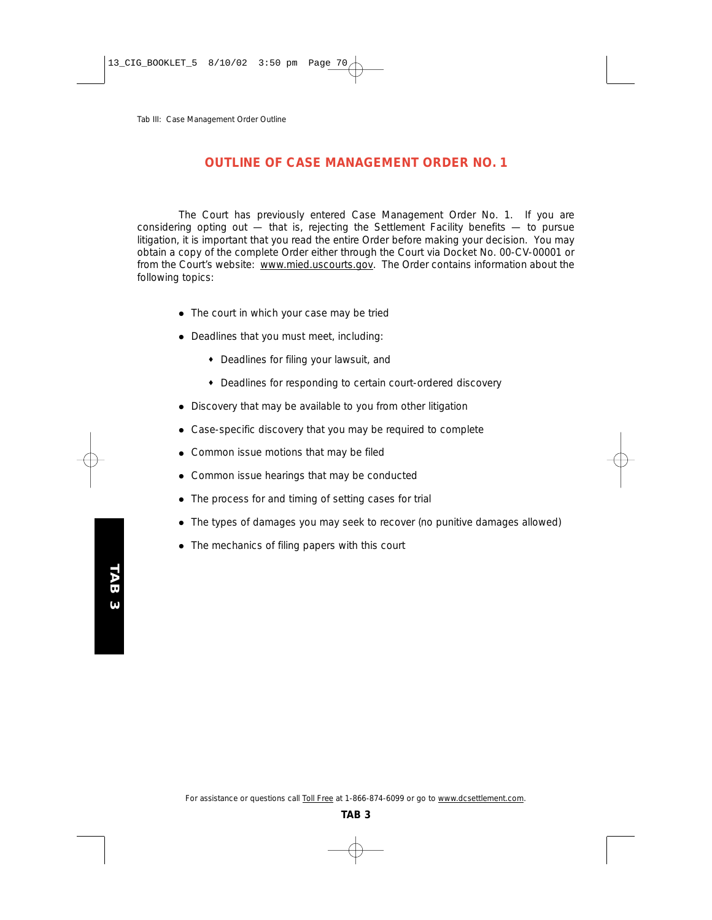## **OUTLINE OF CASE MANAGEMENT ORDER NO. 1**

The Court has previously entered Case Management Order No. 1. If you are considering opting out  $-$  that is, rejecting the Settlement Facility benefits  $-$  to pursue litigation, it is important that you read the entire Order before making your decision. You may obtain a copy of the complete Order either through the Court via Docket No. 00-CV-00001 or from the Court's website: www.mied.uscourts.gov. The Order contains information about the following topics:

- The court in which your case may be tried
- Deadlines that you must meet, including:
	- ♦ Deadlines for filing your lawsuit, and
	- ♦ Deadlines for responding to certain court-ordered discovery
- Discovery that may be available to you from other litigation
- Case-specific discovery that you may be required to complete
- Common issue motions that may be filed
- Common issue hearings that may be conducted
- The process for and timing of setting cases for trial
- The types of damages you may seek to recover (no punitive damages allowed)
- The mechanics of filing papers with this court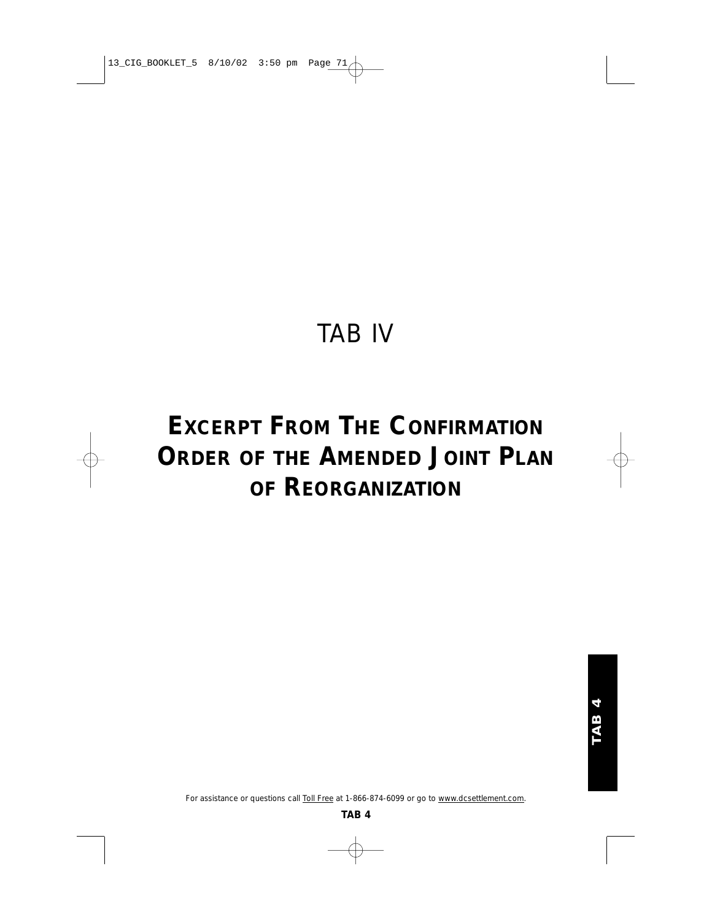## TAB IV

## **EXCERPT FROM THE CONFIRMATION ORDER OF THE AMENDED JOINT PLAN OF REORGANIZATION**

*For assistance or questions call Toll Free at 1-866-874-6099 or go to www.dcsettlement.com.*